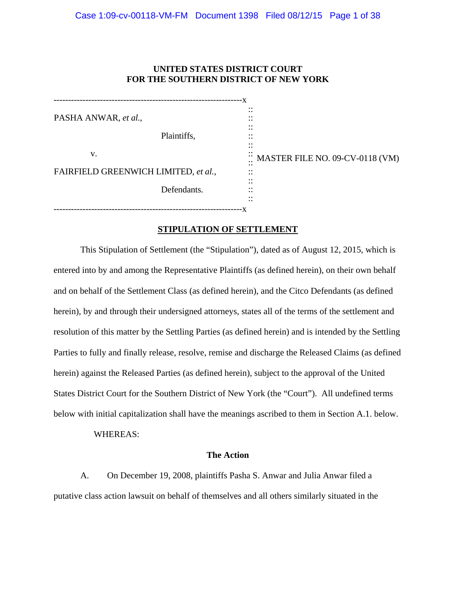# **UNITED STATES DISTRICT COURT FOR THE SOUTHERN DISTRICT OF NEW YORK**

-----------------------------------------------------------------x PASHA ANWAR, *et al.,* Plaintiffs, v. FAIRFIELD GREENWICH LIMITED, *et al.,* Defendants. :: :: :: :: :: :: :: MASTER FILE NO. 09-CV-0118 (VM) :: :: :: :: -----------------------------------------------------------------x

# **STIPULATION OF SETTLEMENT**

 This Stipulation of Settlement (the "Stipulation"), dated as of August 12, 2015, which is entered into by and among the Representative Plaintiffs (as defined herein), on their own behalf and on behalf of the Settlement Class (as defined herein), and the Citco Defendants (as defined herein), by and through their undersigned attorneys, states all of the terms of the settlement and resolution of this matter by the Settling Parties (as defined herein) and is intended by the Settling Parties to fully and finally release, resolve, remise and discharge the Released Claims (as defined herein) against the Released Parties (as defined herein), subject to the approval of the United States District Court for the Southern District of New York (the "Court"). All undefined terms below with initial capitalization shall have the meanings ascribed to them in Section A.1. below.

## WHEREAS:

## **The Action**

A. On December 19, 2008, plaintiffs Pasha S. Anwar and Julia Anwar filed a putative class action lawsuit on behalf of themselves and all others similarly situated in the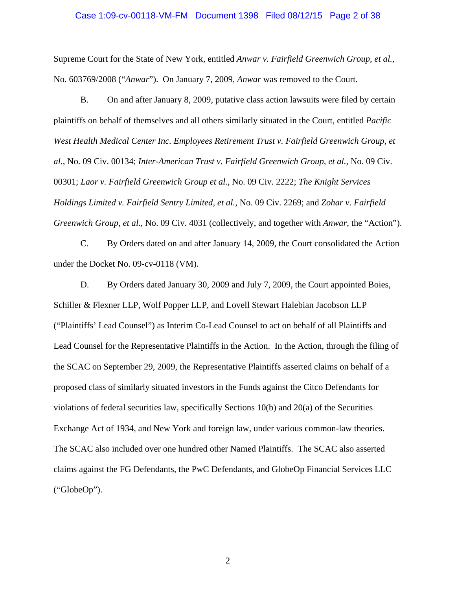### Case 1:09-cv-00118-VM-FM Document 1398 Filed 08/12/15 Page 2 of 38

Supreme Court for the State of New York, entitled *Anwar v. Fairfield Greenwich Group, et al.*, No. 603769/2008 ("*Anwar*"). On January 7, 2009, *Anwar* was removed to the Court.

B. On and after January 8, 2009, putative class action lawsuits were filed by certain plaintiffs on behalf of themselves and all others similarly situated in the Court, entitled *Pacific*  West Health Medical Center Inc. Employees Retirement Trust v. Fairfield Greenwich Group, et *al.*, No. 09 Civ. 00134; *Inter-American Trust v. Fairfield Greenwich Group, et al.*, No. 09 Civ. 00301; *Laor v. Fairfield Greenwich Group et al.*, No. 09 Civ. 2222; *The Knight Services Holdings Limited v. Fairfield Sentry Limited, et al.*, No. 09 Civ. 2269; and *Zohar v. Fairfield Greenwich Group, et al.*, No. 09 Civ. 4031 (collectively, and together with *Anwar*, the "Action").

C. By Orders dated on and after January 14, 2009, the Court consolidated the Action under the Docket No. 09-cv-0118 (VM).

D. By Orders dated January 30, 2009 and July 7, 2009, the Court appointed Boies, Schiller & Flexner LLP, Wolf Popper LLP, and Lovell Stewart Halebian Jacobson LLP ("Plaintiffs' Lead Counsel") as Interim Co-Lead Counsel to act on behalf of all Plaintiffs and Lead Counsel for the Representative Plaintiffs in the Action. In the Action, through the filing of the SCAC on September 29, 2009, the Representative Plaintiffs asserted claims on behalf of a proposed class of similarly situated investors in the Funds against the Citco Defendants for violations of federal securities law, specifically Sections 10(b) and 20(a) of the Securities Exchange Act of 1934, and New York and foreign law, under various common-law theories. The SCAC also included over one hundred other Named Plaintiffs. The SCAC also asserted claims against the FG Defendants, the PwC Defendants, and GlobeOp Financial Services LLC ("GlobeOp").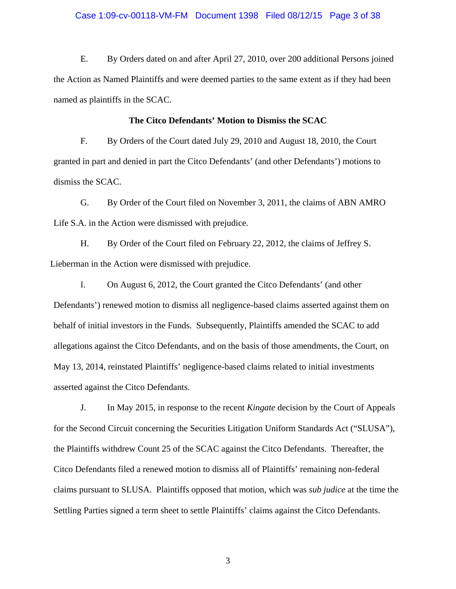### Case 1:09-cv-00118-VM-FM Document 1398 Filed 08/12/15 Page 3 of 38

E. By Orders dated on and after April 27, 2010, over 200 additional Persons joined the Action as Named Plaintiffs and were deemed parties to the same extent as if they had been named as plaintiffs in the SCAC.

### **The Citco Defendants' Motion to Dismiss the SCAC**

F. By Orders of the Court dated July 29, 2010 and August 18, 2010, the Court granted in part and denied in part the Citco Defendants' (and other Defendants') motions to dismiss the SCAC.

G. By Order of the Court filed on November 3, 2011, the claims of ABN AMRO Life S.A. in the Action were dismissed with prejudice.

H. By Order of the Court filed on February 22, 2012, the claims of Jeffrey S. Lieberman in the Action were dismissed with prejudice.

I. On August 6, 2012, the Court granted the Citco Defendants' (and other Defendants') renewed motion to dismiss all negligence-based claims asserted against them on behalf of initial investors in the Funds. Subsequently, Plaintiffs amended the SCAC to add allegations against the Citco Defendants, and on the basis of those amendments, the Court, on May 13, 2014, reinstated Plaintiffs' negligence-based claims related to initial investments asserted against the Citco Defendants.

J. In May 2015, in response to the recent *Kingate* decision by the Court of Appeals for the Second Circuit concerning the Securities Litigation Uniform Standards Act ("SLUSA"), the Plaintiffs withdrew Count 25 of the SCAC against the Citco Defendants. Thereafter, the Citco Defendants filed a renewed motion to dismiss all of Plaintiffs' remaining non-federal claims pursuant to SLUSA. Plaintiffs opposed that motion, which was *sub judice* at the time the Settling Parties signed a term sheet to settle Plaintiffs' claims against the Citco Defendants.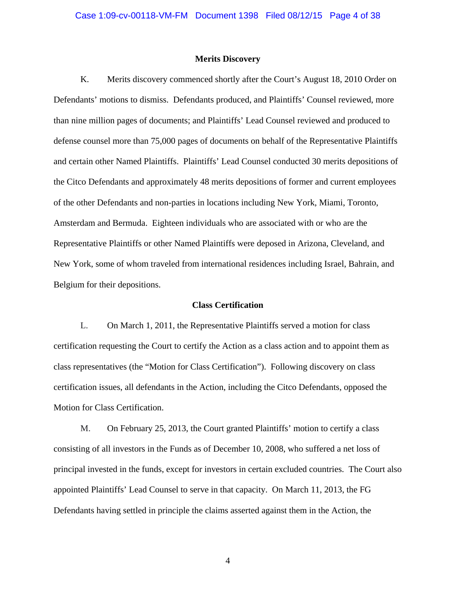#### **Merits Discovery**

K. Merits discovery commenced shortly after the Court's August 18, 2010 Order on Defendants' motions to dismiss. Defendants produced, and Plaintiffs' Counsel reviewed, more than nine million pages of documents; and Plaintiffs' Lead Counsel reviewed and produced to defense counsel more than 75,000 pages of documents on behalf of the Representative Plaintiffs and certain other Named Plaintiffs. Plaintiffs' Lead Counsel conducted 30 merits depositions of the Citco Defendants and approximately 48 merits depositions of former and current employees of the other Defendants and non-parties in locations including New York, Miami, Toronto, Amsterdam and Bermuda. Eighteen individuals who are associated with or who are the Representative Plaintiffs or other Named Plaintiffs were deposed in Arizona, Cleveland, and New York, some of whom traveled from international residences including Israel, Bahrain, and Belgium for their depositions.

### **Class Certification**

L. On March 1, 2011, the Representative Plaintiffs served a motion for class certification requesting the Court to certify the Action as a class action and to appoint them as class representatives (the "Motion for Class Certification"). Following discovery on class certification issues, all defendants in the Action, including the Citco Defendants, opposed the Motion for Class Certification.

M. On February 25, 2013, the Court granted Plaintiffs' motion to certify a class consisting of all investors in the Funds as of December 10, 2008, who suffered a net loss of principal invested in the funds, except for investors in certain excluded countries. The Court also appointed Plaintiffs' Lead Counsel to serve in that capacity. On March 11, 2013, the FG Defendants having settled in principle the claims asserted against them in the Action, the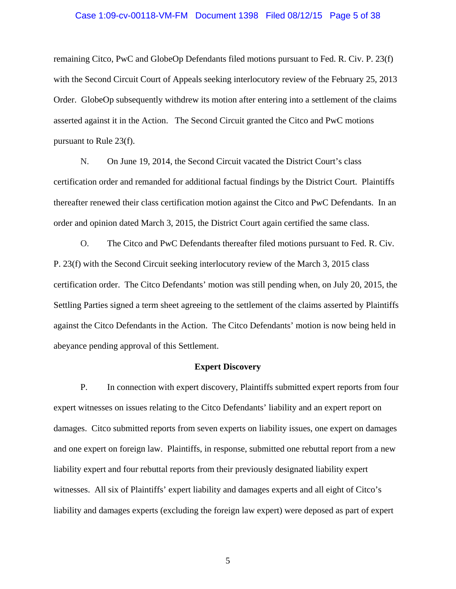# Case 1:09-cv-00118-VM-FM Document 1398 Filed 08/12/15 Page 5 of 38

remaining Citco, PwC and GlobeOp Defendants filed motions pursuant to Fed. R. Civ. P. 23(f) with the Second Circuit Court of Appeals seeking interlocutory review of the February 25, 2013 Order. GlobeOp subsequently withdrew its motion after entering into a settlement of the claims asserted against it in the Action. The Second Circuit granted the Citco and PwC motions pursuant to Rule 23(f).

N. On June 19, 2014, the Second Circuit vacated the District Court's class certification order and remanded for additional factual findings by the District Court. Plaintiffs thereafter renewed their class certification motion against the Citco and PwC Defendants. In an order and opinion dated March 3, 2015, the District Court again certified the same class.

O. The Citco and PwC Defendants thereafter filed motions pursuant to Fed. R. Civ. P. 23(f) with the Second Circuit seeking interlocutory review of the March 3, 2015 class certification order. The Citco Defendants' motion was still pending when, on July 20, 2015, the Settling Parties signed a term sheet agreeing to the settlement of the claims asserted by Plaintiffs against the Citco Defendants in the Action. The Citco Defendants' motion is now being held in abeyance pending approval of this Settlement.

### **Expert Discovery**

P. In connection with expert discovery, Plaintiffs submitted expert reports from four expert witnesses on issues relating to the Citco Defendants' liability and an expert report on damages. Citco submitted reports from seven experts on liability issues, one expert on damages and one expert on foreign law. Plaintiffs, in response, submitted one rebuttal report from a new liability expert and four rebuttal reports from their previously designated liability expert witnesses. All six of Plaintiffs' expert liability and damages experts and all eight of Citco's liability and damages experts (excluding the foreign law expert) were deposed as part of expert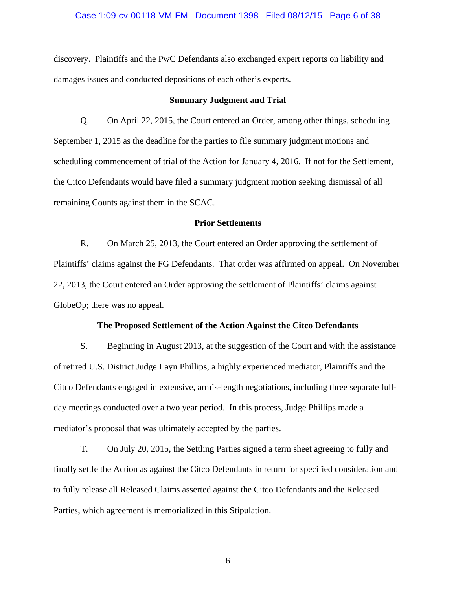### Case 1:09-cv-00118-VM-FM Document 1398 Filed 08/12/15 Page 6 of 38

discovery. Plaintiffs and the PwC Defendants also exchanged expert reports on liability and damages issues and conducted depositions of each other's experts.

### **Summary Judgment and Trial**

Q. On April 22, 2015, the Court entered an Order, among other things, scheduling September 1, 2015 as the deadline for the parties to file summary judgment motions and scheduling commencement of trial of the Action for January 4, 2016. If not for the Settlement, the Citco Defendants would have filed a summary judgment motion seeking dismissal of all remaining Counts against them in the SCAC.

### **Prior Settlements**

R. On March 25, 2013, the Court entered an Order approving the settlement of Plaintiffs' claims against the FG Defendants. That order was affirmed on appeal. On November 22, 2013, the Court entered an Order approving the settlement of Plaintiffs' claims against GlobeOp; there was no appeal.

#### **The Proposed Settlement of the Action Against the Citco Defendants**

S. Beginning in August 2013, at the suggestion of the Court and with the assistance of retired U.S. District Judge Layn Phillips, a highly experienced mediator, Plaintiffs and the Citco Defendants engaged in extensive, arm's-length negotiations, including three separate fullday meetings conducted over a two year period. In this process, Judge Phillips made a mediator's proposal that was ultimately accepted by the parties.

T. On July 20, 2015, the Settling Parties signed a term sheet agreeing to fully and finally settle the Action as against the Citco Defendants in return for specified consideration and to fully release all Released Claims asserted against the Citco Defendants and the Released Parties, which agreement is memorialized in this Stipulation.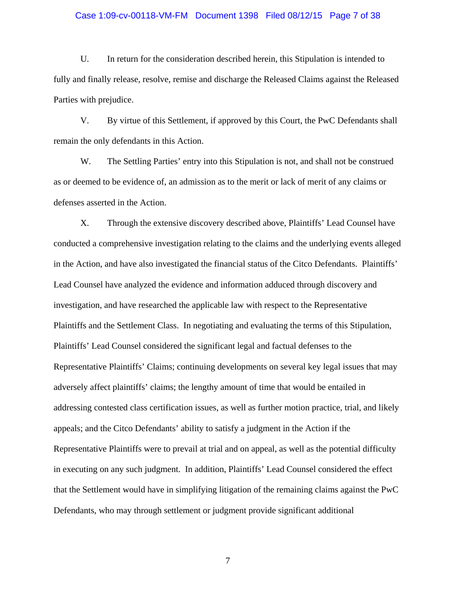### Case 1:09-cv-00118-VM-FM Document 1398 Filed 08/12/15 Page 7 of 38

U. In return for the consideration described herein, this Stipulation is intended to fully and finally release, resolve, remise and discharge the Released Claims against the Released Parties with prejudice.

V. By virtue of this Settlement, if approved by this Court, the PwC Defendants shall remain the only defendants in this Action.

W. The Settling Parties' entry into this Stipulation is not, and shall not be construed as or deemed to be evidence of, an admission as to the merit or lack of merit of any claims or defenses asserted in the Action.

X. Through the extensive discovery described above, Plaintiffs' Lead Counsel have conducted a comprehensive investigation relating to the claims and the underlying events alleged in the Action, and have also investigated the financial status of the Citco Defendants. Plaintiffs' Lead Counsel have analyzed the evidence and information adduced through discovery and investigation, and have researched the applicable law with respect to the Representative Plaintiffs and the Settlement Class. In negotiating and evaluating the terms of this Stipulation, Plaintiffs' Lead Counsel considered the significant legal and factual defenses to the Representative Plaintiffs' Claims; continuing developments on several key legal issues that may adversely affect plaintiffs' claims; the lengthy amount of time that would be entailed in addressing contested class certification issues, as well as further motion practice, trial, and likely appeals; and the Citco Defendants' ability to satisfy a judgment in the Action if the Representative Plaintiffs were to prevail at trial and on appeal, as well as the potential difficulty in executing on any such judgment. In addition, Plaintiffs' Lead Counsel considered the effect that the Settlement would have in simplifying litigation of the remaining claims against the PwC Defendants, who may through settlement or judgment provide significant additional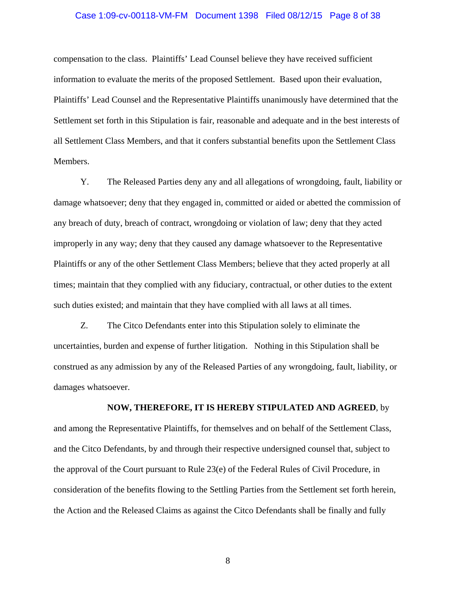# Case 1:09-cv-00118-VM-FM Document 1398 Filed 08/12/15 Page 8 of 38

compensation to the class. Plaintiffs' Lead Counsel believe they have received sufficient information to evaluate the merits of the proposed Settlement. Based upon their evaluation, Plaintiffs' Lead Counsel and the Representative Plaintiffs unanimously have determined that the Settlement set forth in this Stipulation is fair, reasonable and adequate and in the best interests of all Settlement Class Members, and that it confers substantial benefits upon the Settlement Class Members.

Y. The Released Parties deny any and all allegations of wrongdoing, fault, liability or damage whatsoever; deny that they engaged in, committed or aided or abetted the commission of any breach of duty, breach of contract, wrongdoing or violation of law; deny that they acted improperly in any way; deny that they caused any damage whatsoever to the Representative Plaintiffs or any of the other Settlement Class Members; believe that they acted properly at all times; maintain that they complied with any fiduciary, contractual, or other duties to the extent such duties existed; and maintain that they have complied with all laws at all times.

Z. The Citco Defendants enter into this Stipulation solely to eliminate the uncertainties, burden and expense of further litigation. Nothing in this Stipulation shall be construed as any admission by any of the Released Parties of any wrongdoing, fault, liability, or damages whatsoever.

## **NOW, THEREFORE, IT IS HEREBY STIPULATED AND AGREED**, by

and among the Representative Plaintiffs, for themselves and on behalf of the Settlement Class, and the Citco Defendants, by and through their respective undersigned counsel that, subject to the approval of the Court pursuant to Rule 23(e) of the Federal Rules of Civil Procedure, in consideration of the benefits flowing to the Settling Parties from the Settlement set forth herein, the Action and the Released Claims as against the Citco Defendants shall be finally and fully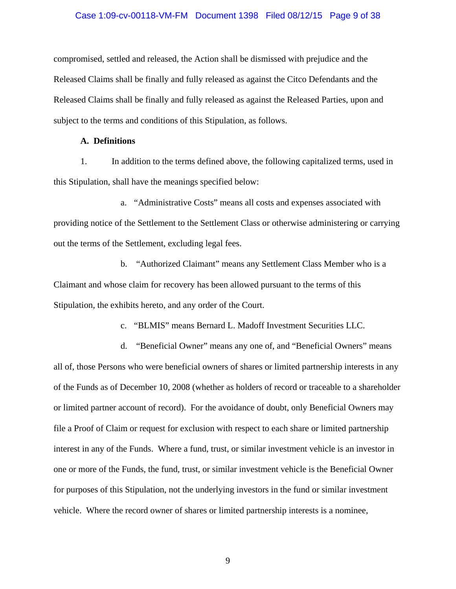### Case 1:09-cv-00118-VM-FM Document 1398 Filed 08/12/15 Page 9 of 38

compromised, settled and released, the Action shall be dismissed with prejudice and the Released Claims shall be finally and fully released as against the Citco Defendants and the Released Claims shall be finally and fully released as against the Released Parties, upon and subject to the terms and conditions of this Stipulation, as follows.

# **A. Definitions**

1. In addition to the terms defined above, the following capitalized terms, used in this Stipulation, shall have the meanings specified below:

a. "Administrative Costs" means all costs and expenses associated with providing notice of the Settlement to the Settlement Class or otherwise administering or carrying out the terms of the Settlement, excluding legal fees.

b. "Authorized Claimant" means any Settlement Class Member who is a Claimant and whose claim for recovery has been allowed pursuant to the terms of this Stipulation, the exhibits hereto, and any order of the Court.

c. "BLMIS" means Bernard L. Madoff Investment Securities LLC.

d. "Beneficial Owner" means any one of, and "Beneficial Owners" means all of, those Persons who were beneficial owners of shares or limited partnership interests in any of the Funds as of December 10, 2008 (whether as holders of record or traceable to a shareholder or limited partner account of record). For the avoidance of doubt, only Beneficial Owners may file a Proof of Claim or request for exclusion with respect to each share or limited partnership interest in any of the Funds. Where a fund, trust, or similar investment vehicle is an investor in one or more of the Funds, the fund, trust, or similar investment vehicle is the Beneficial Owner for purposes of this Stipulation, not the underlying investors in the fund or similar investment vehicle. Where the record owner of shares or limited partnership interests is a nominee,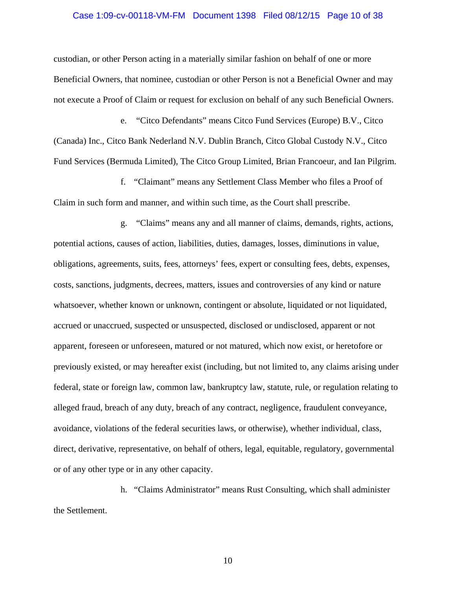### Case 1:09-cv-00118-VM-FM Document 1398 Filed 08/12/15 Page 10 of 38

custodian, or other Person acting in a materially similar fashion on behalf of one or more Beneficial Owners, that nominee, custodian or other Person is not a Beneficial Owner and may not execute a Proof of Claim or request for exclusion on behalf of any such Beneficial Owners.

e. "Citco Defendants" means Citco Fund Services (Europe) B.V., Citco (Canada) Inc., Citco Bank Nederland N.V. Dublin Branch, Citco Global Custody N.V., Citco Fund Services (Bermuda Limited), The Citco Group Limited, Brian Francoeur, and Ian Pilgrim.

f. "Claimant" means any Settlement Class Member who files a Proof of Claim in such form and manner, and within such time, as the Court shall prescribe.

g. "Claims" means any and all manner of claims, demands, rights, actions, potential actions, causes of action, liabilities, duties, damages, losses, diminutions in value, obligations, agreements, suits, fees, attorneys' fees, expert or consulting fees, debts, expenses, costs, sanctions, judgments, decrees, matters, issues and controversies of any kind or nature whatsoever, whether known or unknown, contingent or absolute, liquidated or not liquidated, accrued or unaccrued, suspected or unsuspected, disclosed or undisclosed, apparent or not apparent, foreseen or unforeseen, matured or not matured, which now exist, or heretofore or previously existed, or may hereafter exist (including, but not limited to, any claims arising under federal, state or foreign law, common law, bankruptcy law, statute, rule, or regulation relating to alleged fraud, breach of any duty, breach of any contract, negligence, fraudulent conveyance, avoidance, violations of the federal securities laws, or otherwise), whether individual, class, direct, derivative, representative, on behalf of others, legal, equitable, regulatory, governmental or of any other type or in any other capacity.

h. "Claims Administrator" means Rust Consulting, which shall administer the Settlement.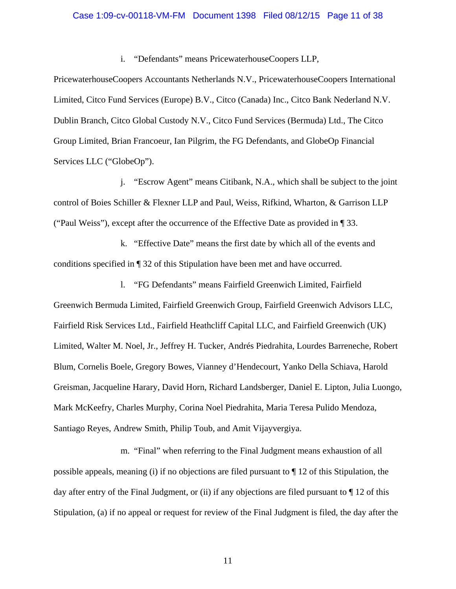### Case 1:09-cv-00118-VM-FM Document 1398 Filed 08/12/15 Page 11 of 38

i. "Defendants" means PricewaterhouseCoopers LLP,

PricewaterhouseCoopers Accountants Netherlands N.V., PricewaterhouseCoopers International Limited, Citco Fund Services (Europe) B.V., Citco (Canada) Inc., Citco Bank Nederland N.V. Dublin Branch, Citco Global Custody N.V., Citco Fund Services (Bermuda) Ltd., The Citco Group Limited, Brian Francoeur, Ian Pilgrim, the FG Defendants, and GlobeOp Financial Services LLC ("GlobeOp").

j. "Escrow Agent" means Citibank, N.A., which shall be subject to the joint control of Boies Schiller & Flexner LLP and Paul, Weiss, Rifkind, Wharton, & Garrison LLP ("Paul Weiss"), except after the occurrence of the Effective Date as provided in ¶ 33.

k. "Effective Date" means the first date by which all of the events and conditions specified in ¶ 32 of this Stipulation have been met and have occurred.

l. "FG Defendants" means Fairfield Greenwich Limited, Fairfield Greenwich Bermuda Limited, Fairfield Greenwich Group, Fairfield Greenwich Advisors LLC, Fairfield Risk Services Ltd., Fairfield Heathcliff Capital LLC, and Fairfield Greenwich (UK) Limited, Walter M. Noel, Jr., Jeffrey H. Tucker, Andrés Piedrahita, Lourdes Barreneche, Robert Blum, Cornelis Boele, Gregory Bowes, Vianney d'Hendecourt, Yanko Della Schiava, Harold Greisman, Jacqueline Harary, David Horn, Richard Landsberger, Daniel E. Lipton, Julia Luongo, Mark McKeefry, Charles Murphy, Corina Noel Piedrahita, Maria Teresa Pulido Mendoza, Santiago Reyes, Andrew Smith, Philip Toub, and Amit Vijayvergiya.

m. "Final" when referring to the Final Judgment means exhaustion of all possible appeals, meaning (i) if no objections are filed pursuant to ¶ 12 of this Stipulation, the day after entry of the Final Judgment, or (ii) if any objections are filed pursuant to ¶ 12 of this Stipulation, (a) if no appeal or request for review of the Final Judgment is filed, the day after the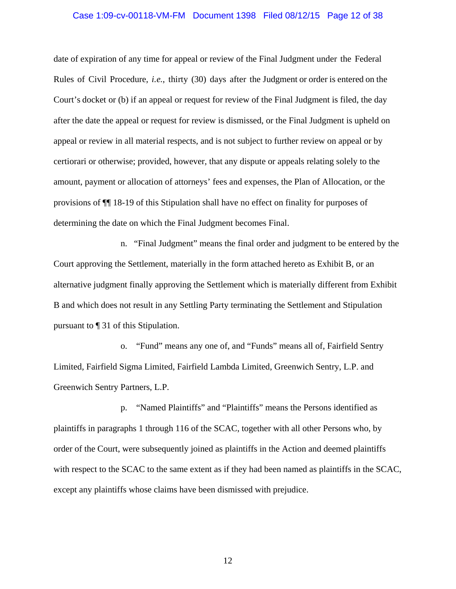### Case 1:09-cv-00118-VM-FM Document 1398 Filed 08/12/15 Page 12 of 38

date of expiration of any time for appeal or review of the Final Judgment under the Federal Rules of Civil Procedure, *i.e.*, thirty (30) days after the Judgment or order is entered on the Court's docket or (b) if an appeal or request for review of the Final Judgment is filed, the day after the date the appeal or request for review is dismissed, or the Final Judgment is upheld on appeal or review in all material respects, and is not subject to further review on appeal or by certiorari or otherwise; provided, however*,* that any dispute or appeals relating solely to the amount, payment or allocation of attorneys' fees and expenses, the Plan of Allocation, or the provisions of ¶¶ 18-19 of this Stipulation shall have no effect on finality for purposes of determining the date on which the Final Judgment becomes Final.

n. "Final Judgment" means the final order and judgment to be entered by the Court approving the Settlement, materially in the form attached hereto as Exhibit B, or an alternative judgment finally approving the Settlement which is materially different from Exhibit B and which does not result in any Settling Party terminating the Settlement and Stipulation pursuant to ¶ 31 of this Stipulation.

o. "Fund" means any one of, and "Funds" means all of, Fairfield Sentry Limited, Fairfield Sigma Limited, Fairfield Lambda Limited, Greenwich Sentry, L.P. and Greenwich Sentry Partners, L.P.

p. "Named Plaintiffs" and "Plaintiffs" means the Persons identified as plaintiffs in paragraphs 1 through 116 of the SCAC, together with all other Persons who, by order of the Court, were subsequently joined as plaintiffs in the Action and deemed plaintiffs with respect to the SCAC to the same extent as if they had been named as plaintiffs in the SCAC, except any plaintiffs whose claims have been dismissed with prejudice.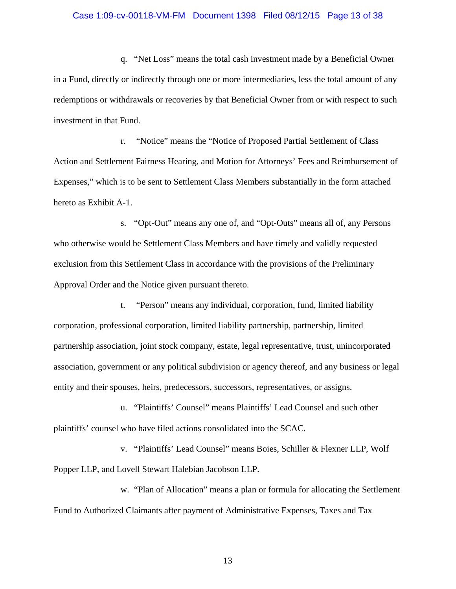### Case 1:09-cv-00118-VM-FM Document 1398 Filed 08/12/15 Page 13 of 38

q. "Net Loss" means the total cash investment made by a Beneficial Owner in a Fund, directly or indirectly through one or more intermediaries, less the total amount of any redemptions or withdrawals or recoveries by that Beneficial Owner from or with respect to such investment in that Fund.

r. "Notice" means the "Notice of Proposed Partial Settlement of Class Action and Settlement Fairness Hearing, and Motion for Attorneys' Fees and Reimbursement of Expenses," which is to be sent to Settlement Class Members substantially in the form attached hereto as Exhibit A-1.

s. "Opt-Out" means any one of, and "Opt-Outs" means all of, any Persons who otherwise would be Settlement Class Members and have timely and validly requested exclusion from this Settlement Class in accordance with the provisions of the Preliminary Approval Order and the Notice given pursuant thereto.

t. "Person" means any individual, corporation, fund, limited liability corporation, professional corporation, limited liability partnership, partnership, limited partnership association, joint stock company, estate, legal representative, trust, unincorporated association, government or any political subdivision or agency thereof, and any business or legal entity and their spouses, heirs, predecessors, successors, representatives, or assigns.

u. "Plaintiffs' Counsel" means Plaintiffs' Lead Counsel and such other plaintiffs' counsel who have filed actions consolidated into the SCAC.

v. "Plaintiffs' Lead Counsel" means Boies, Schiller & Flexner LLP, Wolf Popper LLP, and Lovell Stewart Halebian Jacobson LLP.

w. "Plan of Allocation" means a plan or formula for allocating the Settlement Fund to Authorized Claimants after payment of Administrative Expenses, Taxes and Tax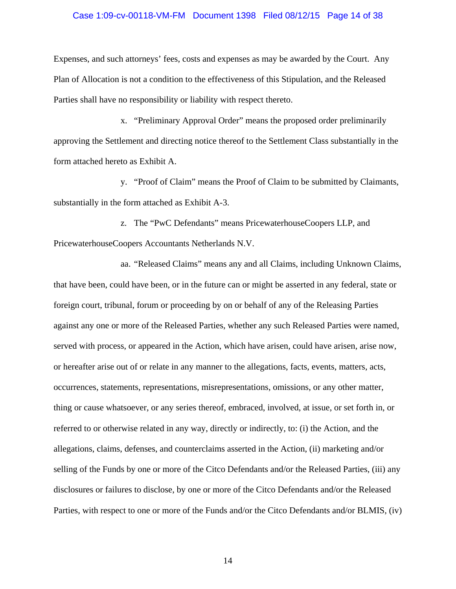### Case 1:09-cv-00118-VM-FM Document 1398 Filed 08/12/15 Page 14 of 38

Expenses, and such attorneys' fees, costs and expenses as may be awarded by the Court. Any Plan of Allocation is not a condition to the effectiveness of this Stipulation, and the Released Parties shall have no responsibility or liability with respect thereto.

x. "Preliminary Approval Order" means the proposed order preliminarily approving the Settlement and directing notice thereof to the Settlement Class substantially in the form attached hereto as Exhibit A.

y. "Proof of Claim" means the Proof of Claim to be submitted by Claimants, substantially in the form attached as Exhibit A-3.

z. The "PwC Defendants" means PricewaterhouseCoopers LLP, and PricewaterhouseCoopers Accountants Netherlands N.V.

aa. "Released Claims" means any and all Claims, including Unknown Claims, that have been, could have been, or in the future can or might be asserted in any federal, state or foreign court, tribunal, forum or proceeding by on or behalf of any of the Releasing Parties against any one or more of the Released Parties, whether any such Released Parties were named, served with process, or appeared in the Action, which have arisen, could have arisen, arise now, or hereafter arise out of or relate in any manner to the allegations, facts, events, matters, acts, occurrences, statements, representations, misrepresentations, omissions, or any other matter, thing or cause whatsoever, or any series thereof, embraced, involved, at issue, or set forth in, or referred to or otherwise related in any way, directly or indirectly, to: (i) the Action, and the allegations, claims, defenses, and counterclaims asserted in the Action, (ii) marketing and/or selling of the Funds by one or more of the Citco Defendants and/or the Released Parties, (iii) any disclosures or failures to disclose, by one or more of the Citco Defendants and/or the Released Parties, with respect to one or more of the Funds and/or the Citco Defendants and/or BLMIS, (iv)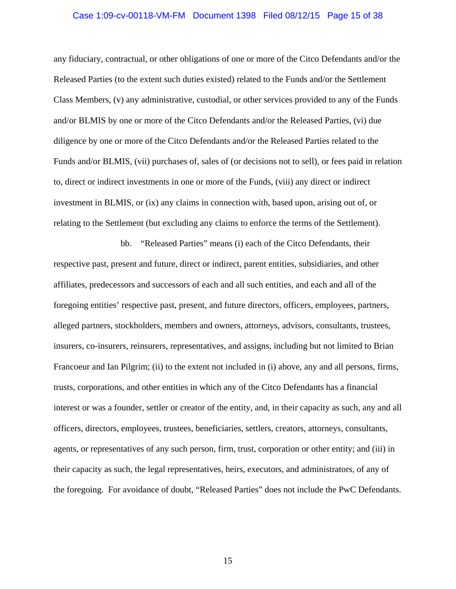### Case 1:09-cv-00118-VM-FM Document 1398 Filed 08/12/15 Page 15 of 38

any fiduciary, contractual, or other obligations of one or more of the Citco Defendants and/or the Released Parties (to the extent such duties existed) related to the Funds and/or the Settlement Class Members, (v) any administrative, custodial, or other services provided to any of the Funds and/or BLMIS by one or more of the Citco Defendants and/or the Released Parties, (vi) due diligence by one or more of the Citco Defendants and/or the Released Parties related to the Funds and/or BLMIS, (vii) purchases of, sales of (or decisions not to sell), or fees paid in relation to, direct or indirect investments in one or more of the Funds, (viii) any direct or indirect investment in BLMIS, or (ix) any claims in connection with, based upon, arising out of, or relating to the Settlement (but excluding any claims to enforce the terms of the Settlement).

bb. "Released Parties" means (i) each of the Citco Defendants, their respective past, present and future, direct or indirect, parent entities, subsidiaries, and other affiliates, predecessors and successors of each and all such entities, and each and all of the foregoing entities' respective past, present, and future directors, officers, employees, partners, alleged partners, stockholders, members and owners, attorneys, advisors, consultants, trustees, insurers, co-insurers, reinsurers, representatives, and assigns, including but not limited to Brian Francoeur and Ian Pilgrim; (ii) to the extent not included in (i) above, any and all persons, firms, trusts, corporations, and other entities in which any of the Citco Defendants has a financial interest or was a founder, settler or creator of the entity, and, in their capacity as such, any and all officers, directors, employees, trustees, beneficiaries, settlers, creators, attorneys, consultants, agents, or representatives of any such person, firm, trust, corporation or other entity; and (iii) in their capacity as such, the legal representatives, heirs, executors, and administrators, of any of the foregoing. For avoidance of doubt, "Released Parties" does not include the PwC Defendants.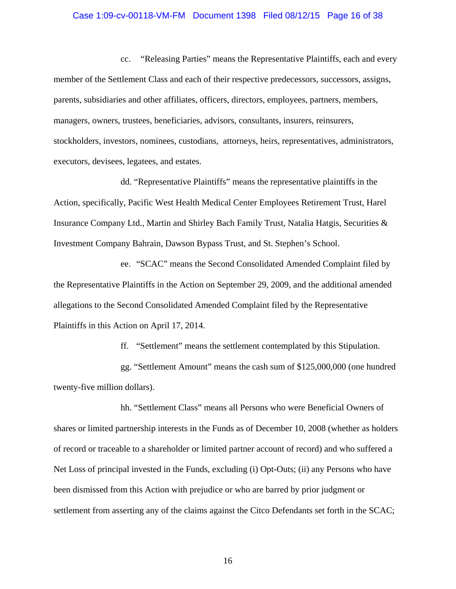#### Case 1:09-cv-00118-VM-FM Document 1398 Filed 08/12/15 Page 16 of 38

cc. "Releasing Parties" means the Representative Plaintiffs, each and every member of the Settlement Class and each of their respective predecessors, successors, assigns, parents, subsidiaries and other affiliates, officers, directors, employees, partners, members, managers, owners, trustees, beneficiaries, advisors, consultants, insurers, reinsurers, stockholders, investors, nominees, custodians, attorneys, heirs, representatives, administrators, executors, devisees, legatees, and estates.

dd. "Representative Plaintiffs" means the representative plaintiffs in the Action, specifically, Pacific West Health Medical Center Employees Retirement Trust, Harel Insurance Company Ltd., Martin and Shirley Bach Family Trust, Natalia Hatgis, Securities & Investment Company Bahrain, Dawson Bypass Trust, and St. Stephen's School.

ee. "SCAC" means the Second Consolidated Amended Complaint filed by the Representative Plaintiffs in the Action on September 29, 2009, and the additional amended allegations to the Second Consolidated Amended Complaint filed by the Representative Plaintiffs in this Action on April 17, 2014.

ff. "Settlement" means the settlement contemplated by this Stipulation.

gg. "Settlement Amount" means the cash sum of \$125,000,000 (one hundred twenty-five million dollars).

hh. "Settlement Class" means all Persons who were Beneficial Owners of shares or limited partnership interests in the Funds as of December 10, 2008 (whether as holders of record or traceable to a shareholder or limited partner account of record) and who suffered a Net Loss of principal invested in the Funds, excluding (i) Opt-Outs; (ii) any Persons who have been dismissed from this Action with prejudice or who are barred by prior judgment or settlement from asserting any of the claims against the Citco Defendants set forth in the SCAC;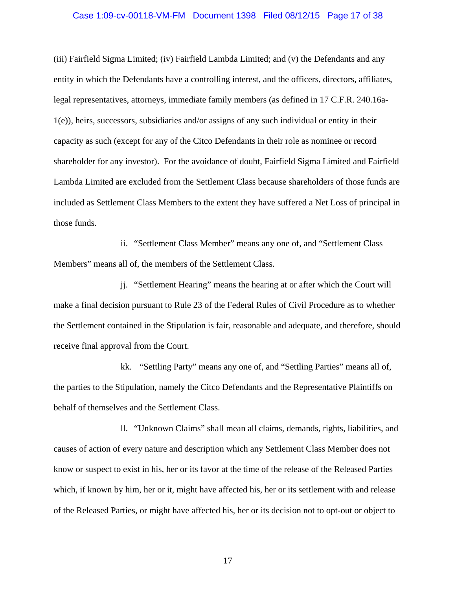### Case 1:09-cv-00118-VM-FM Document 1398 Filed 08/12/15 Page 17 of 38

(iii) Fairfield Sigma Limited; (iv) Fairfield Lambda Limited; and (v) the Defendants and any entity in which the Defendants have a controlling interest, and the officers, directors, affiliates, legal representatives, attorneys, immediate family members (as defined in 17 C.F.R. 240.16a-1(e)), heirs, successors, subsidiaries and/or assigns of any such individual or entity in their capacity as such (except for any of the Citco Defendants in their role as nominee or record shareholder for any investor). For the avoidance of doubt, Fairfield Sigma Limited and Fairfield Lambda Limited are excluded from the Settlement Class because shareholders of those funds are included as Settlement Class Members to the extent they have suffered a Net Loss of principal in those funds.

ii. "Settlement Class Member" means any one of, and "Settlement Class Members" means all of, the members of the Settlement Class.

jj. "Settlement Hearing" means the hearing at or after which the Court will make a final decision pursuant to Rule 23 of the Federal Rules of Civil Procedure as to whether the Settlement contained in the Stipulation is fair, reasonable and adequate, and therefore, should receive final approval from the Court.

kk. "Settling Party" means any one of, and "Settling Parties" means all of, the parties to the Stipulation, namely the Citco Defendants and the Representative Plaintiffs on behalf of themselves and the Settlement Class.

ll. "Unknown Claims" shall mean all claims, demands, rights, liabilities, and causes of action of every nature and description which any Settlement Class Member does not know or suspect to exist in his, her or its favor at the time of the release of the Released Parties which, if known by him, her or it, might have affected his, her or its settlement with and release of the Released Parties, or might have affected his, her or its decision not to opt-out or object to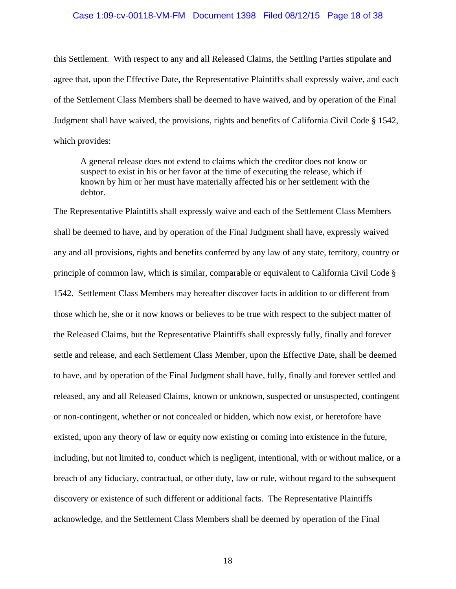#### Case 1:09-cv-00118-VM-FM Document 1398 Filed 08/12/15 Page 18 of 38

this Settlement. With respect to any and all Released Claims, the Settling Parties stipulate and agree that, upon the Effective Date, the Representative Plaintiffs shall expressly waive, and each of the Settlement Class Members shall be deemed to have waived, and by operation of the Final Judgment shall have waived, the provisions, rights and benefits of California Civil Code § 1542, which provides:

A general release does not extend to claims which the creditor does not know or suspect to exist in his or her favor at the time of executing the release, which if known by him or her must have materially affected his or her settlement with the debtor.

The Representative Plaintiffs shall expressly waive and each of the Settlement Class Members shall be deemed to have, and by operation of the Final Judgment shall have, expressly waived any and all provisions, rights and benefits conferred by any law of any state, territory, country or principle of common law, which is similar, comparable or equivalent to California Civil Code § 1542. Settlement Class Members may hereafter discover facts in addition to or different from those which he, she or it now knows or believes to be true with respect to the subject matter of the Released Claims, but the Representative Plaintiffs shall expressly fully, finally and forever settle and release, and each Settlement Class Member, upon the Effective Date, shall be deemed to have, and by operation of the Final Judgment shall have, fully, finally and forever settled and released, any and all Released Claims, known or unknown, suspected or unsuspected, contingent or non-contingent, whether or not concealed or hidden, which now exist, or heretofore have existed, upon any theory of law or equity now existing or coming into existence in the future, including, but not limited to, conduct which is negligent, intentional, with or without malice, or a breach of any fiduciary, contractual, or other duty, law or rule, without regard to the subsequent discovery or existence of such different or additional facts. The Representative Plaintiffs acknowledge, and the Settlement Class Members shall be deemed by operation of the Final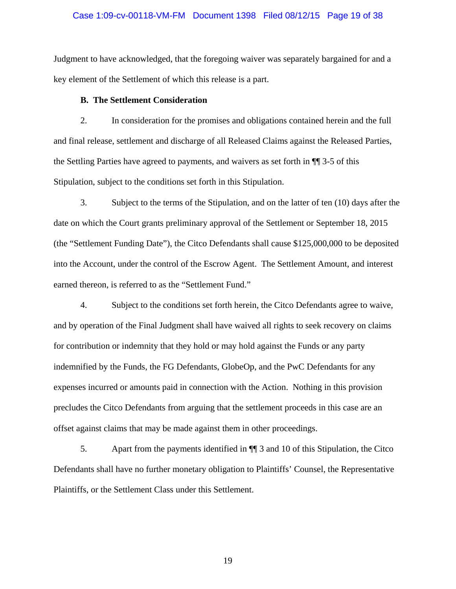### Case 1:09-cv-00118-VM-FM Document 1398 Filed 08/12/15 Page 19 of 38

Judgment to have acknowledged, that the foregoing waiver was separately bargained for and a key element of the Settlement of which this release is a part.

### **B. The Settlement Consideration**

2. In consideration for the promises and obligations contained herein and the full and final release, settlement and discharge of all Released Claims against the Released Parties, the Settling Parties have agreed to payments, and waivers as set forth in ¶¶ 3-5 of this Stipulation, subject to the conditions set forth in this Stipulation.

3. Subject to the terms of the Stipulation, and on the latter of ten (10) days after the date on which the Court grants preliminary approval of the Settlement or September 18, 2015 (the "Settlement Funding Date"), the Citco Defendants shall cause \$125,000,000 to be deposited into the Account, under the control of the Escrow Agent. The Settlement Amount, and interest earned thereon, is referred to as the "Settlement Fund."

4. Subject to the conditions set forth herein, the Citco Defendants agree to waive, and by operation of the Final Judgment shall have waived all rights to seek recovery on claims for contribution or indemnity that they hold or may hold against the Funds or any party indemnified by the Funds, the FG Defendants, GlobeOp, and the PwC Defendants for any expenses incurred or amounts paid in connection with the Action. Nothing in this provision precludes the Citco Defendants from arguing that the settlement proceeds in this case are an offset against claims that may be made against them in other proceedings.

5. Apart from the payments identified in ¶¶ 3 and 10 of this Stipulation, the Citco Defendants shall have no further monetary obligation to Plaintiffs' Counsel, the Representative Plaintiffs, or the Settlement Class under this Settlement.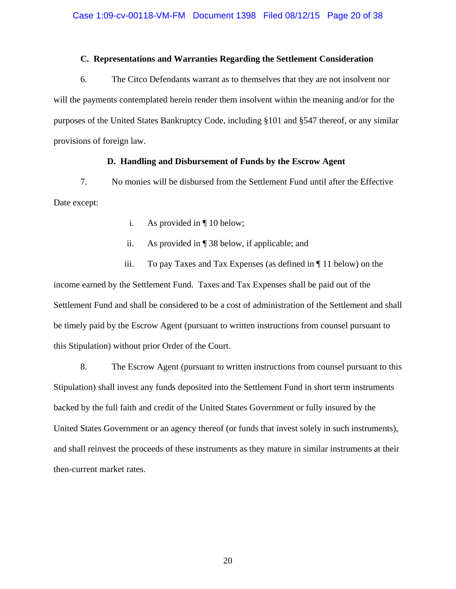## **C. Representations and Warranties Regarding the Settlement Consideration**

6. The Citco Defendants warrant as to themselves that they are not insolvent nor will the payments contemplated herein render them insolvent within the meaning and/or for the purposes of the United States Bankruptcy Code, including §101 and §547 thereof, or any similar provisions of foreign law.

## **D. Handling and Disbursement of Funds by the Escrow Agent**

7. No monies will be disbursed from the Settlement Fund until after the Effective Date except:

- i. As provided in ¶ 10 below;
- ii. As provided in ¶ 38 below, if applicable; and

iii. To pay Taxes and Tax Expenses (as defined in ¶ 11 below) on the income earned by the Settlement Fund. Taxes and Tax Expenses shall be paid out of the Settlement Fund and shall be considered to be a cost of administration of the Settlement and shall be timely paid by the Escrow Agent (pursuant to written instructions from counsel pursuant to this Stipulation) without prior Order of the Court.

8. The Escrow Agent (pursuant to written instructions from counsel pursuant to this Stipulation) shall invest any funds deposited into the Settlement Fund in short term instruments backed by the full faith and credit of the United States Government or fully insured by the United States Government or an agency thereof (or funds that invest solely in such instruments), and shall reinvest the proceeds of these instruments as they mature in similar instruments at their then-current market rates.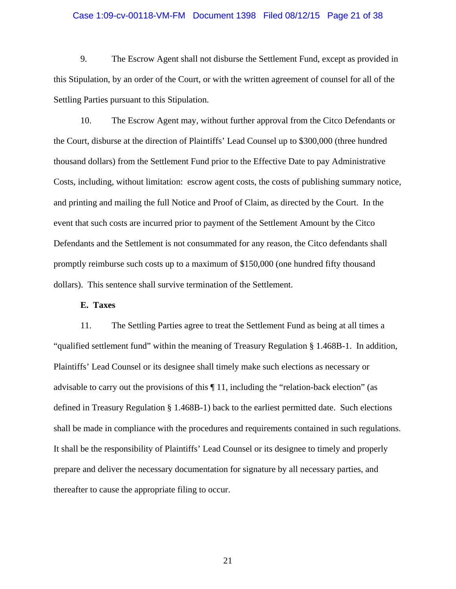### Case 1:09-cv-00118-VM-FM Document 1398 Filed 08/12/15 Page 21 of 38

9. The Escrow Agent shall not disburse the Settlement Fund, except as provided in this Stipulation, by an order of the Court, or with the written agreement of counsel for all of the Settling Parties pursuant to this Stipulation.

10. The Escrow Agent may, without further approval from the Citco Defendants or the Court, disburse at the direction of Plaintiffs' Lead Counsel up to \$300,000 (three hundred thousand dollars) from the Settlement Fund prior to the Effective Date to pay Administrative Costs, including, without limitation: escrow agent costs, the costs of publishing summary notice, and printing and mailing the full Notice and Proof of Claim, as directed by the Court. In the event that such costs are incurred prior to payment of the Settlement Amount by the Citco Defendants and the Settlement is not consummated for any reason, the Citco defendants shall promptly reimburse such costs up to a maximum of \$150,000 (one hundred fifty thousand dollars). This sentence shall survive termination of the Settlement.

### **E. Taxes**

11. The Settling Parties agree to treat the Settlement Fund as being at all times a "qualified settlement fund" within the meaning of Treasury Regulation § 1.468B-1. In addition, Plaintiffs' Lead Counsel or its designee shall timely make such elections as necessary or advisable to carry out the provisions of this  $\P$  11, including the "relation-back election" (as defined in Treasury Regulation § 1.468B-1) back to the earliest permitted date. Such elections shall be made in compliance with the procedures and requirements contained in such regulations. It shall be the responsibility of Plaintiffs' Lead Counsel or its designee to timely and properly prepare and deliver the necessary documentation for signature by all necessary parties, and thereafter to cause the appropriate filing to occur.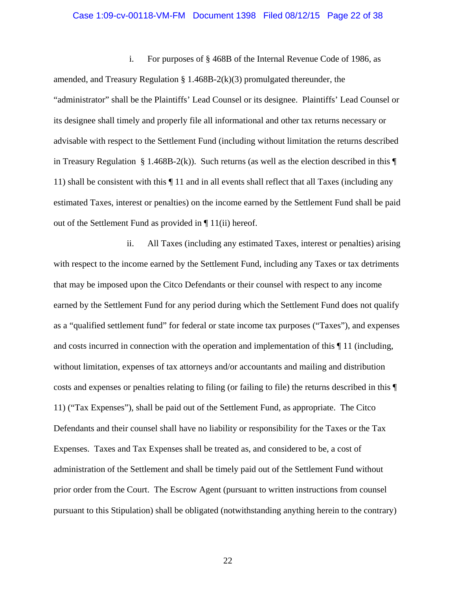#### Case 1:09-cv-00118-VM-FM Document 1398 Filed 08/12/15 Page 22 of 38

i. For purposes of § 468B of the Internal Revenue Code of 1986, as amended, and Treasury Regulation § 1.468B-2(k)(3) promulgated thereunder, the "administrator" shall be the Plaintiffs' Lead Counsel or its designee. Plaintiffs' Lead Counsel or its designee shall timely and properly file all informational and other tax returns necessary or advisable with respect to the Settlement Fund (including without limitation the returns described in Treasury Regulation § 1.468B-2(k)). Such returns (as well as the election described in this  $\P$ 11) shall be consistent with this ¶ 11 and in all events shall reflect that all Taxes (including any estimated Taxes, interest or penalties) on the income earned by the Settlement Fund shall be paid out of the Settlement Fund as provided in ¶ 11(ii) hereof.

ii. All Taxes (including any estimated Taxes, interest or penalties) arising with respect to the income earned by the Settlement Fund, including any Taxes or tax detriments that may be imposed upon the Citco Defendants or their counsel with respect to any income earned by the Settlement Fund for any period during which the Settlement Fund does not qualify as a "qualified settlement fund" for federal or state income tax purposes ("Taxes"), and expenses and costs incurred in connection with the operation and implementation of this ¶ 11 (including, without limitation, expenses of tax attorneys and/or accountants and mailing and distribution costs and expenses or penalties relating to filing (or failing to file) the returns described in this ¶ 11) ("Tax Expenses"), shall be paid out of the Settlement Fund, as appropriate. The Citco Defendants and their counsel shall have no liability or responsibility for the Taxes or the Tax Expenses. Taxes and Tax Expenses shall be treated as, and considered to be, a cost of administration of the Settlement and shall be timely paid out of the Settlement Fund without prior order from the Court. The Escrow Agent (pursuant to written instructions from counsel pursuant to this Stipulation) shall be obligated (notwithstanding anything herein to the contrary)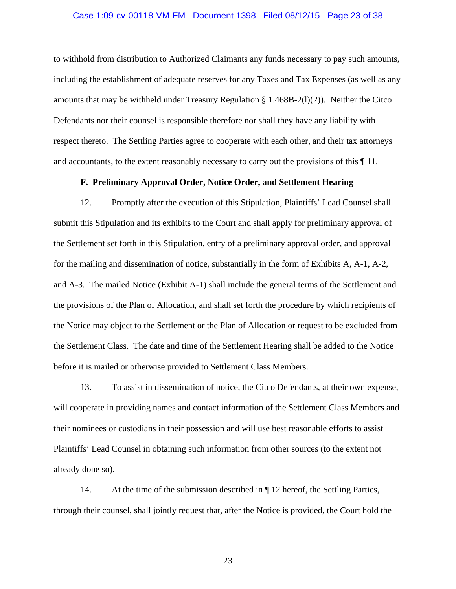# Case 1:09-cv-00118-VM-FM Document 1398 Filed 08/12/15 Page 23 of 38

to withhold from distribution to Authorized Claimants any funds necessary to pay such amounts, including the establishment of adequate reserves for any Taxes and Tax Expenses (as well as any amounts that may be withheld under Treasury Regulation § 1.468B-2(l)(2)). Neither the Citco Defendants nor their counsel is responsible therefore nor shall they have any liability with respect thereto. The Settling Parties agree to cooperate with each other, and their tax attorneys and accountants, to the extent reasonably necessary to carry out the provisions of this ¶ 11.

## **F. Preliminary Approval Order, Notice Order, and Settlement Hearing**

12. Promptly after the execution of this Stipulation, Plaintiffs' Lead Counsel shall submit this Stipulation and its exhibits to the Court and shall apply for preliminary approval of the Settlement set forth in this Stipulation, entry of a preliminary approval order, and approval for the mailing and dissemination of notice, substantially in the form of Exhibits A, A-1, A-2, and A-3. The mailed Notice (Exhibit A-1) shall include the general terms of the Settlement and the provisions of the Plan of Allocation, and shall set forth the procedure by which recipients of the Notice may object to the Settlement or the Plan of Allocation or request to be excluded from the Settlement Class. The date and time of the Settlement Hearing shall be added to the Notice before it is mailed or otherwise provided to Settlement Class Members.

13. To assist in dissemination of notice, the Citco Defendants, at their own expense, will cooperate in providing names and contact information of the Settlement Class Members and their nominees or custodians in their possession and will use best reasonable efforts to assist Plaintiffs' Lead Counsel in obtaining such information from other sources (to the extent not already done so).

14. At the time of the submission described in ¶ 12 hereof, the Settling Parties, through their counsel, shall jointly request that, after the Notice is provided, the Court hold the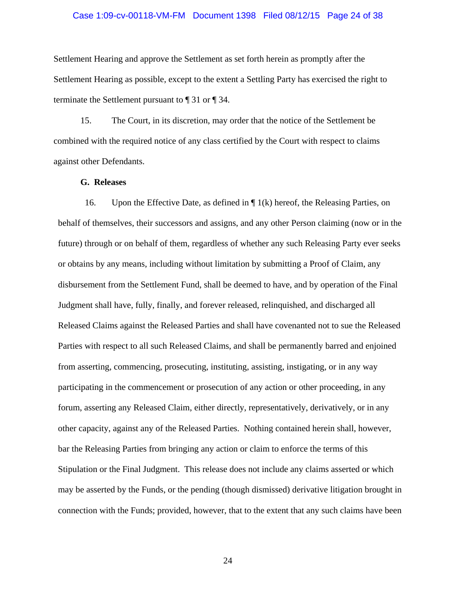### Case 1:09-cv-00118-VM-FM Document 1398 Filed 08/12/15 Page 24 of 38

Settlement Hearing and approve the Settlement as set forth herein as promptly after the Settlement Hearing as possible, except to the extent a Settling Party has exercised the right to terminate the Settlement pursuant to ¶ 31 or ¶ 34.

15. The Court, in its discretion, may order that the notice of the Settlement be combined with the required notice of any class certified by the Court with respect to claims against other Defendants.

### **G. Releases**

16. Upon the Effective Date, as defined in  $\P$  1(k) hereof, the Releasing Parties, on behalf of themselves, their successors and assigns, and any other Person claiming (now or in the future) through or on behalf of them, regardless of whether any such Releasing Party ever seeks or obtains by any means, including without limitation by submitting a Proof of Claim, any disbursement from the Settlement Fund, shall be deemed to have, and by operation of the Final Judgment shall have, fully, finally, and forever released, relinquished, and discharged all Released Claims against the Released Parties and shall have covenanted not to sue the Released Parties with respect to all such Released Claims, and shall be permanently barred and enjoined from asserting, commencing, prosecuting, instituting, assisting, instigating, or in any way participating in the commencement or prosecution of any action or other proceeding, in any forum, asserting any Released Claim, either directly, representatively, derivatively, or in any other capacity, against any of the Released Parties. Nothing contained herein shall, however, bar the Releasing Parties from bringing any action or claim to enforce the terms of this Stipulation or the Final Judgment. This release does not include any claims asserted or which may be asserted by the Funds, or the pending (though dismissed) derivative litigation brought in connection with the Funds; provided, however, that to the extent that any such claims have been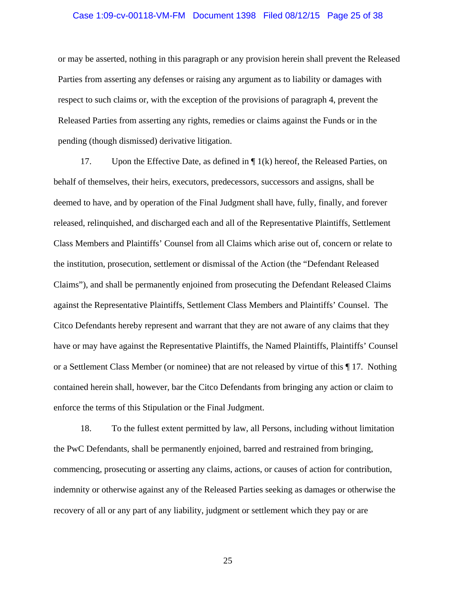### Case 1:09-cv-00118-VM-FM Document 1398 Filed 08/12/15 Page 25 of 38

or may be asserted, nothing in this paragraph or any provision herein shall prevent the Released Parties from asserting any defenses or raising any argument as to liability or damages with respect to such claims or, with the exception of the provisions of paragraph 4, prevent the Released Parties from asserting any rights, remedies or claims against the Funds or in the pending (though dismissed) derivative litigation.

17. Upon the Effective Date, as defined in  $\P$  1(k) hereof, the Released Parties, on behalf of themselves, their heirs, executors, predecessors, successors and assigns, shall be deemed to have, and by operation of the Final Judgment shall have, fully, finally, and forever released, relinquished, and discharged each and all of the Representative Plaintiffs, Settlement Class Members and Plaintiffs' Counsel from all Claims which arise out of, concern or relate to the institution, prosecution, settlement or dismissal of the Action (the "Defendant Released Claims"), and shall be permanently enjoined from prosecuting the Defendant Released Claims against the Representative Plaintiffs, Settlement Class Members and Plaintiffs' Counsel. The Citco Defendants hereby represent and warrant that they are not aware of any claims that they have or may have against the Representative Plaintiffs, the Named Plaintiffs, Plaintiffs' Counsel or a Settlement Class Member (or nominee) that are not released by virtue of this ¶ 17. Nothing contained herein shall, however, bar the Citco Defendants from bringing any action or claim to enforce the terms of this Stipulation or the Final Judgment.

18. To the fullest extent permitted by law, all Persons, including without limitation the PwC Defendants, shall be permanently enjoined, barred and restrained from bringing, commencing, prosecuting or asserting any claims, actions, or causes of action for contribution, indemnity or otherwise against any of the Released Parties seeking as damages or otherwise the recovery of all or any part of any liability, judgment or settlement which they pay or are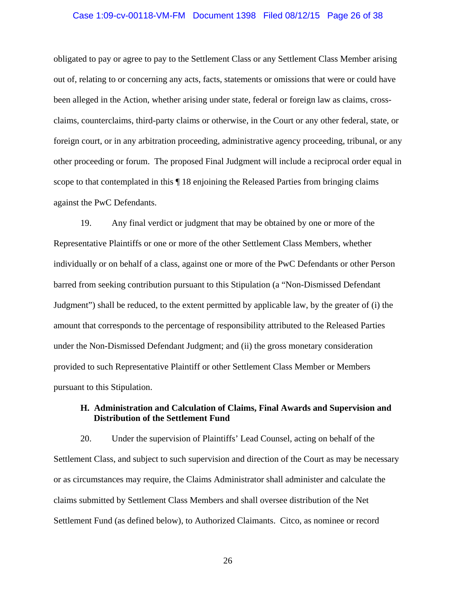### Case 1:09-cv-00118-VM-FM Document 1398 Filed 08/12/15 Page 26 of 38

obligated to pay or agree to pay to the Settlement Class or any Settlement Class Member arising out of, relating to or concerning any acts, facts, statements or omissions that were or could have been alleged in the Action, whether arising under state, federal or foreign law as claims, crossclaims, counterclaims, third-party claims or otherwise, in the Court or any other federal, state, or foreign court, or in any arbitration proceeding, administrative agency proceeding, tribunal, or any other proceeding or forum. The proposed Final Judgment will include a reciprocal order equal in scope to that contemplated in this  $\P$  18 enjoining the Released Parties from bringing claims against the PwC Defendants.

19. Any final verdict or judgment that may be obtained by one or more of the Representative Plaintiffs or one or more of the other Settlement Class Members, whether individually or on behalf of a class, against one or more of the PwC Defendants or other Person barred from seeking contribution pursuant to this Stipulation (a "Non-Dismissed Defendant Judgment") shall be reduced, to the extent permitted by applicable law, by the greater of (i) the amount that corresponds to the percentage of responsibility attributed to the Released Parties under the Non-Dismissed Defendant Judgment; and (ii) the gross monetary consideration provided to such Representative Plaintiff or other Settlement Class Member or Members pursuant to this Stipulation.

## **H. Administration and Calculation of Claims, Final Awards and Supervision and Distribution of the Settlement Fund**

20. Under the supervision of Plaintiffs' Lead Counsel, acting on behalf of the Settlement Class, and subject to such supervision and direction of the Court as may be necessary or as circumstances may require, the Claims Administrator shall administer and calculate the claims submitted by Settlement Class Members and shall oversee distribution of the Net Settlement Fund (as defined below), to Authorized Claimants. Citco, as nominee or record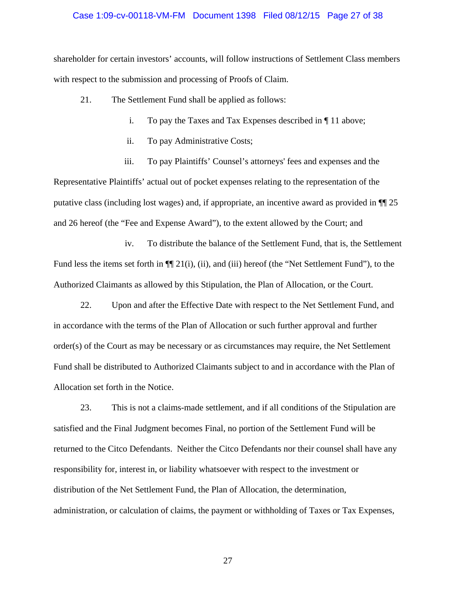### Case 1:09-cv-00118-VM-FM Document 1398 Filed 08/12/15 Page 27 of 38

shareholder for certain investors' accounts, will follow instructions of Settlement Class members with respect to the submission and processing of Proofs of Claim.

- 21. The Settlement Fund shall be applied as follows:
	- i. To pay the Taxes and Tax Expenses described in ¶ 11 above;
	- ii. To pay Administrative Costs;

iii. To pay Plaintiffs' Counsel's attorneys' fees and expenses and the Representative Plaintiffs' actual out of pocket expenses relating to the representation of the putative class (including lost wages) and, if appropriate, an incentive award as provided in ¶¶ 25 and 26 hereof (the "Fee and Expense Award"), to the extent allowed by the Court; and

iv. To distribute the balance of the Settlement Fund, that is, the Settlement Fund less the items set forth in  $\P$ [[21(i), (ii), and (iii) hereof (the "Net Settlement Fund"), to the Authorized Claimants as allowed by this Stipulation, the Plan of Allocation, or the Court.

22. Upon and after the Effective Date with respect to the Net Settlement Fund, and in accordance with the terms of the Plan of Allocation or such further approval and further order(s) of the Court as may be necessary or as circumstances may require, the Net Settlement Fund shall be distributed to Authorized Claimants subject to and in accordance with the Plan of Allocation set forth in the Notice.

23. This is not a claims-made settlement, and if all conditions of the Stipulation are satisfied and the Final Judgment becomes Final, no portion of the Settlement Fund will be returned to the Citco Defendants. Neither the Citco Defendants nor their counsel shall have any responsibility for, interest in, or liability whatsoever with respect to the investment or distribution of the Net Settlement Fund, the Plan of Allocation, the determination, administration, or calculation of claims, the payment or withholding of Taxes or Tax Expenses,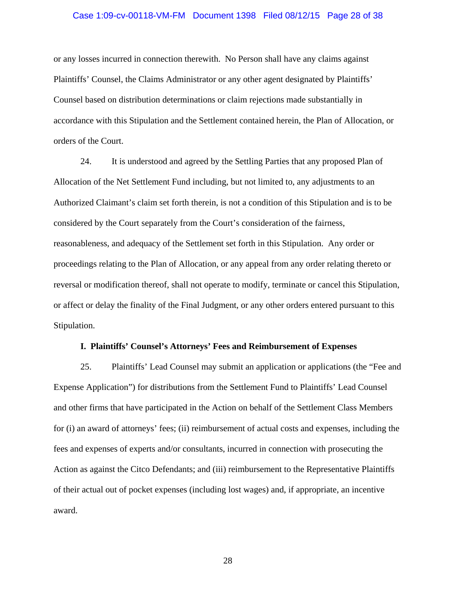### Case 1:09-cv-00118-VM-FM Document 1398 Filed 08/12/15 Page 28 of 38

or any losses incurred in connection therewith. No Person shall have any claims against Plaintiffs' Counsel, the Claims Administrator or any other agent designated by Plaintiffs' Counsel based on distribution determinations or claim rejections made substantially in accordance with this Stipulation and the Settlement contained herein, the Plan of Allocation, or orders of the Court.

24. It is understood and agreed by the Settling Parties that any proposed Plan of Allocation of the Net Settlement Fund including, but not limited to, any adjustments to an Authorized Claimant's claim set forth therein, is not a condition of this Stipulation and is to be considered by the Court separately from the Court's consideration of the fairness, reasonableness, and adequacy of the Settlement set forth in this Stipulation. Any order or proceedings relating to the Plan of Allocation, or any appeal from any order relating thereto or reversal or modification thereof, shall not operate to modify, terminate or cancel this Stipulation, or affect or delay the finality of the Final Judgment, or any other orders entered pursuant to this Stipulation.

#### **I. Plaintiffs' Counsel's Attorneys' Fees and Reimbursement of Expenses**

25. Plaintiffs' Lead Counsel may submit an application or applications (the "Fee and Expense Application") for distributions from the Settlement Fund to Plaintiffs' Lead Counsel and other firms that have participated in the Action on behalf of the Settlement Class Members for (i) an award of attorneys' fees; (ii) reimbursement of actual costs and expenses, including the fees and expenses of experts and/or consultants, incurred in connection with prosecuting the Action as against the Citco Defendants; and (iii) reimbursement to the Representative Plaintiffs of their actual out of pocket expenses (including lost wages) and, if appropriate, an incentive award.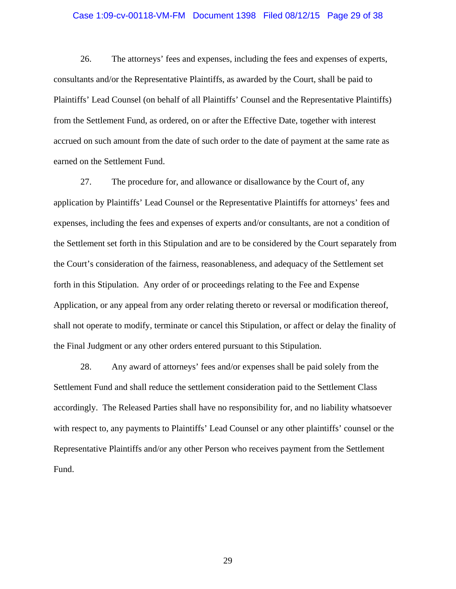### Case 1:09-cv-00118-VM-FM Document 1398 Filed 08/12/15 Page 29 of 38

26. The attorneys' fees and expenses, including the fees and expenses of experts, consultants and/or the Representative Plaintiffs, as awarded by the Court, shall be paid to Plaintiffs' Lead Counsel (on behalf of all Plaintiffs' Counsel and the Representative Plaintiffs) from the Settlement Fund, as ordered, on or after the Effective Date, together with interest accrued on such amount from the date of such order to the date of payment at the same rate as earned on the Settlement Fund.

27. The procedure for, and allowance or disallowance by the Court of, any application by Plaintiffs' Lead Counsel or the Representative Plaintiffs for attorneys' fees and expenses, including the fees and expenses of experts and/or consultants, are not a condition of the Settlement set forth in this Stipulation and are to be considered by the Court separately from the Court's consideration of the fairness, reasonableness, and adequacy of the Settlement set forth in this Stipulation. Any order of or proceedings relating to the Fee and Expense Application, or any appeal from any order relating thereto or reversal or modification thereof, shall not operate to modify, terminate or cancel this Stipulation, or affect or delay the finality of the Final Judgment or any other orders entered pursuant to this Stipulation.

28. Any award of attorneys' fees and/or expenses shall be paid solely from the Settlement Fund and shall reduce the settlement consideration paid to the Settlement Class accordingly. The Released Parties shall have no responsibility for, and no liability whatsoever with respect to, any payments to Plaintiffs' Lead Counsel or any other plaintiffs' counsel or the Representative Plaintiffs and/or any other Person who receives payment from the Settlement Fund.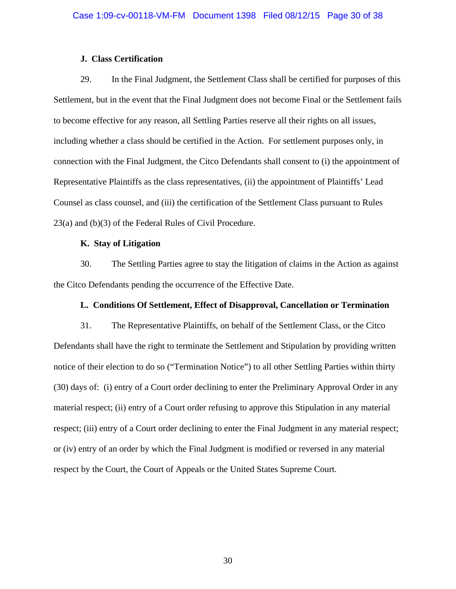## **J. Class Certification**

29. In the Final Judgment, the Settlement Class shall be certified for purposes of this Settlement, but in the event that the Final Judgment does not become Final or the Settlement fails to become effective for any reason, all Settling Parties reserve all their rights on all issues, including whether a class should be certified in the Action. For settlement purposes only, in connection with the Final Judgment, the Citco Defendants shall consent to (i) the appointment of Representative Plaintiffs as the class representatives, (ii) the appointment of Plaintiffs' Lead Counsel as class counsel, and (iii) the certification of the Settlement Class pursuant to Rules 23(a) and (b)(3) of the Federal Rules of Civil Procedure.

## **K. Stay of Litigation**

30. The Settling Parties agree to stay the litigation of claims in the Action as against the Citco Defendants pending the occurrence of the Effective Date.

### **L. Conditions Of Settlement, Effect of Disapproval, Cancellation or Termination**

31. The Representative Plaintiffs, on behalf of the Settlement Class, or the Citco Defendants shall have the right to terminate the Settlement and Stipulation by providing written notice of their election to do so ("Termination Notice") to all other Settling Parties within thirty (30) days of: (i) entry of a Court order declining to enter the Preliminary Approval Order in any material respect; (ii) entry of a Court order refusing to approve this Stipulation in any material respect; (iii) entry of a Court order declining to enter the Final Judgment in any material respect; or (iv) entry of an order by which the Final Judgment is modified or reversed in any material respect by the Court, the Court of Appeals or the United States Supreme Court.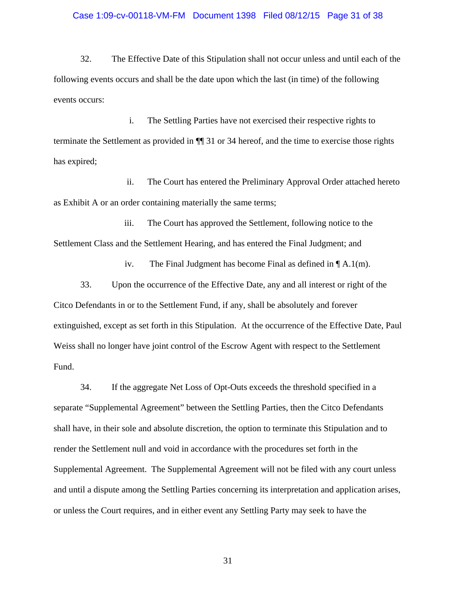#### Case 1:09-cv-00118-VM-FM Document 1398 Filed 08/12/15 Page 31 of 38

32. The Effective Date of this Stipulation shall not occur unless and until each of the following events occurs and shall be the date upon which the last (in time) of the following events occurs:

i. The Settling Parties have not exercised their respective rights to terminate the Settlement as provided in ¶¶ 31 or 34 hereof, and the time to exercise those rights has expired;

ii. The Court has entered the Preliminary Approval Order attached hereto as Exhibit A or an order containing materially the same terms;

iii. The Court has approved the Settlement, following notice to the Settlement Class and the Settlement Hearing, and has entered the Final Judgment; and

iv. The Final Judgment has become Final as defined in ¶ A.1(m).

33. Upon the occurrence of the Effective Date, any and all interest or right of the Citco Defendants in or to the Settlement Fund, if any, shall be absolutely and forever extinguished, except as set forth in this Stipulation. At the occurrence of the Effective Date, Paul Weiss shall no longer have joint control of the Escrow Agent with respect to the Settlement Fund.

34. If the aggregate Net Loss of Opt-Outs exceeds the threshold specified in a separate "Supplemental Agreement" between the Settling Parties, then the Citco Defendants shall have, in their sole and absolute discretion, the option to terminate this Stipulation and to render the Settlement null and void in accordance with the procedures set forth in the Supplemental Agreement. The Supplemental Agreement will not be filed with any court unless and until a dispute among the Settling Parties concerning its interpretation and application arises, or unless the Court requires, and in either event any Settling Party may seek to have the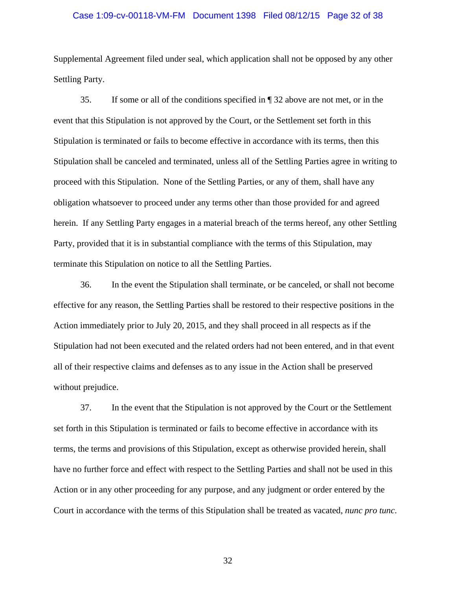### Case 1:09-cv-00118-VM-FM Document 1398 Filed 08/12/15 Page 32 of 38

Supplemental Agreement filed under seal, which application shall not be opposed by any other Settling Party.

35. If some or all of the conditions specified in ¶ 32 above are not met, or in the event that this Stipulation is not approved by the Court, or the Settlement set forth in this Stipulation is terminated or fails to become effective in accordance with its terms, then this Stipulation shall be canceled and terminated, unless all of the Settling Parties agree in writing to proceed with this Stipulation. None of the Settling Parties, or any of them, shall have any obligation whatsoever to proceed under any terms other than those provided for and agreed herein. If any Settling Party engages in a material breach of the terms hereof, any other Settling Party, provided that it is in substantial compliance with the terms of this Stipulation, may terminate this Stipulation on notice to all the Settling Parties.

36. In the event the Stipulation shall terminate, or be canceled, or shall not become effective for any reason, the Settling Parties shall be restored to their respective positions in the Action immediately prior to July 20, 2015, and they shall proceed in all respects as if the Stipulation had not been executed and the related orders had not been entered, and in that event all of their respective claims and defenses as to any issue in the Action shall be preserved without prejudice.

37. In the event that the Stipulation is not approved by the Court or the Settlement set forth in this Stipulation is terminated or fails to become effective in accordance with its terms, the terms and provisions of this Stipulation, except as otherwise provided herein, shall have no further force and effect with respect to the Settling Parties and shall not be used in this Action or in any other proceeding for any purpose, and any judgment or order entered by the Court in accordance with the terms of this Stipulation shall be treated as vacated, *nunc pro tunc*.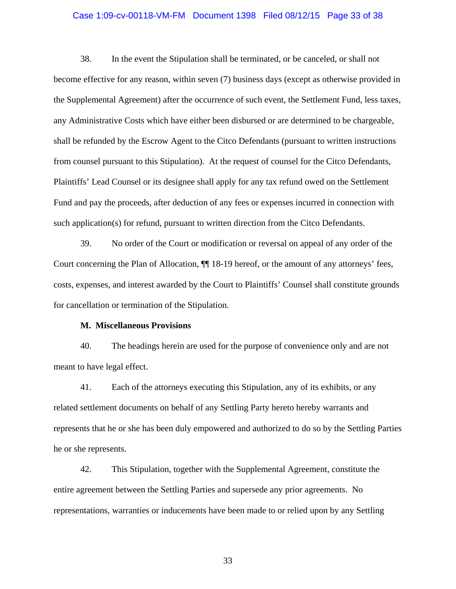### Case 1:09-cv-00118-VM-FM Document 1398 Filed 08/12/15 Page 33 of 38

38. In the event the Stipulation shall be terminated, or be canceled, or shall not become effective for any reason, within seven (7) business days (except as otherwise provided in the Supplemental Agreement) after the occurrence of such event, the Settlement Fund, less taxes, any Administrative Costs which have either been disbursed or are determined to be chargeable, shall be refunded by the Escrow Agent to the Citco Defendants (pursuant to written instructions from counsel pursuant to this Stipulation). At the request of counsel for the Citco Defendants, Plaintiffs' Lead Counsel or its designee shall apply for any tax refund owed on the Settlement Fund and pay the proceeds, after deduction of any fees or expenses incurred in connection with such application(s) for refund, pursuant to written direction from the Citco Defendants.

39. No order of the Court or modification or reversal on appeal of any order of the Court concerning the Plan of Allocation, ¶¶ 18-19 hereof, or the amount of any attorneys' fees, costs, expenses, and interest awarded by the Court to Plaintiffs' Counsel shall constitute grounds for cancellation or termination of the Stipulation.

#### **M. Miscellaneous Provisions**

40. The headings herein are used for the purpose of convenience only and are not meant to have legal effect.

41. Each of the attorneys executing this Stipulation, any of its exhibits, or any related settlement documents on behalf of any Settling Party hereto hereby warrants and represents that he or she has been duly empowered and authorized to do so by the Settling Parties he or she represents.

42. This Stipulation, together with the Supplemental Agreement, constitute the entire agreement between the Settling Parties and supersede any prior agreements. No representations, warranties or inducements have been made to or relied upon by any Settling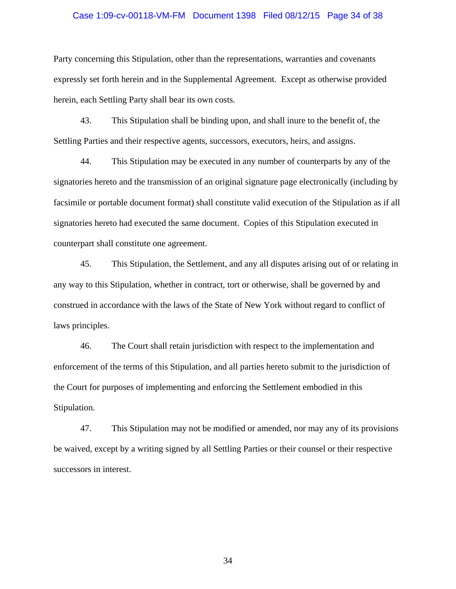### Case 1:09-cv-00118-VM-FM Document 1398 Filed 08/12/15 Page 34 of 38

Party concerning this Stipulation, other than the representations, warranties and covenants expressly set forth herein and in the Supplemental Agreement. Except as otherwise provided herein, each Settling Party shall bear its own costs.

43. This Stipulation shall be binding upon, and shall inure to the benefit of, the Settling Parties and their respective agents, successors, executors, heirs, and assigns.

44. This Stipulation may be executed in any number of counterparts by any of the signatories hereto and the transmission of an original signature page electronically (including by facsimile or portable document format) shall constitute valid execution of the Stipulation as if all signatories hereto had executed the same document. Copies of this Stipulation executed in counterpart shall constitute one agreement.

45. This Stipulation, the Settlement, and any all disputes arising out of or relating in any way to this Stipulation, whether in contract, tort or otherwise, shall be governed by and construed in accordance with the laws of the State of New York without regard to conflict of laws principles.

46. The Court shall retain jurisdiction with respect to the implementation and enforcement of the terms of this Stipulation, and all parties hereto submit to the jurisdiction of the Court for purposes of implementing and enforcing the Settlement embodied in this Stipulation.

47. This Stipulation may not be modified or amended, nor may any of its provisions be waived, except by a writing signed by all Settling Parties or their counsel or their respective successors in interest.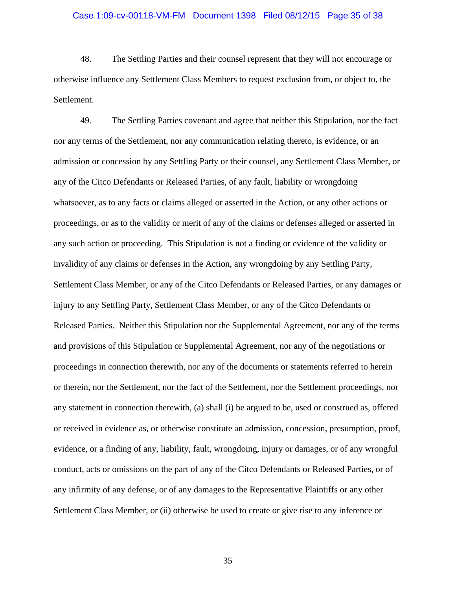# Case 1:09-cv-00118-VM-FM Document 1398 Filed 08/12/15 Page 35 of 38

48. The Settling Parties and their counsel represent that they will not encourage or otherwise influence any Settlement Class Members to request exclusion from, or object to, the Settlement.

49. The Settling Parties covenant and agree that neither this Stipulation, nor the fact nor any terms of the Settlement, nor any communication relating thereto, is evidence, or an admission or concession by any Settling Party or their counsel, any Settlement Class Member, or any of the Citco Defendants or Released Parties, of any fault, liability or wrongdoing whatsoever, as to any facts or claims alleged or asserted in the Action, or any other actions or proceedings, or as to the validity or merit of any of the claims or defenses alleged or asserted in any such action or proceeding. This Stipulation is not a finding or evidence of the validity or invalidity of any claims or defenses in the Action, any wrongdoing by any Settling Party, Settlement Class Member, or any of the Citco Defendants or Released Parties, or any damages or injury to any Settling Party, Settlement Class Member, or any of the Citco Defendants or Released Parties. Neither this Stipulation nor the Supplemental Agreement, nor any of the terms and provisions of this Stipulation or Supplemental Agreement, nor any of the negotiations or proceedings in connection therewith, nor any of the documents or statements referred to herein or therein, nor the Settlement, nor the fact of the Settlement, nor the Settlement proceedings, nor any statement in connection therewith, (a) shall (i) be argued to be, used or construed as, offered or received in evidence as, or otherwise constitute an admission, concession, presumption, proof, evidence, or a finding of any, liability, fault, wrongdoing, injury or damages, or of any wrongful conduct, acts or omissions on the part of any of the Citco Defendants or Released Parties, or of any infirmity of any defense, or of any damages to the Representative Plaintiffs or any other Settlement Class Member, or (ii) otherwise be used to create or give rise to any inference or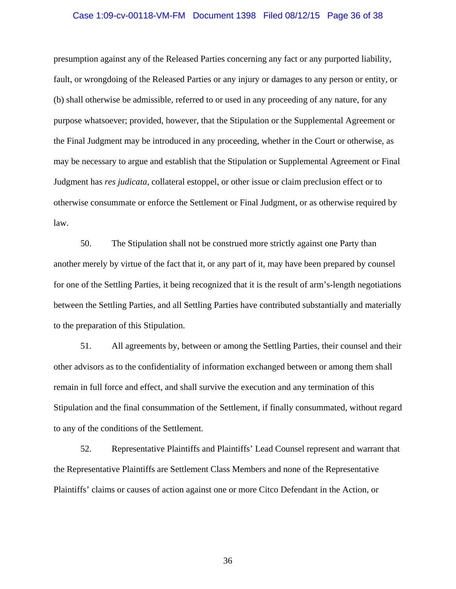# Case 1:09-cv-00118-VM-FM Document 1398 Filed 08/12/15 Page 36 of 38

presumption against any of the Released Parties concerning any fact or any purported liability, fault, or wrongdoing of the Released Parties or any injury or damages to any person or entity, or (b) shall otherwise be admissible, referred to or used in any proceeding of any nature, for any purpose whatsoever; provided, however, that the Stipulation or the Supplemental Agreement or the Final Judgment may be introduced in any proceeding, whether in the Court or otherwise, as may be necessary to argue and establish that the Stipulation or Supplemental Agreement or Final Judgment has *res judicata*, collateral estoppel, or other issue or claim preclusion effect or to otherwise consummate or enforce the Settlement or Final Judgment, or as otherwise required by law.

50. The Stipulation shall not be construed more strictly against one Party than another merely by virtue of the fact that it, or any part of it, may have been prepared by counsel for one of the Settling Parties, it being recognized that it is the result of arm's-length negotiations between the Settling Parties, and all Settling Parties have contributed substantially and materially to the preparation of this Stipulation.

51. All agreements by, between or among the Settling Parties, their counsel and their other advisors as to the confidentiality of information exchanged between or among them shall remain in full force and effect, and shall survive the execution and any termination of this Stipulation and the final consummation of the Settlement, if finally consummated, without regard to any of the conditions of the Settlement.

52. Representative Plaintiffs and Plaintiffs' Lead Counsel represent and warrant that the Representative Plaintiffs are Settlement Class Members and none of the Representative Plaintiffs' claims or causes of action against one or more Citco Defendant in the Action, or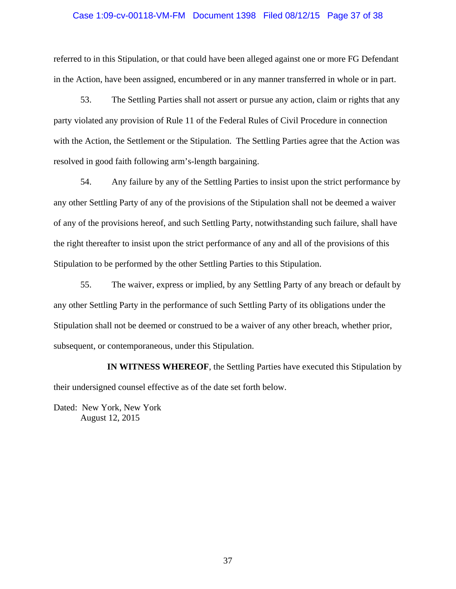#### Case 1:09-cv-00118-VM-FM Document 1398 Filed 08/12/15 Page 37 of 38

referred to in this Stipulation, or that could have been alleged against one or more FG Defendant in the Action, have been assigned, encumbered or in any manner transferred in whole or in part.

53. The Settling Parties shall not assert or pursue any action, claim or rights that any party violated any provision of Rule 11 of the Federal Rules of Civil Procedure in connection with the Action, the Settlement or the Stipulation. The Settling Parties agree that the Action was resolved in good faith following arm's-length bargaining.

54. Any failure by any of the Settling Parties to insist upon the strict performance by any other Settling Party of any of the provisions of the Stipulation shall not be deemed a waiver of any of the provisions hereof, and such Settling Party, notwithstanding such failure, shall have the right thereafter to insist upon the strict performance of any and all of the provisions of this Stipulation to be performed by the other Settling Parties to this Stipulation.

55. The waiver, express or implied, by any Settling Party of any breach or default by any other Settling Party in the performance of such Settling Party of its obligations under the Stipulation shall not be deemed or construed to be a waiver of any other breach, whether prior, subsequent, or contemporaneous, under this Stipulation.

**IN WITNESS WHEREOF**, the Settling Parties have executed this Stipulation by their undersigned counsel effective as of the date set forth below.

Dated: New York, New York August 12, 2015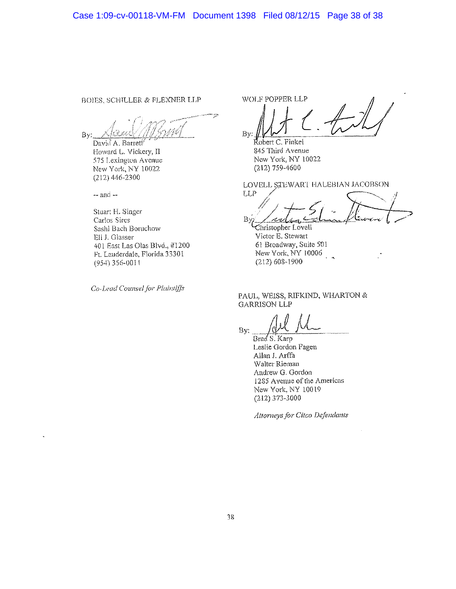BOIES. SCHILLER & FLEXNER LLP

By:

David A. Barrett Howard L, Vickery, II 575 Lexington Avenue New York, NY 10022 (212)446-2300

 $-$  and  $-$ 

**Stuan** H. **Singer**  Carlos Sires Sash! Bach Somehow Eli J. Glasser 401 East Las Olas Blvd., #1200 Ft. Lauderdale, Florida 33301 (954) 356-0011

*Co-Lead Counsel for Pla'mlifjs* 

WOLF POPPER LLP By:

Robert C. Finkel S45 Third Avenue New York, NY 10022 (212)759-4600

LOVELL STEWART HALEBIAN JACOBSON

LLP **By** 

**;hristopher** Lovell Victor E. Stewart 61 Broadway. Suite 501 New York, NY 10006 (212)608-1900

#### PAUL, WEISS, RIFKIND, WHARTON & **GARRISON LLP**

By:

BradS. Karp Leslie Gordon Fagen Allan I. Arffa Walter Rieman Andrew G. Gordon 1285 Avenue of the Americas New York, NY 10019 (212)373-3000

*Attorneys for Citco Defendants*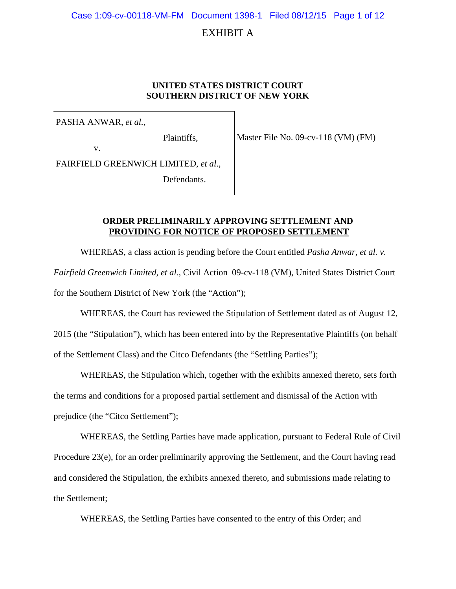Case 1:09-cv-00118-VM-FM Document 1398-1 Filed 08/12/15 Page 1 of 12

# EXHIBIT A

#### **UNITED STATES DISTRICT COURT SOUTHERN DISTRICT OF NEW YORK**

PASHA ANWAR, *et al.*,

Plaintiffs,

Master File No. 09-cv-118 (VM) (FM)

v.

FAIRFIELD GREENWICH LIMITED, *et al*.,

Defendants.

#### **ORDER PRELIMINARILY APPROVING SETTLEMENT AND PROVIDING FOR NOTICE OF PROPOSED SETTLEMENT**

WHEREAS, a class action is pending before the Court entitled *Pasha Anwar, et al. v. Fairfield Greenwich Limited, et al.*, Civil Action 09-cv-118 (VM), United States District Court for the Southern District of New York (the "Action");

WHEREAS, the Court has reviewed the Stipulation of Settlement dated as of August 12, 2015 (the "Stipulation"), which has been entered into by the Representative Plaintiffs (on behalf of the Settlement Class) and the Citco Defendants (the "Settling Parties");

WHEREAS, the Stipulation which, together with the exhibits annexed thereto, sets forth the terms and conditions for a proposed partial settlement and dismissal of the Action with prejudice (the "Citco Settlement");

WHEREAS, the Settling Parties have made application, pursuant to Federal Rule of Civil Procedure 23(e), for an order preliminarily approving the Settlement, and the Court having read and considered the Stipulation, the exhibits annexed thereto, and submissions made relating to the Settlement;

WHEREAS, the Settling Parties have consented to the entry of this Order; and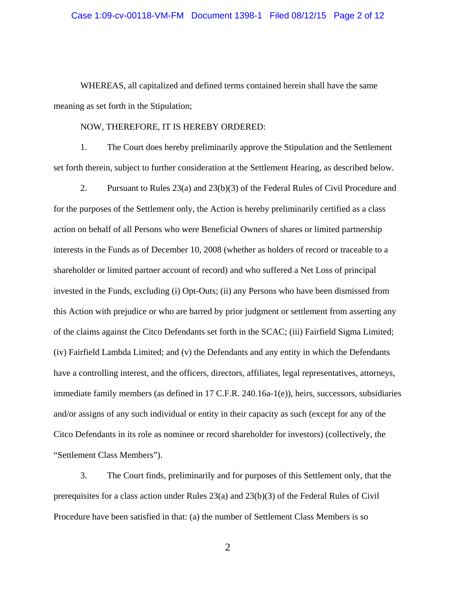WHEREAS, all capitalized and defined terms contained herein shall have the same meaning as set forth in the Stipulation;

#### NOW, THEREFORE, IT IS HEREBY ORDERED:

1. The Court does hereby preliminarily approve the Stipulation and the Settlement set forth therein, subject to further consideration at the Settlement Hearing, as described below.

2. Pursuant to Rules 23(a) and 23(b)(3) of the Federal Rules of Civil Procedure and for the purposes of the Settlement only, the Action is hereby preliminarily certified as a class action on behalf of all Persons who were Beneficial Owners of shares or limited partnership interests in the Funds as of December 10, 2008 (whether as holders of record or traceable to a shareholder or limited partner account of record) and who suffered a Net Loss of principal invested in the Funds, excluding (i) Opt-Outs; (ii) any Persons who have been dismissed from this Action with prejudice or who are barred by prior judgment or settlement from asserting any of the claims against the Citco Defendants set forth in the SCAC; (iii) Fairfield Sigma Limited; (iv) Fairfield Lambda Limited; and (v) the Defendants and any entity in which the Defendants have a controlling interest, and the officers, directors, affiliates, legal representatives, attorneys, immediate family members (as defined in 17 C.F.R. 240.16a-1(e)), heirs, successors, subsidiaries and/or assigns of any such individual or entity in their capacity as such (except for any of the Citco Defendants in its role as nominee or record shareholder for investors) (collectively, the "Settlement Class Members").

3. The Court finds, preliminarily and for purposes of this Settlement only, that the prerequisites for a class action under Rules 23(a) and 23(b)(3) of the Federal Rules of Civil Procedure have been satisfied in that: (a) the number of Settlement Class Members is so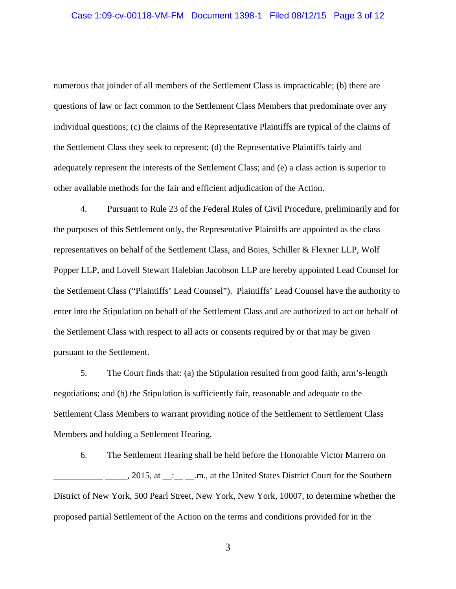numerous that joinder of all members of the Settlement Class is impracticable; (b) there are questions of law or fact common to the Settlement Class Members that predominate over any individual questions; (c) the claims of the Representative Plaintiffs are typical of the claims of the Settlement Class they seek to represent; (d) the Representative Plaintiffs fairly and adequately represent the interests of the Settlement Class; and (e) a class action is superior to other available methods for the fair and efficient adjudication of the Action.

4. Pursuant to Rule 23 of the Federal Rules of Civil Procedure, preliminarily and for the purposes of this Settlement only, the Representative Plaintiffs are appointed as the class representatives on behalf of the Settlement Class, and Boies, Schiller & Flexner LLP, Wolf Popper LLP, and Lovell Stewart Halebian Jacobson LLP are hereby appointed Lead Counsel for the Settlement Class ("Plaintiffs' Lead Counsel"). Plaintiffs' Lead Counsel have the authority to enter into the Stipulation on behalf of the Settlement Class and are authorized to act on behalf of the Settlement Class with respect to all acts or consents required by or that may be given pursuant to the Settlement.

5. The Court finds that: (a) the Stipulation resulted from good faith, arm's-length negotiations; and (b) the Stipulation is sufficiently fair, reasonable and adequate to the Settlement Class Members to warrant providing notice of the Settlement to Settlement Class Members and holding a Settlement Hearing.

6. The Settlement Hearing shall be held before the Honorable Victor Marrero on \_\_\_\_\_\_, 2015, at \_\_:\_\_\_\_\_.m., at the United States District Court for the Southern District of New York, 500 Pearl Street, New York, New York, 10007, to determine whether the proposed partial Settlement of the Action on the terms and conditions provided for in the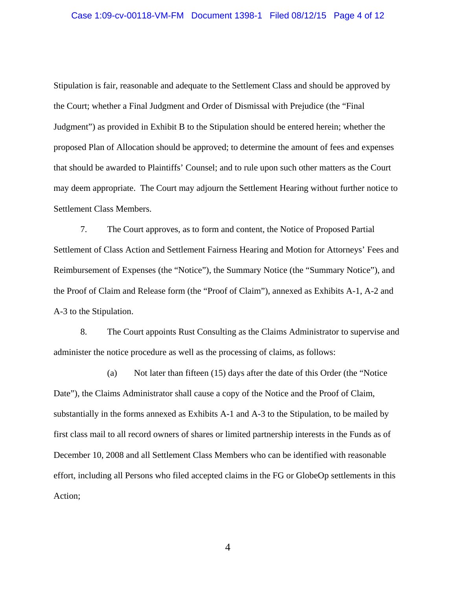Stipulation is fair, reasonable and adequate to the Settlement Class and should be approved by the Court; whether a Final Judgment and Order of Dismissal with Prejudice (the "Final Judgment") as provided in Exhibit B to the Stipulation should be entered herein; whether the proposed Plan of Allocation should be approved; to determine the amount of fees and expenses that should be awarded to Plaintiffs' Counsel; and to rule upon such other matters as the Court may deem appropriate. The Court may adjourn the Settlement Hearing without further notice to Settlement Class Members.

7. The Court approves, as to form and content, the Notice of Proposed Partial Settlement of Class Action and Settlement Fairness Hearing and Motion for Attorneys' Fees and Reimbursement of Expenses (the "Notice"), the Summary Notice (the "Summary Notice"), and the Proof of Claim and Release form (the "Proof of Claim"), annexed as Exhibits A-1, A-2 and A-3 to the Stipulation.

8. The Court appoints Rust Consulting as the Claims Administrator to supervise and administer the notice procedure as well as the processing of claims, as follows:

(a) Not later than fifteen (15) days after the date of this Order (the "Notice Date"), the Claims Administrator shall cause a copy of the Notice and the Proof of Claim, substantially in the forms annexed as Exhibits A-1 and A-3 to the Stipulation, to be mailed by first class mail to all record owners of shares or limited partnership interests in the Funds as of December 10, 2008 and all Settlement Class Members who can be identified with reasonable effort, including all Persons who filed accepted claims in the FG or GlobeOp settlements in this Action;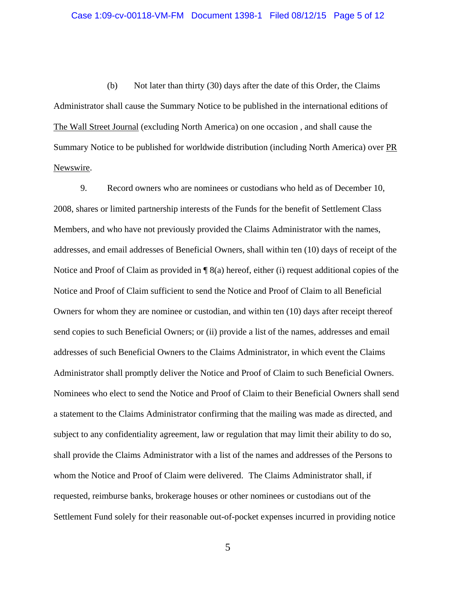(b) Not later than thirty (30) days after the date of this Order, the Claims Administrator shall cause the Summary Notice to be published in the international editions of The Wall Street Journal (excluding North America) on one occasion , and shall cause the Summary Notice to be published for worldwide distribution (including North America) over PR Newswire.

9. Record owners who are nominees or custodians who held as of December 10, 2008, shares or limited partnership interests of the Funds for the benefit of Settlement Class Members, and who have not previously provided the Claims Administrator with the names, addresses, and email addresses of Beneficial Owners, shall within ten (10) days of receipt of the Notice and Proof of Claim as provided in  $\P$  8(a) hereof, either (i) request additional copies of the Notice and Proof of Claim sufficient to send the Notice and Proof of Claim to all Beneficial Owners for whom they are nominee or custodian, and within ten (10) days after receipt thereof send copies to such Beneficial Owners; or (ii) provide a list of the names, addresses and email addresses of such Beneficial Owners to the Claims Administrator, in which event the Claims Administrator shall promptly deliver the Notice and Proof of Claim to such Beneficial Owners. Nominees who elect to send the Notice and Proof of Claim to their Beneficial Owners shall send a statement to the Claims Administrator confirming that the mailing was made as directed, and subject to any confidentiality agreement, law or regulation that may limit their ability to do so, shall provide the Claims Administrator with a list of the names and addresses of the Persons to whom the Notice and Proof of Claim were delivered. The Claims Administrator shall, if requested, reimburse banks, brokerage houses or other nominees or custodians out of the Settlement Fund solely for their reasonable out-of-pocket expenses incurred in providing notice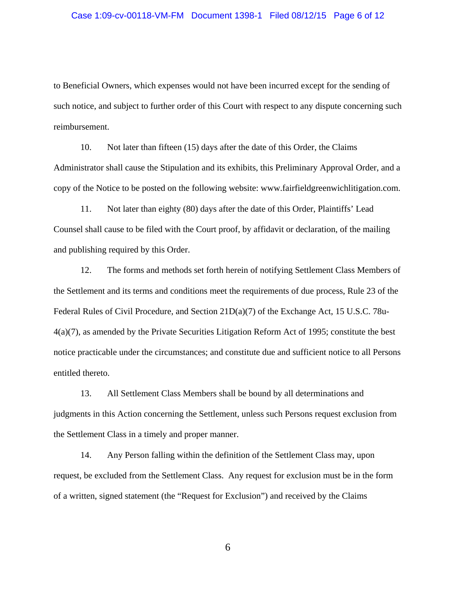#### Case 1:09-cv-00118-VM-FM Document 1398-1 Filed 08/12/15 Page 6 of 12

to Beneficial Owners, which expenses would not have been incurred except for the sending of such notice, and subject to further order of this Court with respect to any dispute concerning such reimbursement.

10. Not later than fifteen (15) days after the date of this Order, the Claims Administrator shall cause the Stipulation and its exhibits, this Preliminary Approval Order, and a copy of the Notice to be posted on the following website: www.fairfieldgreenwichlitigation.com.

11. Not later than eighty (80) days after the date of this Order, Plaintiffs' Lead Counsel shall cause to be filed with the Court proof, by affidavit or declaration, of the mailing and publishing required by this Order.

12. The forms and methods set forth herein of notifying Settlement Class Members of the Settlement and its terms and conditions meet the requirements of due process, Rule 23 of the Federal Rules of Civil Procedure, and Section 21D(a)(7) of the Exchange Act, 15 U.S.C. 78u-4(a)(7), as amended by the Private Securities Litigation Reform Act of 1995; constitute the best notice practicable under the circumstances; and constitute due and sufficient notice to all Persons entitled thereto.

13. All Settlement Class Members shall be bound by all determinations and judgments in this Action concerning the Settlement, unless such Persons request exclusion from the Settlement Class in a timely and proper manner.

14. Any Person falling within the definition of the Settlement Class may, upon request, be excluded from the Settlement Class. Any request for exclusion must be in the form of a written, signed statement (the "Request for Exclusion") and received by the Claims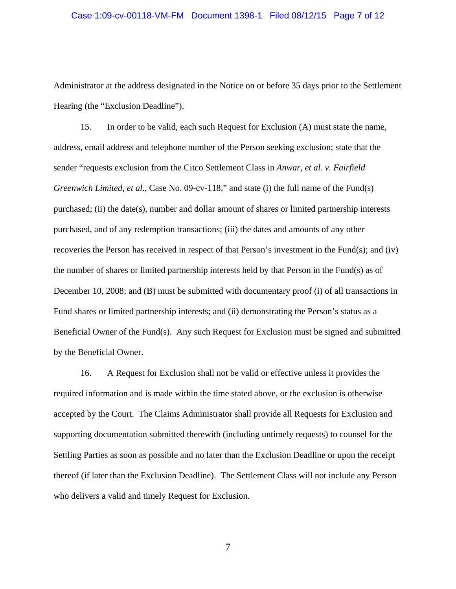Administrator at the address designated in the Notice on or before 35 days prior to the Settlement Hearing (the "Exclusion Deadline").

15. In order to be valid, each such Request for Exclusion (A) must state the name, address, email address and telephone number of the Person seeking exclusion; state that the sender "requests exclusion from the Citco Settlement Class in *Anwar, et al. v. Fairfield Greenwich Limited, et al*., Case No. 09-cv-118," and state (i) the full name of the Fund(s) purchased; (ii) the date(s), number and dollar amount of shares or limited partnership interests purchased, and of any redemption transactions; (iii) the dates and amounts of any other recoveries the Person has received in respect of that Person's investment in the Fund(s); and (iv) the number of shares or limited partnership interests held by that Person in the Fund(s) as of December 10, 2008; and (B) must be submitted with documentary proof (i) of all transactions in Fund shares or limited partnership interests; and (ii) demonstrating the Person's status as a Beneficial Owner of the Fund(s). Any such Request for Exclusion must be signed and submitted by the Beneficial Owner.

16. A Request for Exclusion shall not be valid or effective unless it provides the required information and is made within the time stated above, or the exclusion is otherwise accepted by the Court. The Claims Administrator shall provide all Requests for Exclusion and supporting documentation submitted therewith (including untimely requests) to counsel for the Settling Parties as soon as possible and no later than the Exclusion Deadline or upon the receipt thereof (if later than the Exclusion Deadline). The Settlement Class will not include any Person who delivers a valid and timely Request for Exclusion.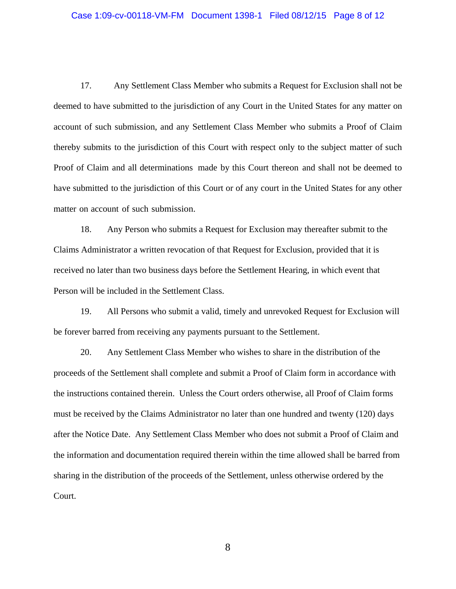#### Case 1:09-cv-00118-VM-FM Document 1398-1 Filed 08/12/15 Page 8 of 12

17. Any Settlement Class Member who submits a Request for Exclusion shall not be deemed to have submitted to the jurisdiction of any Court in the United States for any matter on account of such submission, and any Settlement Class Member who submits a Proof of Claim thereby submits to the jurisdiction of this Court with respect only to the subject matter of such Proof of Claim and all determinations made by this Court thereon and shall not be deemed to have submitted to the jurisdiction of this Court or of any court in the United States for any other matter on account of such submission.

18. Any Person who submits a Request for Exclusion may thereafter submit to the Claims Administrator a written revocation of that Request for Exclusion, provided that it is received no later than two business days before the Settlement Hearing, in which event that Person will be included in the Settlement Class.

19. All Persons who submit a valid, timely and unrevoked Request for Exclusion will be forever barred from receiving any payments pursuant to the Settlement.

20. Any Settlement Class Member who wishes to share in the distribution of the proceeds of the Settlement shall complete and submit a Proof of Claim form in accordance with the instructions contained therein. Unless the Court orders otherwise, all Proof of Claim forms must be received by the Claims Administrator no later than one hundred and twenty (120) days after the Notice Date. Any Settlement Class Member who does not submit a Proof of Claim and the information and documentation required therein within the time allowed shall be barred from sharing in the distribution of the proceeds of the Settlement, unless otherwise ordered by the Court.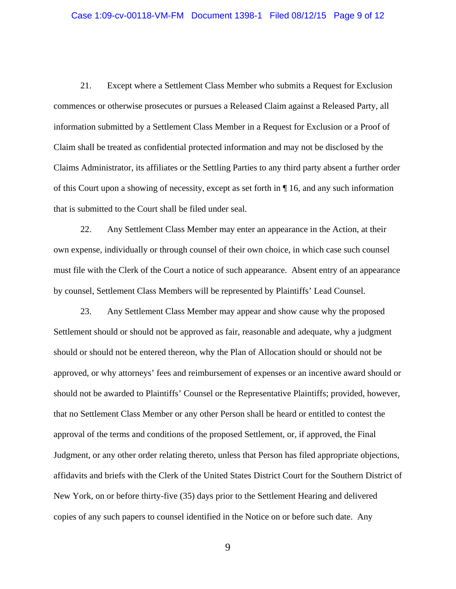21. Except where a Settlement Class Member who submits a Request for Exclusion commences or otherwise prosecutes or pursues a Released Claim against a Released Party, all information submitted by a Settlement Class Member in a Request for Exclusion or a Proof of Claim shall be treated as confidential protected information and may not be disclosed by the Claims Administrator, its affiliates or the Settling Parties to any third party absent a further order of this Court upon a showing of necessity, except as set forth in ¶ 16, and any such information that is submitted to the Court shall be filed under seal.

22. Any Settlement Class Member may enter an appearance in the Action, at their own expense, individually or through counsel of their own choice, in which case such counsel must file with the Clerk of the Court a notice of such appearance. Absent entry of an appearance by counsel, Settlement Class Members will be represented by Plaintiffs' Lead Counsel.

23. Any Settlement Class Member may appear and show cause why the proposed Settlement should or should not be approved as fair, reasonable and adequate, why a judgment should or should not be entered thereon, why the Plan of Allocation should or should not be approved, or why attorneys' fees and reimbursement of expenses or an incentive award should or should not be awarded to Plaintiffs' Counsel or the Representative Plaintiffs; provided, however, that no Settlement Class Member or any other Person shall be heard or entitled to contest the approval of the terms and conditions of the proposed Settlement, or, if approved, the Final Judgment, or any other order relating thereto, unless that Person has filed appropriate objections, affidavits and briefs with the Clerk of the United States District Court for the Southern District of New York, on or before thirty-five (35) days prior to the Settlement Hearing and delivered copies of any such papers to counsel identified in the Notice on or before such date. Any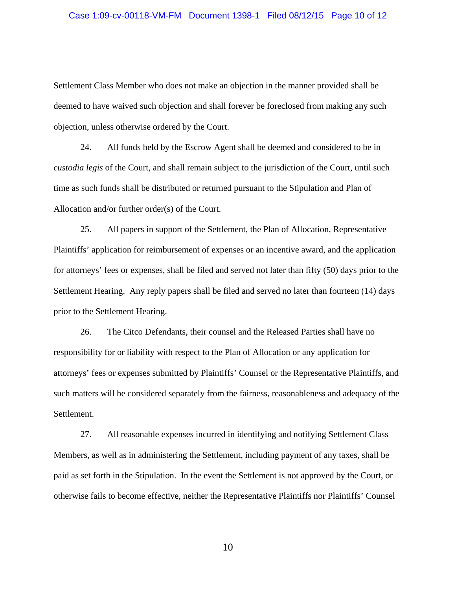#### Case 1:09-cv-00118-VM-FM Document 1398-1 Filed 08/12/15 Page 10 of 12

Settlement Class Member who does not make an objection in the manner provided shall be deemed to have waived such objection and shall forever be foreclosed from making any such objection, unless otherwise ordered by the Court.

24. All funds held by the Escrow Agent shall be deemed and considered to be in *custodia legis* of the Court, and shall remain subject to the jurisdiction of the Court, until such time as such funds shall be distributed or returned pursuant to the Stipulation and Plan of Allocation and/or further order(s) of the Court.

25. All papers in support of the Settlement, the Plan of Allocation, Representative Plaintiffs' application for reimbursement of expenses or an incentive award, and the application for attorneys' fees or expenses, shall be filed and served not later than fifty (50) days prior to the Settlement Hearing. Any reply papers shall be filed and served no later than fourteen (14) days prior to the Settlement Hearing.

26. The Citco Defendants, their counsel and the Released Parties shall have no responsibility for or liability with respect to the Plan of Allocation or any application for attorneys' fees or expenses submitted by Plaintiffs' Counsel or the Representative Plaintiffs, and such matters will be considered separately from the fairness, reasonableness and adequacy of the Settlement.

27. All reasonable expenses incurred in identifying and notifying Settlement Class Members, as well as in administering the Settlement, including payment of any taxes, shall be paid as set forth in the Stipulation. In the event the Settlement is not approved by the Court, or otherwise fails to become effective, neither the Representative Plaintiffs nor Plaintiffs' Counsel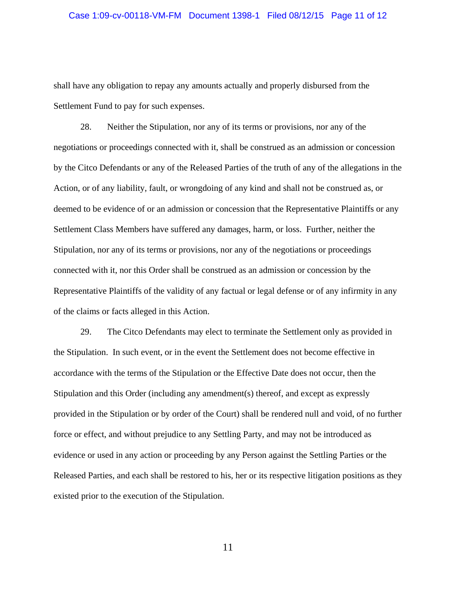shall have any obligation to repay any amounts actually and properly disbursed from the Settlement Fund to pay for such expenses.

28. Neither the Stipulation, nor any of its terms or provisions, nor any of the negotiations or proceedings connected with it, shall be construed as an admission or concession by the Citco Defendants or any of the Released Parties of the truth of any of the allegations in the Action, or of any liability, fault, or wrongdoing of any kind and shall not be construed as, or deemed to be evidence of or an admission or concession that the Representative Plaintiffs or any Settlement Class Members have suffered any damages, harm, or loss. Further, neither the Stipulation, nor any of its terms or provisions, nor any of the negotiations or proceedings connected with it, nor this Order shall be construed as an admission or concession by the Representative Plaintiffs of the validity of any factual or legal defense or of any infirmity in any of the claims or facts alleged in this Action.

29. The Citco Defendants may elect to terminate the Settlement only as provided in the Stipulation. In such event, or in the event the Settlement does not become effective in accordance with the terms of the Stipulation or the Effective Date does not occur, then the Stipulation and this Order (including any amendment(s) thereof, and except as expressly provided in the Stipulation or by order of the Court) shall be rendered null and void, of no further force or effect, and without prejudice to any Settling Party, and may not be introduced as evidence or used in any action or proceeding by any Person against the Settling Parties or the Released Parties, and each shall be restored to his, her or its respective litigation positions as they existed prior to the execution of the Stipulation.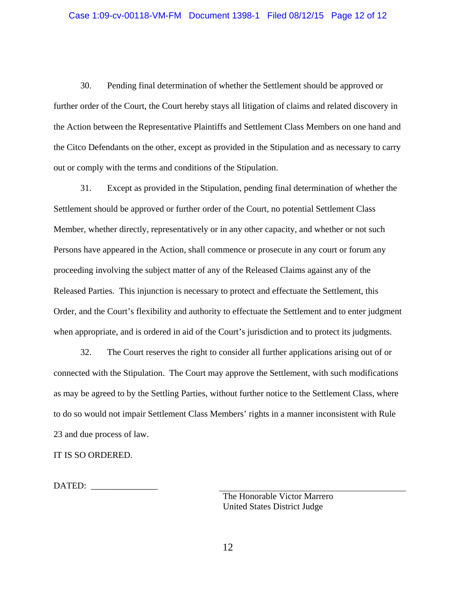30. Pending final determination of whether the Settlement should be approved or further order of the Court, the Court hereby stays all litigation of claims and related discovery in the Action between the Representative Plaintiffs and Settlement Class Members on one hand and the Citco Defendants on the other, except as provided in the Stipulation and as necessary to carry out or comply with the terms and conditions of the Stipulation.

31. Except as provided in the Stipulation, pending final determination of whether the Settlement should be approved or further order of the Court, no potential Settlement Class Member, whether directly, representatively or in any other capacity, and whether or not such Persons have appeared in the Action, shall commence or prosecute in any court or forum any proceeding involving the subject matter of any of the Released Claims against any of the Released Parties. This injunction is necessary to protect and effectuate the Settlement, this Order, and the Court's flexibility and authority to effectuate the Settlement and to enter judgment when appropriate, and is ordered in aid of the Court's jurisdiction and to protect its judgments.

32. The Court reserves the right to consider all further applications arising out of or connected with the Stipulation. The Court may approve the Settlement, with such modifications as may be agreed to by the Settling Parties, without further notice to the Settlement Class, where to do so would not impair Settlement Class Members' rights in a manner inconsistent with Rule 23 and due process of law.

IT IS SO ORDERED.

DATED:

 The Honorable Victor Marrero United States District Judge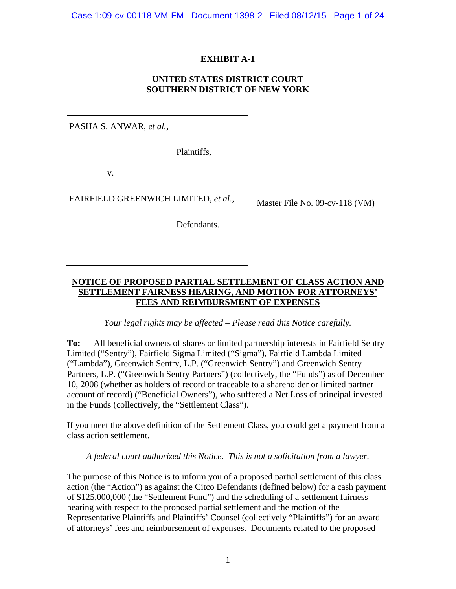# **EXHIBIT A-1**

### **UNITED STATES DISTRICT COURT SOUTHERN DISTRICT OF NEW YORK**

PASHA S. ANWAR, *et al.,*

Plaintiffs,

v.

FAIRFIELD GREENWICH LIMITED, *et al*.,

Defendants.

Master File No. 09-cv-118 (VM)

# **NOTICE OF PROPOSED PARTIAL SETTLEMENT OF CLASS ACTION AND SETTLEMENT FAIRNESS HEARING, AND MOTION FOR ATTORNEYS' FEES AND REIMBURSMENT OF EXPENSES**

*Your legal rights may be affected – Please read this Notice carefully.* 

**To:** All beneficial owners of shares or limited partnership interests in Fairfield Sentry Limited ("Sentry"), Fairfield Sigma Limited ("Sigma"), Fairfield Lambda Limited ("Lambda"), Greenwich Sentry, L.P. ("Greenwich Sentry") and Greenwich Sentry Partners, L.P. ("Greenwich Sentry Partners") (collectively, the "Funds") as of December 10, 2008 (whether as holders of record or traceable to a shareholder or limited partner account of record) ("Beneficial Owners"), who suffered a Net Loss of principal invested in the Funds (collectively, the "Settlement Class").

If you meet the above definition of the Settlement Class, you could get a payment from a class action settlement.

*A federal court authorized this Notice. This is not a solicitation from a lawyer.* 

The purpose of this Notice is to inform you of a proposed partial settlement of this class action (the "Action") as against the Citco Defendants (defined below) for a cash payment of \$125,000,000 (the "Settlement Fund") and the scheduling of a settlement fairness hearing with respect to the proposed partial settlement and the motion of the Representative Plaintiffs and Plaintiffs' Counsel (collectively "Plaintiffs") for an award of attorneys' fees and reimbursement of expenses. Documents related to the proposed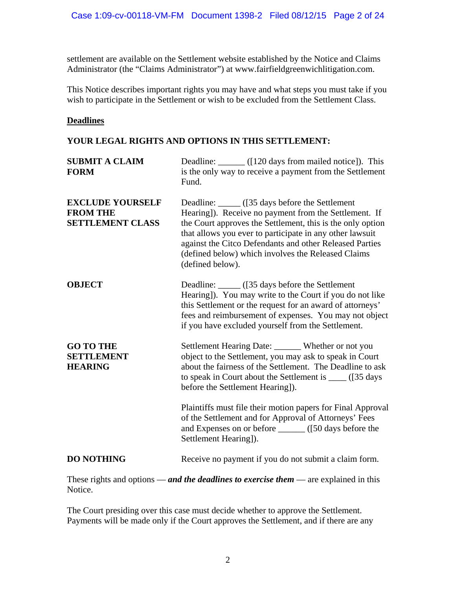settlement are available on the Settlement website established by the Notice and Claims Administrator (the "Claims Administrator") at www.fairfieldgreenwichlitigation.com.

This Notice describes important rights you may have and what steps you must take if you wish to participate in the Settlement or wish to be excluded from the Settlement Class.

### **Deadlines**

# **YOUR LEGAL RIGHTS AND OPTIONS IN THIS SETTLEMENT:**

| <b>SUBMIT A CLAIM</b><br><b>FORM</b>                                  | Deadline: _______ ([120 days from mailed notice]). This<br>is the only way to receive a payment from the Settlement<br>Fund.                                                                                                                                                                                                                                             |
|-----------------------------------------------------------------------|--------------------------------------------------------------------------------------------------------------------------------------------------------------------------------------------------------------------------------------------------------------------------------------------------------------------------------------------------------------------------|
| <b>EXCLUDE YOURSELF</b><br><b>FROM THE</b><br><b>SETTLEMENT CLASS</b> | Deadline: ______ ([35 days before the Settlement<br>Hearing]). Receive no payment from the Settlement. If<br>the Court approves the Settlement, this is the only option<br>that allows you ever to participate in any other lawsuit<br>against the Citco Defendants and other Released Parties<br>(defined below) which involves the Released Claims<br>(defined below). |
| <b>OBJECT</b>                                                         | Deadline: ______ ([35 days before the Settlement<br>Hearing]). You may write to the Court if you do not like<br>this Settlement or the request for an award of attorneys'<br>fees and reimbursement of expenses. You may not object<br>if you have excluded yourself from the Settlement.                                                                                |
| <b>GO TO THE</b><br><b>SETTLEMENT</b><br><b>HEARING</b>               | Settlement Hearing Date: ______ Whether or not you<br>object to the Settlement, you may ask to speak in Court<br>about the fairness of the Settlement. The Deadline to ask<br>to speak in Court about the Settlement is _____ ([35 days<br>before the Settlement Hearing]).                                                                                              |
|                                                                       | Plaintiffs must file their motion papers for Final Approval<br>of the Settlement and for Approval of Attorneys' Fees<br>Settlement Hearing]).                                                                                                                                                                                                                            |
| <b>DO NOTHING</b>                                                     | Receive no payment if you do not submit a claim form.                                                                                                                                                                                                                                                                                                                    |

These rights and options — *and the deadlines to exercise them* — are explained in this Notice.

The Court presiding over this case must decide whether to approve the Settlement. Payments will be made only if the Court approves the Settlement, and if there are any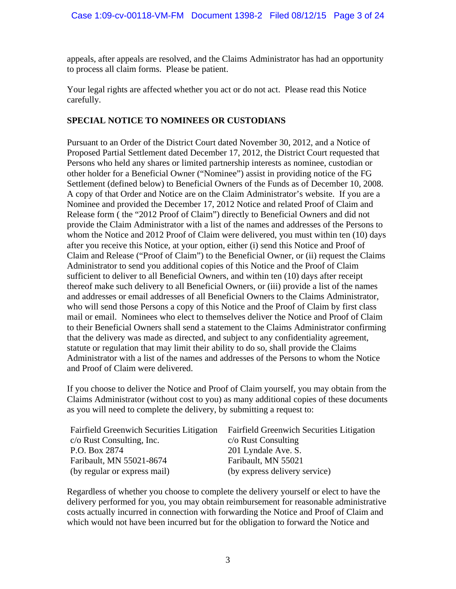appeals, after appeals are resolved, and the Claims Administrator has had an opportunity to process all claim forms. Please be patient.

Your legal rights are affected whether you act or do not act. Please read this Notice carefully.

# **SPECIAL NOTICE TO NOMINEES OR CUSTODIANS**

Pursuant to an Order of the District Court dated November 30, 2012, and a Notice of Proposed Partial Settlement dated December 17, 2012, the District Court requested that Persons who held any shares or limited partnership interests as nominee, custodian or other holder for a Beneficial Owner ("Nominee") assist in providing notice of the FG Settlement (defined below) to Beneficial Owners of the Funds as of December 10, 2008. A copy of that Order and Notice are on the Claim Administrator's website. If you are a Nominee and provided the December 17, 2012 Notice and related Proof of Claim and Release form ( the "2012 Proof of Claim") directly to Beneficial Owners and did not provide the Claim Administrator with a list of the names and addresses of the Persons to whom the Notice and 2012 Proof of Claim were delivered, you must within ten (10) days after you receive this Notice, at your option, either (i) send this Notice and Proof of Claim and Release ("Proof of Claim") to the Beneficial Owner, or (ii) request the Claims Administrator to send you additional copies of this Notice and the Proof of Claim sufficient to deliver to all Beneficial Owners, and within ten (10) days after receipt thereof make such delivery to all Beneficial Owners, or (iii) provide a list of the names and addresses or email addresses of all Beneficial Owners to the Claims Administrator, who will send those Persons a copy of this Notice and the Proof of Claim by first class mail or email. Nominees who elect to themselves deliver the Notice and Proof of Claim to their Beneficial Owners shall send a statement to the Claims Administrator confirming that the delivery was made as directed, and subject to any confidentiality agreement, statute or regulation that may limit their ability to do so, shall provide the Claims Administrator with a list of the names and addresses of the Persons to whom the Notice and Proof of Claim were delivered.

If you choose to deliver the Notice and Proof of Claim yourself, you may obtain from the Claims Administrator (without cost to you) as many additional copies of these documents as you will need to complete the delivery, by submitting a request to:

| <b>Fairfield Greenwich Securities Litigation</b> | <b>Fairfield Greenwich Securities Litigation</b> |
|--------------------------------------------------|--------------------------------------------------|
| $c/\sigma$ Rust Consulting, Inc.                 | $c$ /o Rust Consulting                           |
| P.O. Box 2874                                    | 201 Lyndale Ave. S.                              |
| Faribault, MN 55021-8674                         | Faribault, MN 55021                              |
| (by regular or express mail)                     | (by express delivery service)                    |

Regardless of whether you choose to complete the delivery yourself or elect to have the delivery performed for you, you may obtain reimbursement for reasonable administrative costs actually incurred in connection with forwarding the Notice and Proof of Claim and which would not have been incurred but for the obligation to forward the Notice and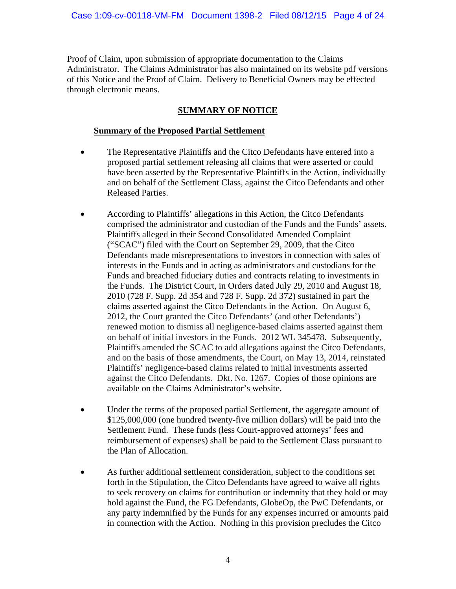Proof of Claim, upon submission of appropriate documentation to the Claims Administrator. The Claims Administrator has also maintained on its website pdf versions of this Notice and the Proof of Claim. Delivery to Beneficial Owners may be effected through electronic means.

# **SUMMARY OF NOTICE**

# **Summary of the Proposed Partial Settlement**

- The Representative Plaintiffs and the Citco Defendants have entered into a proposed partial settlement releasing all claims that were asserted or could have been asserted by the Representative Plaintiffs in the Action, individually and on behalf of the Settlement Class, against the Citco Defendants and other Released Parties.
- According to Plaintiffs' allegations in this Action, the Citco Defendants comprised the administrator and custodian of the Funds and the Funds' assets. Plaintiffs alleged in their Second Consolidated Amended Complaint ("SCAC") filed with the Court on September 29, 2009, that the Citco Defendants made misrepresentations to investors in connection with sales of interests in the Funds and in acting as administrators and custodians for the Funds and breached fiduciary duties and contracts relating to investments in the Funds. The District Court, in Orders dated July 29, 2010 and August 18, 2010 (728 F. Supp. 2d 354 and 728 F. Supp. 2d 372) sustained in part the claims asserted against the Citco Defendants in the Action. On August 6, 2012, the Court granted the Citco Defendants' (and other Defendants') renewed motion to dismiss all negligence-based claims asserted against them on behalf of initial investors in the Funds. 2012 WL 345478. Subsequently, Plaintiffs amended the SCAC to add allegations against the Citco Defendants, and on the basis of those amendments, the Court, on May 13, 2014, reinstated Plaintiffs' negligence-based claims related to initial investments asserted against the Citco Defendants. Dkt. No. 1267. Copies of those opinions are available on the Claims Administrator's website.
- Under the terms of the proposed partial Settlement, the aggregate amount of \$125,000,000 (one hundred twenty-five million dollars) will be paid into the Settlement Fund. These funds (less Court-approved attorneys' fees and reimbursement of expenses) shall be paid to the Settlement Class pursuant to the Plan of Allocation.
- As further additional settlement consideration, subject to the conditions set forth in the Stipulation, the Citco Defendants have agreed to waive all rights to seek recovery on claims for contribution or indemnity that they hold or may hold against the Fund, the FG Defendants, GlobeOp, the PwC Defendants, or any party indemnified by the Funds for any expenses incurred or amounts paid in connection with the Action. Nothing in this provision precludes the Citco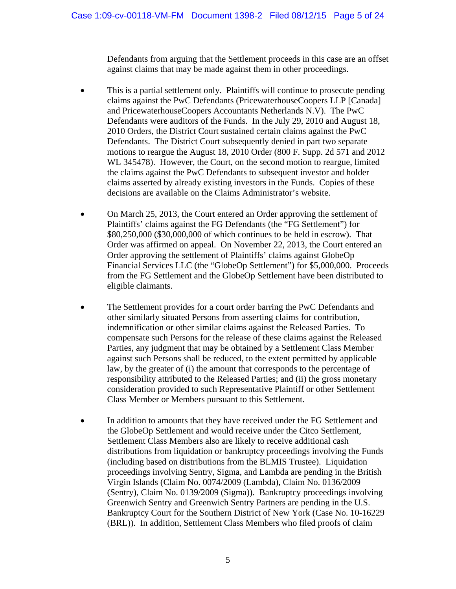Defendants from arguing that the Settlement proceeds in this case are an offset against claims that may be made against them in other proceedings.

- This is a partial settlement only. Plaintiffs will continue to prosecute pending claims against the PwC Defendants (PricewaterhouseCoopers LLP [Canada] and PricewaterhouseCoopers Accountants Netherlands N.V). The PwC Defendants were auditors of the Funds. In the July 29, 2010 and August 18, 2010 Orders, the District Court sustained certain claims against the PwC Defendants. The District Court subsequently denied in part two separate motions to reargue the August 18, 2010 Order (800 F. Supp. 2d 571 and 2012 WL 345478). However, the Court, on the second motion to reargue, limited the claims against the PwC Defendants to subsequent investor and holder claims asserted by already existing investors in the Funds. Copies of these decisions are available on the Claims Administrator's website.
- On March 25, 2013, the Court entered an Order approving the settlement of Plaintiffs' claims against the FG Defendants (the "FG Settlement") for \$80,250,000 (\$30,000,000 of which continues to be held in escrow). That Order was affirmed on appeal. On November 22, 2013, the Court entered an Order approving the settlement of Plaintiffs' claims against GlobeOp Financial Services LLC (the "GlobeOp Settlement") for \$5,000,000. Proceeds from the FG Settlement and the GlobeOp Settlement have been distributed to eligible claimants.
- The Settlement provides for a court order barring the PwC Defendants and other similarly situated Persons from asserting claims for contribution, indemnification or other similar claims against the Released Parties. To compensate such Persons for the release of these claims against the Released Parties, any judgment that may be obtained by a Settlement Class Member against such Persons shall be reduced, to the extent permitted by applicable law, by the greater of (i) the amount that corresponds to the percentage of responsibility attributed to the Released Parties; and (ii) the gross monetary consideration provided to such Representative Plaintiff or other Settlement Class Member or Members pursuant to this Settlement.
- In addition to amounts that they have received under the FG Settlement and the GlobeOp Settlement and would receive under the Citco Settlement, Settlement Class Members also are likely to receive additional cash distributions from liquidation or bankruptcy proceedings involving the Funds (including based on distributions from the BLMIS Trustee). Liquidation proceedings involving Sentry, Sigma, and Lambda are pending in the British Virgin Islands (Claim No. 0074/2009 (Lambda), Claim No. 0136/2009 (Sentry), Claim No. 0139/2009 (Sigma)). Bankruptcy proceedings involving Greenwich Sentry and Greenwich Sentry Partners are pending in the U.S. Bankruptcy Court for the Southern District of New York (Case No. 10-16229 (BRL)). In addition, Settlement Class Members who filed proofs of claim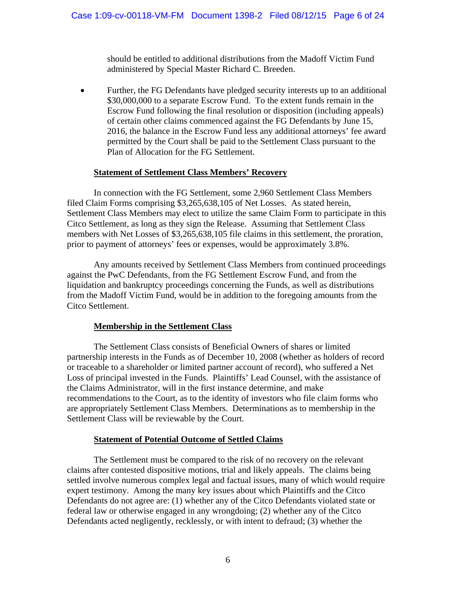should be entitled to additional distributions from the Madoff Victim Fund administered by Special Master Richard C. Breeden.

 Further, the FG Defendants have pledged security interests up to an additional \$30,000,000 to a separate Escrow Fund. To the extent funds remain in the Escrow Fund following the final resolution or disposition (including appeals) of certain other claims commenced against the FG Defendants by June 15, 2016, the balance in the Escrow Fund less any additional attorneys' fee award permitted by the Court shall be paid to the Settlement Class pursuant to the Plan of Allocation for the FG Settlement.

### **Statement of Settlement Class Members' Recovery**

 In connection with the FG Settlement, some 2,960 Settlement Class Members filed Claim Forms comprising \$3,265,638,105 of Net Losses. As stated herein, Settlement Class Members may elect to utilize the same Claim Form to participate in this Citco Settlement, as long as they sign the Release. Assuming that Settlement Class members with Net Losses of \$3,265,638,105 file claims in this settlement, the proration, prior to payment of attorneys' fees or expenses, would be approximately 3.8%.

Any amounts received by Settlement Class Members from continued proceedings against the PwC Defendants, from the FG Settlement Escrow Fund, and from the liquidation and bankruptcy proceedings concerning the Funds, as well as distributions from the Madoff Victim Fund, would be in addition to the foregoing amounts from the Citco Settlement.

# **Membership in the Settlement Class**

 The Settlement Class consists of Beneficial Owners of shares or limited partnership interests in the Funds as of December 10, 2008 (whether as holders of record or traceable to a shareholder or limited partner account of record), who suffered a Net Loss of principal invested in the Funds. Plaintiffs' Lead Counsel, with the assistance of the Claims Administrator, will in the first instance determine, and make recommendations to the Court, as to the identity of investors who file claim forms who are appropriately Settlement Class Members. Determinations as to membership in the Settlement Class will be reviewable by the Court.

# **Statement of Potential Outcome of Settled Claims**

The Settlement must be compared to the risk of no recovery on the relevant claims after contested dispositive motions, trial and likely appeals. The claims being settled involve numerous complex legal and factual issues, many of which would require expert testimony. Among the many key issues about which Plaintiffs and the Citco Defendants do not agree are: (1) whether any of the Citco Defendants violated state or federal law or otherwise engaged in any wrongdoing; (2) whether any of the Citco Defendants acted negligently, recklessly, or with intent to defraud; (3) whether the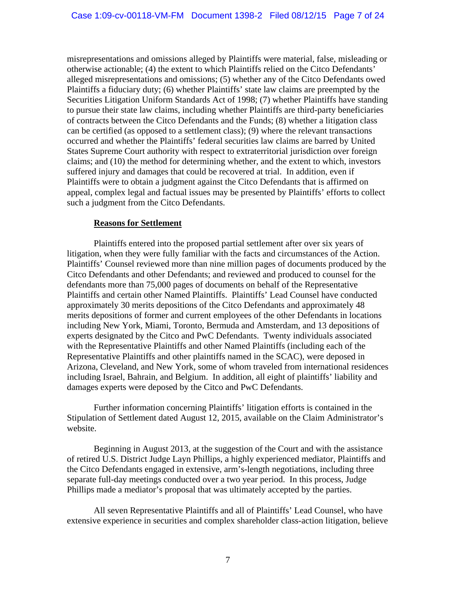misrepresentations and omissions alleged by Plaintiffs were material, false, misleading or otherwise actionable; (4) the extent to which Plaintiffs relied on the Citco Defendants' alleged misrepresentations and omissions; (5) whether any of the Citco Defendants owed Plaintiffs a fiduciary duty; (6) whether Plaintiffs' state law claims are preempted by the Securities Litigation Uniform Standards Act of 1998; (7) whether Plaintiffs have standing to pursue their state law claims, including whether Plaintiffs are third-party beneficiaries of contracts between the Citco Defendants and the Funds; (8) whether a litigation class can be certified (as opposed to a settlement class); (9) where the relevant transactions occurred and whether the Plaintiffs' federal securities law claims are barred by United States Supreme Court authority with respect to extraterritorial jurisdiction over foreign claims; and (10) the method for determining whether, and the extent to which, investors suffered injury and damages that could be recovered at trial. In addition, even if Plaintiffs were to obtain a judgment against the Citco Defendants that is affirmed on appeal, complex legal and factual issues may be presented by Plaintiffs' efforts to collect such a judgment from the Citco Defendants.

#### **Reasons for Settlement**

Plaintiffs entered into the proposed partial settlement after over six years of litigation, when they were fully familiar with the facts and circumstances of the Action. Plaintiffs' Counsel reviewed more than nine million pages of documents produced by the Citco Defendants and other Defendants; and reviewed and produced to counsel for the defendants more than 75,000 pages of documents on behalf of the Representative Plaintiffs and certain other Named Plaintiffs. Plaintiffs' Lead Counsel have conducted approximately 30 merits depositions of the Citco Defendants and approximately 48 merits depositions of former and current employees of the other Defendants in locations including New York, Miami, Toronto, Bermuda and Amsterdam, and 13 depositions of experts designated by the Citco and PwC Defendants. Twenty individuals associated with the Representative Plaintiffs and other Named Plaintiffs (including each of the Representative Plaintiffs and other plaintiffs named in the SCAC), were deposed in Arizona, Cleveland, and New York, some of whom traveled from international residences including Israel, Bahrain, and Belgium. In addition, all eight of plaintiffs' liability and damages experts were deposed by the Citco and PwC Defendants.

Further information concerning Plaintiffs' litigation efforts is contained in the Stipulation of Settlement dated August 12, 2015, available on the Claim Administrator's website.

Beginning in August 2013, at the suggestion of the Court and with the assistance of retired U.S. District Judge Layn Phillips, a highly experienced mediator, Plaintiffs and the Citco Defendants engaged in extensive, arm's-length negotiations, including three separate full-day meetings conducted over a two year period. In this process, Judge Phillips made a mediator's proposal that was ultimately accepted by the parties.

All seven Representative Plaintiffs and all of Plaintiffs' Lead Counsel, who have extensive experience in securities and complex shareholder class-action litigation, believe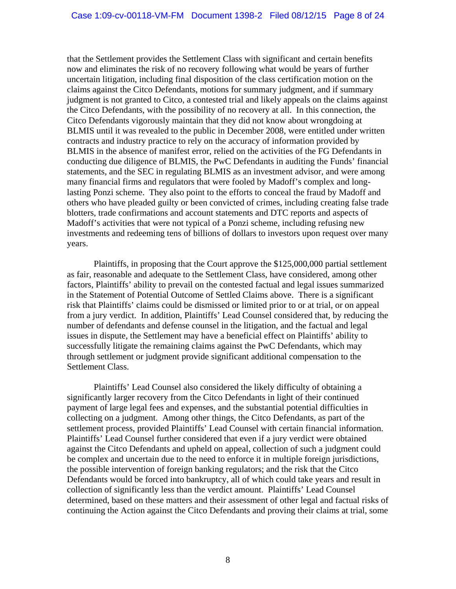that the Settlement provides the Settlement Class with significant and certain benefits now and eliminates the risk of no recovery following what would be years of further uncertain litigation, including final disposition of the class certification motion on the claims against the Citco Defendants, motions for summary judgment, and if summary judgment is not granted to Citco, a contested trial and likely appeals on the claims against the Citco Defendants, with the possibility of no recovery at all. In this connection, the Citco Defendants vigorously maintain that they did not know about wrongdoing at BLMIS until it was revealed to the public in December 2008, were entitled under written contracts and industry practice to rely on the accuracy of information provided by BLMIS in the absence of manifest error, relied on the activities of the FG Defendants in conducting due diligence of BLMIS, the PwC Defendants in auditing the Funds' financial statements, and the SEC in regulating BLMIS as an investment advisor, and were among many financial firms and regulators that were fooled by Madoff's complex and longlasting Ponzi scheme. They also point to the efforts to conceal the fraud by Madoff and others who have pleaded guilty or been convicted of crimes, including creating false trade blotters, trade confirmations and account statements and DTC reports and aspects of Madoff's activities that were not typical of a Ponzi scheme, including refusing new investments and redeeming tens of billions of dollars to investors upon request over many years.

Plaintiffs, in proposing that the Court approve the \$125,000,000 partial settlement as fair, reasonable and adequate to the Settlement Class, have considered, among other factors, Plaintiffs' ability to prevail on the contested factual and legal issues summarized in the Statement of Potential Outcome of Settled Claims above. There is a significant risk that Plaintiffs' claims could be dismissed or limited prior to or at trial, or on appeal from a jury verdict. In addition, Plaintiffs' Lead Counsel considered that, by reducing the number of defendants and defense counsel in the litigation, and the factual and legal issues in dispute, the Settlement may have a beneficial effect on Plaintiffs' ability to successfully litigate the remaining claims against the PwC Defendants, which may through settlement or judgment provide significant additional compensation to the Settlement Class.

Plaintiffs' Lead Counsel also considered the likely difficulty of obtaining a significantly larger recovery from the Citco Defendants in light of their continued payment of large legal fees and expenses, and the substantial potential difficulties in collecting on a judgment. Among other things, the Citco Defendants, as part of the settlement process, provided Plaintiffs' Lead Counsel with certain financial information. Plaintiffs' Lead Counsel further considered that even if a jury verdict were obtained against the Citco Defendants and upheld on appeal, collection of such a judgment could be complex and uncertain due to the need to enforce it in multiple foreign jurisdictions, the possible intervention of foreign banking regulators; and the risk that the Citco Defendants would be forced into bankruptcy, all of which could take years and result in collection of significantly less than the verdict amount. Plaintiffs' Lead Counsel determined, based on these matters and their assessment of other legal and factual risks of continuing the Action against the Citco Defendants and proving their claims at trial, some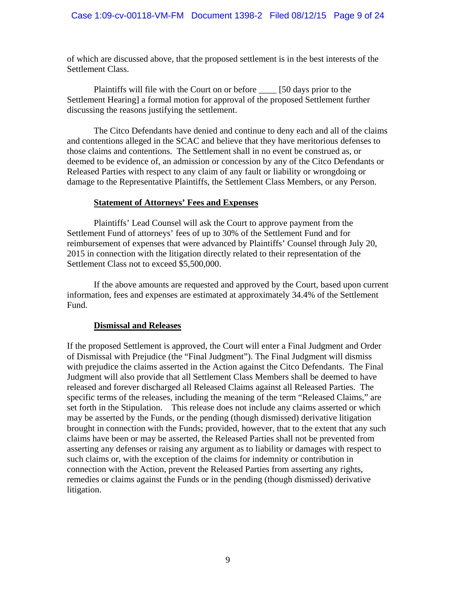of which are discussed above, that the proposed settlement is in the best interests of the Settlement Class.

Plaintiffs will file with the Court on or before \_\_\_\_ [50 days prior to the Settlement Hearing] a formal motion for approval of the proposed Settlement further discussing the reasons justifying the settlement.

The Citco Defendants have denied and continue to deny each and all of the claims and contentions alleged in the SCAC and believe that they have meritorious defenses to those claims and contentions. The Settlement shall in no event be construed as, or deemed to be evidence of, an admission or concession by any of the Citco Defendants or Released Parties with respect to any claim of any fault or liability or wrongdoing or damage to the Representative Plaintiffs, the Settlement Class Members, or any Person.

### **Statement of Attorneys' Fees and Expenses**

Plaintiffs' Lead Counsel will ask the Court to approve payment from the Settlement Fund of attorneys' fees of up to 30% of the Settlement Fund and for reimbursement of expenses that were advanced by Plaintiffs' Counsel through July 20, 2015 in connection with the litigation directly related to their representation of the Settlement Class not to exceed \$5,500,000.

If the above amounts are requested and approved by the Court, based upon current information, fees and expenses are estimated at approximately 34.4% of the Settlement Fund.

# **Dismissal and Releases**

If the proposed Settlement is approved, the Court will enter a Final Judgment and Order of Dismissal with Prejudice (the "Final Judgment"). The Final Judgment will dismiss with prejudice the claims asserted in the Action against the Citco Defendants. The Final Judgment will also provide that all Settlement Class Members shall be deemed to have released and forever discharged all Released Claims against all Released Parties. The specific terms of the releases, including the meaning of the term "Released Claims," are set forth in the Stipulation. This release does not include any claims asserted or which may be asserted by the Funds, or the pending (though dismissed) derivative litigation brought in connection with the Funds; provided, however, that to the extent that any such claims have been or may be asserted, the Released Parties shall not be prevented from asserting any defenses or raising any argument as to liability or damages with respect to such claims or, with the exception of the claims for indemnity or contribution in connection with the Action, prevent the Released Parties from asserting any rights, remedies or claims against the Funds or in the pending (though dismissed) derivative litigation.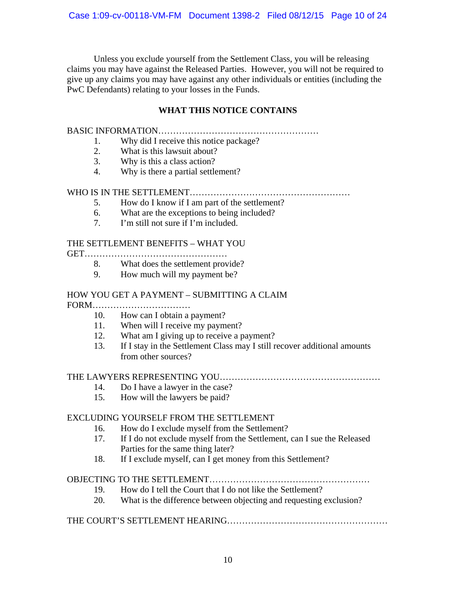Unless you exclude yourself from the Settlement Class, you will be releasing claims you may have against the Released Parties. However, you will not be required to give up any claims you may have against any other individuals or entities (including the PwC Defendants) relating to your losses in the Funds.

# **WHAT THIS NOTICE CONTAINS**

# BASIC INFORMATION………………………………………………

- 1. Why did I receive this notice package?
- 2. What is this lawsuit about?
- 3. Why is this a class action?
- 4. Why is there a partial settlement?

### WHO IS IN THE SETTLEMENT………………………………………………

- 5. How do I know if I am part of the settlement?
- 6. What are the exceptions to being included?
- 7. I'm still not sure if I'm included.

# THE SETTLEMENT BENEFITS – WHAT YOU

GET…………………………………………

- 8. What does the settlement provide?
- 9. How much will my payment be?

# HOW YOU GET A PAYMENT – SUBMITTING A CLAIM

FORM……………………………

- 10. How can I obtain a payment?
- 11. When will I receive my payment?
- 12. What am I giving up to receive a payment?
- 13. If I stay in the Settlement Class may I still recover additional amounts from other sources?

### THE LAWYERS REPRESENTING YOU………………………………………………

- 14. Do I have a lawyer in the case?
- 15. How will the lawyers be paid?

### EXCLUDING YOURSELF FROM THE SETTLEMENT

- 16. How do I exclude myself from the Settlement?
- 17. If I do not exclude myself from the Settlement, can I sue the Released Parties for the same thing later?
- 18. If I exclude myself, can I get money from this Settlement?

# OBJECTING TO THE SETTLEMENT………………………………………………

- 19. How do I tell the Court that I do not like the Settlement?
- 20. What is the difference between objecting and requesting exclusion?

# THE COURT'S SETTLEMENT HEARING………………………………………………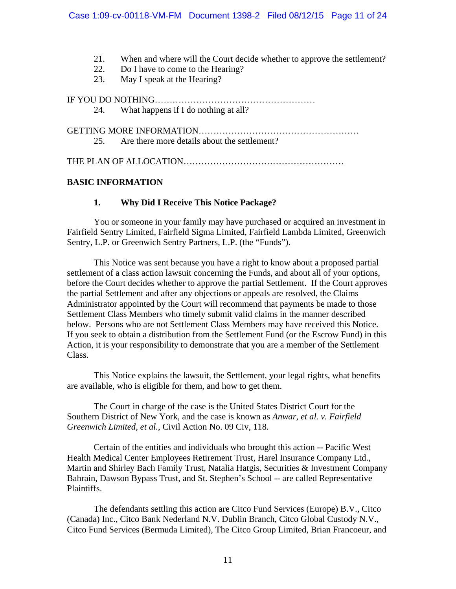- 21. When and where will the Court decide whether to approve the settlement?
- 22. Do I have to come to the Hearing?
- 23. May I speak at the Hearing?

IF YOU DO NOTHING………………………………………………

24. What happens if I do nothing at all?

GETTING MORE INFORMATION………………………………………………

25. Are there more details about the settlement?

THE PLAN OF ALLOCATION………………………………………………………

# **BASIC INFORMATION**

### **1. Why Did I Receive This Notice Package?**

You or someone in your family may have purchased or acquired an investment in Fairfield Sentry Limited, Fairfield Sigma Limited, Fairfield Lambda Limited, Greenwich Sentry, L.P. or Greenwich Sentry Partners, L.P. (the "Funds").

This Notice was sent because you have a right to know about a proposed partial settlement of a class action lawsuit concerning the Funds, and about all of your options, before the Court decides whether to approve the partial Settlement. If the Court approves the partial Settlement and after any objections or appeals are resolved, the Claims Administrator appointed by the Court will recommend that payments be made to those Settlement Class Members who timely submit valid claims in the manner described below. Persons who are not Settlement Class Members may have received this Notice. If you seek to obtain a distribution from the Settlement Fund (or the Escrow Fund) in this Action, it is your responsibility to demonstrate that you are a member of the Settlement Class.

This Notice explains the lawsuit, the Settlement, your legal rights, what benefits are available, who is eligible for them, and how to get them.

The Court in charge of the case is the United States District Court for the Southern District of New York, and the case is known as *Anwar, et al. v. Fairfield Greenwich Limited, et al.*, Civil Action No. 09 Civ, 118.

Certain of the entities and individuals who brought this action -- Pacific West Health Medical Center Employees Retirement Trust, Harel Insurance Company Ltd., Martin and Shirley Bach Family Trust, Natalia Hatgis, Securities & Investment Company Bahrain, Dawson Bypass Trust, and St. Stephen's School -- are called Representative Plaintiffs.

The defendants settling this action are Citco Fund Services (Europe) B.V., Citco (Canada) Inc., Citco Bank Nederland N.V. Dublin Branch, Citco Global Custody N.V., Citco Fund Services (Bermuda Limited), The Citco Group Limited, Brian Francoeur, and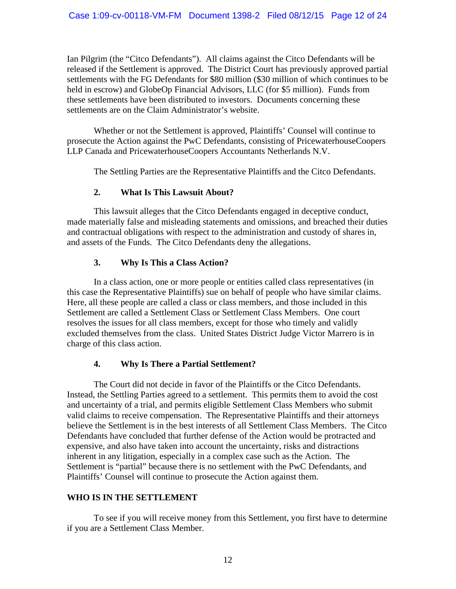Ian Pilgrim (the "Citco Defendants"). All claims against the Citco Defendants will be released if the Settlement is approved. The District Court has previously approved partial settlements with the FG Defendants for \$80 million (\$30 million of which continues to be held in escrow) and GlobeOp Financial Advisors, LLC (for \$5 million). Funds from these settlements have been distributed to investors. Documents concerning these settlements are on the Claim Administrator's website.

Whether or not the Settlement is approved, Plaintiffs' Counsel will continue to prosecute the Action against the PwC Defendants, consisting of PricewaterhouseCoopers LLP Canada and PricewaterhouseCoopers Accountants Netherlands N.V.

The Settling Parties are the Representative Plaintiffs and the Citco Defendants.

# **2. What Is This Lawsuit About?**

This lawsuit alleges that the Citco Defendants engaged in deceptive conduct, made materially false and misleading statements and omissions, and breached their duties and contractual obligations with respect to the administration and custody of shares in, and assets of the Funds. The Citco Defendants deny the allegations.

# **3. Why Is This a Class Action?**

In a class action, one or more people or entities called class representatives (in this case the Representative Plaintiffs) sue on behalf of people who have similar claims. Here, all these people are called a class or class members, and those included in this Settlement are called a Settlement Class or Settlement Class Members. One court resolves the issues for all class members, except for those who timely and validly excluded themselves from the class. United States District Judge Victor Marrero is in charge of this class action.

# **4. Why Is There a Partial Settlement?**

The Court did not decide in favor of the Plaintiffs or the Citco Defendants. Instead, the Settling Parties agreed to a settlement. This permits them to avoid the cost and uncertainty of a trial, and permits eligible Settlement Class Members who submit valid claims to receive compensation. The Representative Plaintiffs and their attorneys believe the Settlement is in the best interests of all Settlement Class Members. The Citco Defendants have concluded that further defense of the Action would be protracted and expensive, and also have taken into account the uncertainty, risks and distractions inherent in any litigation, especially in a complex case such as the Action. The Settlement is "partial" because there is no settlement with the PwC Defendants, and Plaintiffs' Counsel will continue to prosecute the Action against them.

# **WHO IS IN THE SETTLEMENT**

To see if you will receive money from this Settlement, you first have to determine if you are a Settlement Class Member.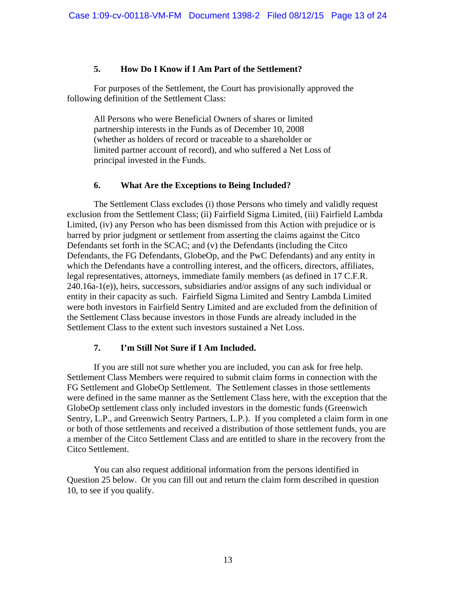### **5. How Do I Know if I Am Part of the Settlement?**

For purposes of the Settlement, the Court has provisionally approved the following definition of the Settlement Class:

All Persons who were Beneficial Owners of shares or limited partnership interests in the Funds as of December 10, 2008 (whether as holders of record or traceable to a shareholder or limited partner account of record), and who suffered a Net Loss of principal invested in the Funds.

#### **6. What Are the Exceptions to Being Included?**

The Settlement Class excludes (i) those Persons who timely and validly request exclusion from the Settlement Class; (ii) Fairfield Sigma Limited, (iii) Fairfield Lambda Limited, (iv) any Person who has been dismissed from this Action with prejudice or is barred by prior judgment or settlement from asserting the claims against the Citco Defendants set forth in the SCAC; and (v) the Defendants (including the Citco Defendants, the FG Defendants, GlobeOp, and the PwC Defendants) and any entity in which the Defendants have a controlling interest, and the officers, directors, affiliates, legal representatives, attorneys, immediate family members (as defined in 17 C.F.R. 240.16a-1(e)), heirs, successors, subsidiaries and/or assigns of any such individual or entity in their capacity as such. Fairfield Sigma Limited and Sentry Lambda Limited were both investors in Fairfield Sentry Limited and are excluded from the definition of the Settlement Class because investors in those Funds are already included in the Settlement Class to the extent such investors sustained a Net Loss.

#### **7. I'm Still Not Sure if I Am Included.**

If you are still not sure whether you are included, you can ask for free help. Settlement Class Members were required to submit claim forms in connection with the FG Settlement and GlobeOp Settlement. The Settlement classes in those settlements were defined in the same manner as the Settlement Class here, with the exception that the GlobeOp settlement class only included investors in the domestic funds (Greenwich Sentry, L.P., and Greenwich Sentry Partners, L.P.). If you completed a claim form in one or both of those settlements and received a distribution of those settlement funds, you are a member of the Citco Settlement Class and are entitled to share in the recovery from the Citco Settlement.

You can also request additional information from the persons identified in Question 25 below. Or you can fill out and return the claim form described in question 10, to see if you qualify.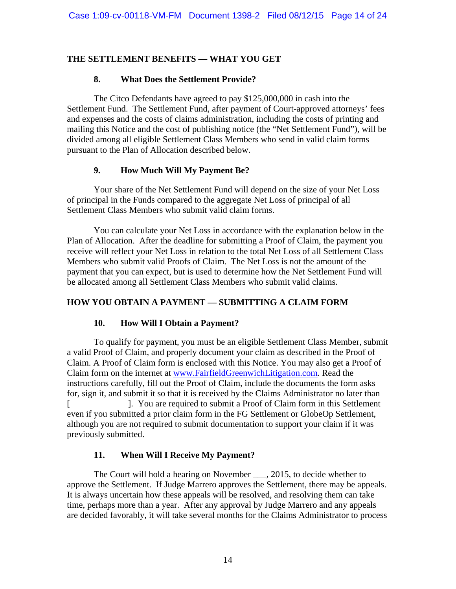# **THE SETTLEMENT BENEFITS — WHAT YOU GET**

# **8. What Does the Settlement Provide?**

The Citco Defendants have agreed to pay \$125,000,000 in cash into the Settlement Fund. The Settlement Fund, after payment of Court-approved attorneys' fees and expenses and the costs of claims administration, including the costs of printing and mailing this Notice and the cost of publishing notice (the "Net Settlement Fund"), will be divided among all eligible Settlement Class Members who send in valid claim forms pursuant to the Plan of Allocation described below.

# **9. How Much Will My Payment Be?**

Your share of the Net Settlement Fund will depend on the size of your Net Loss of principal in the Funds compared to the aggregate Net Loss of principal of all Settlement Class Members who submit valid claim forms.

You can calculate your Net Loss in accordance with the explanation below in the Plan of Allocation. After the deadline for submitting a Proof of Claim, the payment you receive will reflect your Net Loss in relation to the total Net Loss of all Settlement Class Members who submit valid Proofs of Claim. The Net Loss is not the amount of the payment that you can expect, but is used to determine how the Net Settlement Fund will be allocated among all Settlement Class Members who submit valid claims.

# **HOW YOU OBTAIN A PAYMENT — SUBMITTING A CLAIM FORM**

# **10. How Will I Obtain a Payment?**

To qualify for payment, you must be an eligible Settlement Class Member, submit a valid Proof of Claim, and properly document your claim as described in the Proof of Claim. A Proof of Claim form is enclosed with this Notice. You may also get a Proof of Claim form on the internet at www.FairfieldGreenwichLitigation.com. Read the instructions carefully, fill out the Proof of Claim, include the documents the form asks for, sign it, and submit it so that it is received by the Claims Administrator no later than [ ]. You are required to submit a Proof of Claim form in this Settlement even if you submitted a prior claim form in the FG Settlement or GlobeOp Settlement, although you are not required to submit documentation to support your claim if it was previously submitted.

# **11. When Will I Receive My Payment?**

The Court will hold a hearing on November \_\_\_, 2015, to decide whether to approve the Settlement. If Judge Marrero approves the Settlement, there may be appeals. It is always uncertain how these appeals will be resolved, and resolving them can take time, perhaps more than a year. After any approval by Judge Marrero and any appeals are decided favorably, it will take several months for the Claims Administrator to process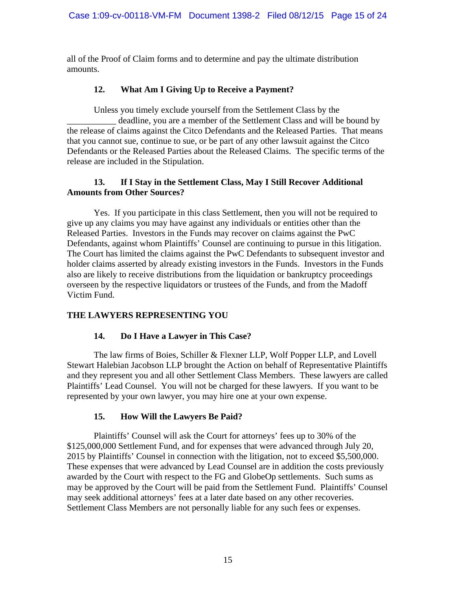all of the Proof of Claim forms and to determine and pay the ultimate distribution amounts.

# **12. What Am I Giving Up to Receive a Payment?**

Unless you timely exclude yourself from the Settlement Class by the deadline, you are a member of the Settlement Class and will be bound by the release of claims against the Citco Defendants and the Released Parties. That means that you cannot sue, continue to sue, or be part of any other lawsuit against the Citco Defendants or the Released Parties about the Released Claims. The specific terms of the release are included in the Stipulation.

### **13. If I Stay in the Settlement Class, May I Still Recover Additional Amounts from Other Sources?**

Yes. If you participate in this class Settlement, then you will not be required to give up any claims you may have against any individuals or entities other than the Released Parties. Investors in the Funds may recover on claims against the PwC Defendants, against whom Plaintiffs' Counsel are continuing to pursue in this litigation. The Court has limited the claims against the PwC Defendants to subsequent investor and holder claims asserted by already existing investors in the Funds. Investors in the Funds also are likely to receive distributions from the liquidation or bankruptcy proceedings overseen by the respective liquidators or trustees of the Funds, and from the Madoff Victim Fund.

# **THE LAWYERS REPRESENTING YOU**

# **14. Do I Have a Lawyer in This Case?**

The law firms of Boies, Schiller & Flexner LLP, Wolf Popper LLP, and Lovell Stewart Halebian Jacobson LLP brought the Action on behalf of Representative Plaintiffs and they represent you and all other Settlement Class Members. These lawyers are called Plaintiffs' Lead Counsel. You will not be charged for these lawyers. If you want to be represented by your own lawyer, you may hire one at your own expense.

# **15. How Will the Lawyers Be Paid?**

Plaintiffs' Counsel will ask the Court for attorneys' fees up to 30% of the \$125,000,000 Settlement Fund, and for expenses that were advanced through July 20, 2015 by Plaintiffs' Counsel in connection with the litigation, not to exceed \$5,500,000. These expenses that were advanced by Lead Counsel are in addition the costs previously awarded by the Court with respect to the FG and GlobeOp settlements. Such sums as may be approved by the Court will be paid from the Settlement Fund. Plaintiffs' Counsel may seek additional attorneys' fees at a later date based on any other recoveries. Settlement Class Members are not personally liable for any such fees or expenses.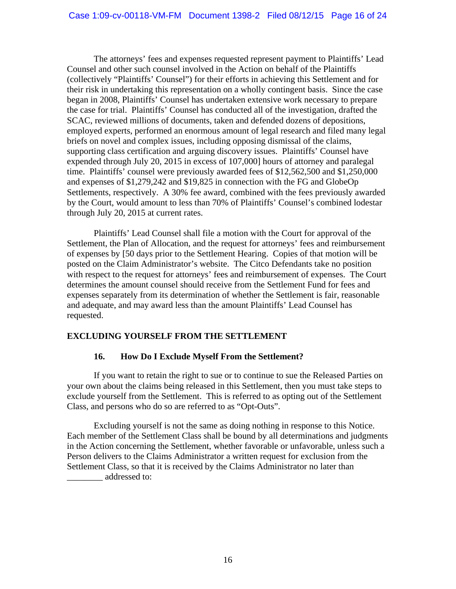The attorneys' fees and expenses requested represent payment to Plaintiffs' Lead Counsel and other such counsel involved in the Action on behalf of the Plaintiffs (collectively "Plaintiffs' Counsel") for their efforts in achieving this Settlement and for their risk in undertaking this representation on a wholly contingent basis. Since the case began in 2008, Plaintiffs' Counsel has undertaken extensive work necessary to prepare the case for trial. Plaintiffs' Counsel has conducted all of the investigation, drafted the SCAC, reviewed millions of documents, taken and defended dozens of depositions, employed experts, performed an enormous amount of legal research and filed many legal briefs on novel and complex issues, including opposing dismissal of the claims, supporting class certification and arguing discovery issues. Plaintiffs' Counsel have expended through July 20, 2015 in excess of 107,000] hours of attorney and paralegal time. Plaintiffs' counsel were previously awarded fees of \$12,562,500 and \$1,250,000 and expenses of \$1,279,242 and \$19,825 in connection with the FG and GlobeOp Settlements, respectively. A 30% fee award, combined with the fees previously awarded by the Court, would amount to less than 70% of Plaintiffs' Counsel's combined lodestar through July 20, 2015 at current rates.

Plaintiffs' Lead Counsel shall file a motion with the Court for approval of the Settlement, the Plan of Allocation, and the request for attorneys' fees and reimbursement of expenses by [50 days prior to the Settlement Hearing. Copies of that motion will be posted on the Claim Administrator's website. The Citco Defendants take no position with respect to the request for attorneys' fees and reimbursement of expenses. The Court determines the amount counsel should receive from the Settlement Fund for fees and expenses separately from its determination of whether the Settlement is fair, reasonable and adequate, and may award less than the amount Plaintiffs' Lead Counsel has requested.

# **EXCLUDING YOURSELF FROM THE SETTLEMENT**

# **16. How Do I Exclude Myself From the Settlement?**

If you want to retain the right to sue or to continue to sue the Released Parties on your own about the claims being released in this Settlement, then you must take steps to exclude yourself from the Settlement. This is referred to as opting out of the Settlement Class, and persons who do so are referred to as "Opt-Outs".

Excluding yourself is not the same as doing nothing in response to this Notice. Each member of the Settlement Class shall be bound by all determinations and judgments in the Action concerning the Settlement, whether favorable or unfavorable, unless such a Person delivers to the Claims Administrator a written request for exclusion from the Settlement Class, so that it is received by the Claims Administrator no later than \_\_\_\_\_\_\_\_ addressed to: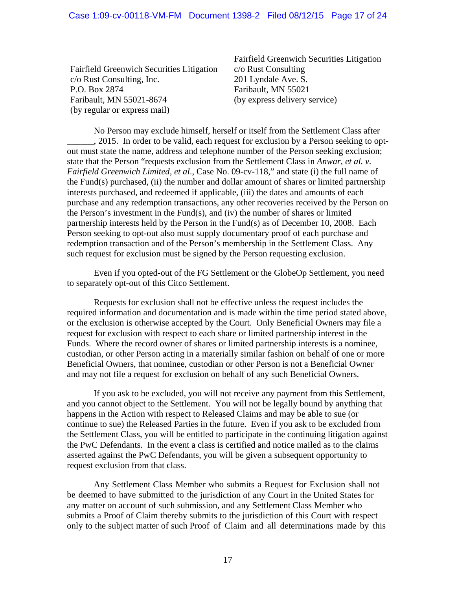Fairfield Greenwich Securities Litigation c/o Rust Consulting, Inc. P.O. Box 2874 Faribault, MN 55021-8674 (by regular or express mail)

Fairfield Greenwich Securities Litigation c/o Rust Consulting 201 Lyndale Ave. S. Faribault, MN 55021 (by express delivery service)

 No Person may exclude himself, herself or itself from the Settlement Class after \_\_\_\_\_\_, 2015. In order to be valid, each request for exclusion by a Person seeking to optout must state the name, address and telephone number of the Person seeking exclusion; state that the Person "requests exclusion from the Settlement Class in *Anwar, et al. v. Fairfield Greenwich Limited, et al*., Case No. 09-cv-118," and state (i) the full name of the Fund(s) purchased, (ii) the number and dollar amount of shares or limited partnership interests purchased, and redeemed if applicable, (iii) the dates and amounts of each purchase and any redemption transactions, any other recoveries received by the Person on the Person's investment in the Fund(s), and (iv) the number of shares or limited partnership interests held by the Person in the Fund(s) as of December 10, 2008. Each Person seeking to opt-out also must supply documentary proof of each purchase and redemption transaction and of the Person's membership in the Settlement Class. Any such request for exclusion must be signed by the Person requesting exclusion.

Even if you opted-out of the FG Settlement or the GlobeOp Settlement, you need to separately opt-out of this Citco Settlement.

Requests for exclusion shall not be effective unless the request includes the required information and documentation and is made within the time period stated above, or the exclusion is otherwise accepted by the Court. Only Beneficial Owners may file a request for exclusion with respect to each share or limited partnership interest in the Funds. Where the record owner of shares or limited partnership interests is a nominee, custodian, or other Person acting in a materially similar fashion on behalf of one or more Beneficial Owners, that nominee, custodian or other Person is not a Beneficial Owner and may not file a request for exclusion on behalf of any such Beneficial Owners.

If you ask to be excluded, you will not receive any payment from this Settlement, and you cannot object to the Settlement. You will not be legally bound by anything that happens in the Action with respect to Released Claims and may be able to sue (or continue to sue) the Released Parties in the future. Even if you ask to be excluded from the Settlement Class, you will be entitled to participate in the continuing litigation against the PwC Defendants. In the event a class is certified and notice mailed as to the claims asserted against the PwC Defendants, you will be given a subsequent opportunity to request exclusion from that class.

 Any Settlement Class Member who submits a Request for Exclusion shall not be deemed to have submitted to the jurisdiction of any Court in the United States for any matter on account of such submission, and any Settlement Class Member who submits a Proof of Claim thereby submits to the jurisdiction of this Court with respect only to the subject matter of such Proof of Claim and all determinations made by this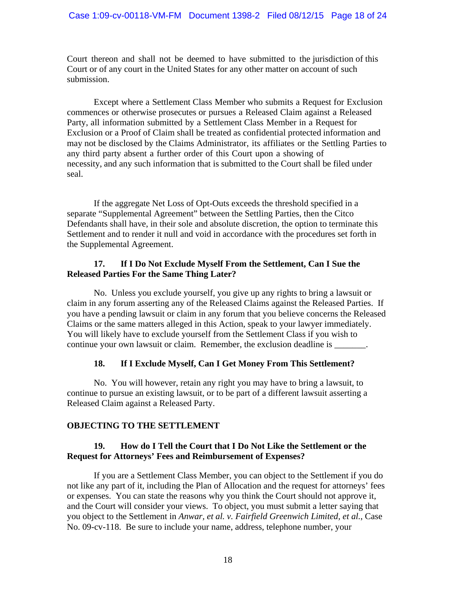Court thereon and shall not be deemed to have submitted to the jurisdiction of this Court or of any court in the United States for any other matter on account of such submission.

Except where a Settlement Class Member who submits a Request for Exclusion commences or otherwise prosecutes or pursues a Released Claim against a Released Party, all information submitted by a Settlement Class Member in a Request for Exclusion or a Proof of Claim shall be treated as confidential protected information and may not be disclosed by the Claims Administrator, its affiliates or the Settling Parties to any third party absent a further order of this Court upon a showing of necessity, and any such information that is submitted to the Court shall be filed under seal.

If the aggregate Net Loss of Opt-Outs exceeds the threshold specified in a separate "Supplemental Agreement" between the Settling Parties, then the Citco Defendants shall have, in their sole and absolute discretion, the option to terminate this Settlement and to render it null and void in accordance with the procedures set forth in the Supplemental Agreement.

### **17. If I Do Not Exclude Myself From the Settlement, Can I Sue the Released Parties For the Same Thing Later?**

No. Unless you exclude yourself, you give up any rights to bring a lawsuit or claim in any forum asserting any of the Released Claims against the Released Parties. If you have a pending lawsuit or claim in any forum that you believe concerns the Released Claims or the same matters alleged in this Action, speak to your lawyer immediately. You will likely have to exclude yourself from the Settlement Class if you wish to continue your own lawsuit or claim. Remember, the exclusion deadline is \_\_\_\_\_\_\_.

# **18. If I Exclude Myself, Can I Get Money From This Settlement?**

No. You will however, retain any right you may have to bring a lawsuit, to continue to pursue an existing lawsuit, or to be part of a different lawsuit asserting a Released Claim against a Released Party.

# **OBJECTING TO THE SETTLEMENT**

# **19. How do I Tell the Court that I Do Not Like the Settlement or the Request for Attorneys' Fees and Reimbursement of Expenses?**

If you are a Settlement Class Member, you can object to the Settlement if you do not like any part of it, including the Plan of Allocation and the request for attorneys' fees or expenses. You can state the reasons why you think the Court should not approve it, and the Court will consider your views. To object, you must submit a letter saying that you object to the Settlement in *Anwar, et al. v. Fairfield Greenwich Limited, et al.*, Case No. 09-cv-118. Be sure to include your name, address, telephone number, your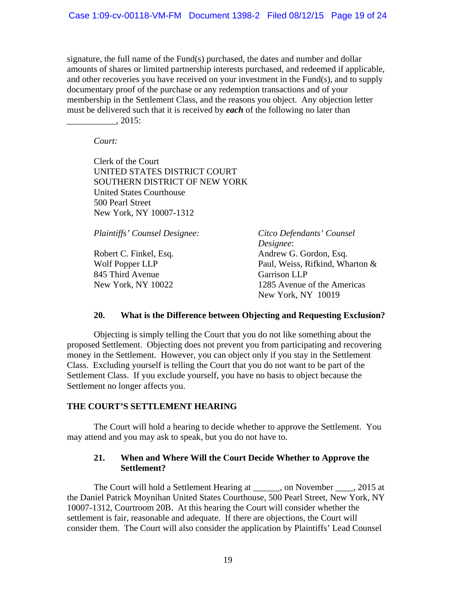signature, the full name of the Fund(s) purchased, the dates and number and dollar amounts of shares or limited partnership interests purchased, and redeemed if applicable, and other recoveries you have received on your investment in the Fund(s), and to supply documentary proof of the purchase or any redemption transactions and of your membership in the Settlement Class, and the reasons you object. Any objection letter must be delivered such that it is received by *each* of the following no later than \_\_\_\_\_\_\_\_\_\_\_, 2015:

*Court:* 

Clerk of the Court UNITED STATES DISTRICT COURT SOUTHERN DISTRICT OF NEW YORK United States Courthouse 500 Pearl Street New York, NY 10007-1312

*Plaintiffs' Counsel Designee:* 

Robert C. Finkel, Esq. Wolf Popper LLP 845 Third Avenue New York, NY 10022

*Citco Defendants' Counsel Designee*: Andrew G. Gordon, Esq. Paul, Weiss, Rifkind, Wharton & Garrison LLP 1285 Avenue of the Americas New York, NY 10019

#### **20. What is the Difference between Objecting and Requesting Exclusion?**

Objecting is simply telling the Court that you do not like something about the proposed Settlement. Objecting does not prevent you from participating and recovering money in the Settlement. However, you can object only if you stay in the Settlement Class. Excluding yourself is telling the Court that you do not want to be part of the Settlement Class. If you exclude yourself, you have no basis to object because the Settlement no longer affects you.

#### **THE COURT'S SETTLEMENT HEARING**

The Court will hold a hearing to decide whether to approve the Settlement. You may attend and you may ask to speak, but you do not have to.

### **21. When and Where Will the Court Decide Whether to Approve the Settlement?**

The Court will hold a Settlement Hearing at \_\_\_\_\_\_, on November \_\_\_\_, 2015 at the Daniel Patrick Moynihan United States Courthouse, 500 Pearl Street, New York, NY 10007-1312, Courtroom 20B. At this hearing the Court will consider whether the settlement is fair, reasonable and adequate. If there are objections, the Court will consider them. The Court will also consider the application by Plaintiffs' Lead Counsel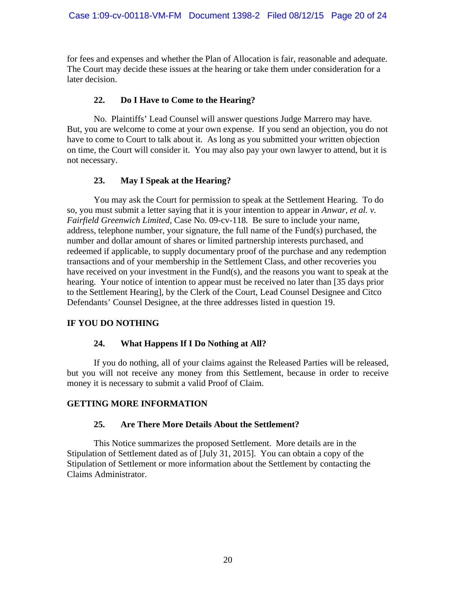for fees and expenses and whether the Plan of Allocation is fair, reasonable and adequate. The Court may decide these issues at the hearing or take them under consideration for a later decision.

# **22. Do I Have to Come to the Hearing?**

No. Plaintiffs' Lead Counsel will answer questions Judge Marrero may have. But, you are welcome to come at your own expense. If you send an objection, you do not have to come to Court to talk about it. As long as you submitted your written objection on time, the Court will consider it. You may also pay your own lawyer to attend, but it is not necessary.

# **23. May I Speak at the Hearing?**

You may ask the Court for permission to speak at the Settlement Hearing. To do so, you must submit a letter saying that it is your intention to appear in *Anwar, et al. v. Fairfield Greenwich Limited,* Case No. 09-cv-118*.* Be sure to include your name, address, telephone number, your signature, the full name of the Fund(s) purchased, the number and dollar amount of shares or limited partnership interests purchased, and redeemed if applicable, to supply documentary proof of the purchase and any redemption transactions and of your membership in the Settlement Class, and other recoveries you have received on your investment in the Fund(s), and the reasons you want to speak at the hearing. Your notice of intention to appear must be received no later than [35 days prior to the Settlement Hearing], by the Clerk of the Court, Lead Counsel Designee and Citco Defendants' Counsel Designee, at the three addresses listed in question 19.

# **IF YOU DO NOTHING**

# **24. What Happens If I Do Nothing at All?**

If you do nothing, all of your claims against the Released Parties will be released, but you will not receive any money from this Settlement, because in order to receive money it is necessary to submit a valid Proof of Claim.

# **GETTING MORE INFORMATION**

# **25. Are There More Details About the Settlement?**

This Notice summarizes the proposed Settlement. More details are in the Stipulation of Settlement dated as of [July 31, 2015]. You can obtain a copy of the Stipulation of Settlement or more information about the Settlement by contacting the Claims Administrator.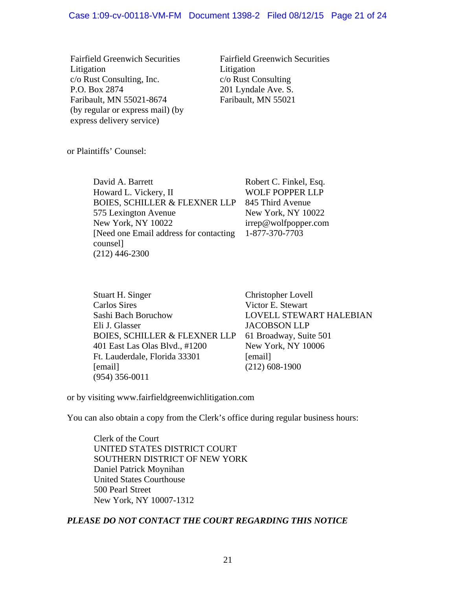#### Case 1:09-cv-00118-VM-FM Document 1398-2 Filed 08/12/15 Page 21 of 24

Fairfield Greenwich Securities Litigation c/o Rust Consulting, Inc. P.O. Box 2874 Faribault, MN 55021-8674 (by regular or express mail) (by express delivery service)

Fairfield Greenwich Securities Litigation c/o Rust Consulting 201 Lyndale Ave. S. Faribault, MN 55021

or Plaintiffs' Counsel:

David A. Barrett Howard L. Vickery, II BOIES, SCHILLER & FLEXNER LLP 575 Lexington Avenue New York, NY 10022 [Need one Email address for contacting counsel] (212) 446-2300

Robert C. Finkel, Esq. WOLF POPPER LLP 845 Third Avenue New York, NY 10022 irrep@wolfpopper.com 1-877-370-7703

Stuart H. Singer Carlos Sires Sashi Bach Boruchow Eli J. Glasser BOIES, SCHILLER & FLEXNER LLP 401 East Las Olas Blvd., #1200 Ft. Lauderdale, Florida 33301 [email] (954) 356-0011

Christopher Lovell Victor E. Stewart LOVELL STEWART HALEBIAN JACOBSON LLP 61 Broadway, Suite 501 New York, NY 10006 [email] (212) 608-1900

or by visiting www.fairfieldgreenwichlitigation.com

You can also obtain a copy from the Clerk's office during regular business hours:

Clerk of the Court UNITED STATES DISTRICT COURT SOUTHERN DISTRICT OF NEW YORK Daniel Patrick Moynihan United States Courthouse 500 Pearl Street New York, NY 10007-1312

# *PLEASE DO NOT CONTACT THE COURT REGARDING THIS NOTICE*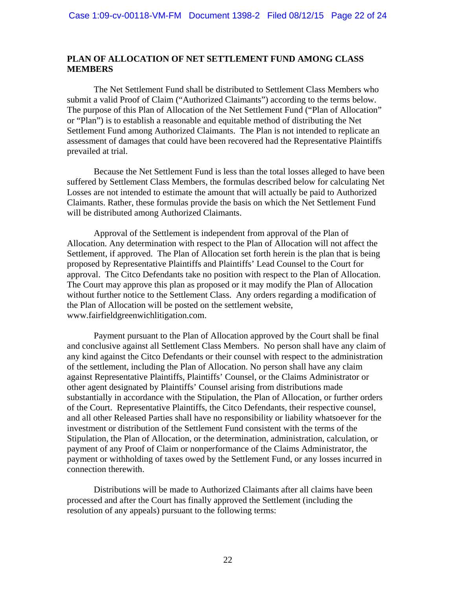#### **PLAN OF ALLOCATION OF NET SETTLEMENT FUND AMONG CLASS MEMBERS**

 The Net Settlement Fund shall be distributed to Settlement Class Members who submit a valid Proof of Claim ("Authorized Claimants") according to the terms below. The purpose of this Plan of Allocation of the Net Settlement Fund ("Plan of Allocation" or "Plan") is to establish a reasonable and equitable method of distributing the Net Settlement Fund among Authorized Claimants. The Plan is not intended to replicate an assessment of damages that could have been recovered had the Representative Plaintiffs prevailed at trial.

 Because the Net Settlement Fund is less than the total losses alleged to have been suffered by Settlement Class Members, the formulas described below for calculating Net Losses are not intended to estimate the amount that will actually be paid to Authorized Claimants. Rather, these formulas provide the basis on which the Net Settlement Fund will be distributed among Authorized Claimants.

 Approval of the Settlement is independent from approval of the Plan of Allocation. Any determination with respect to the Plan of Allocation will not affect the Settlement, if approved. The Plan of Allocation set forth herein is the plan that is being proposed by Representative Plaintiffs and Plaintiffs' Lead Counsel to the Court for approval. The Citco Defendants take no position with respect to the Plan of Allocation. The Court may approve this plan as proposed or it may modify the Plan of Allocation without further notice to the Settlement Class. Any orders regarding a modification of the Plan of Allocation will be posted on the settlement website, www.fairfieldgreenwichlitigation.com.

 Payment pursuant to the Plan of Allocation approved by the Court shall be final and conclusive against all Settlement Class Members. No person shall have any claim of any kind against the Citco Defendants or their counsel with respect to the administration of the settlement, including the Plan of Allocation. No person shall have any claim against Representative Plaintiffs, Plaintiffs' Counsel, or the Claims Administrator or other agent designated by Plaintiffs' Counsel arising from distributions made substantially in accordance with the Stipulation, the Plan of Allocation, or further orders of the Court. Representative Plaintiffs, the Citco Defendants, their respective counsel, and all other Released Parties shall have no responsibility or liability whatsoever for the investment or distribution of the Settlement Fund consistent with the terms of the Stipulation, the Plan of Allocation, or the determination, administration, calculation, or payment of any Proof of Claim or nonperformance of the Claims Administrator, the payment or withholding of taxes owed by the Settlement Fund, or any losses incurred in connection therewith.

 Distributions will be made to Authorized Claimants after all claims have been processed and after the Court has finally approved the Settlement (including the resolution of any appeals) pursuant to the following terms: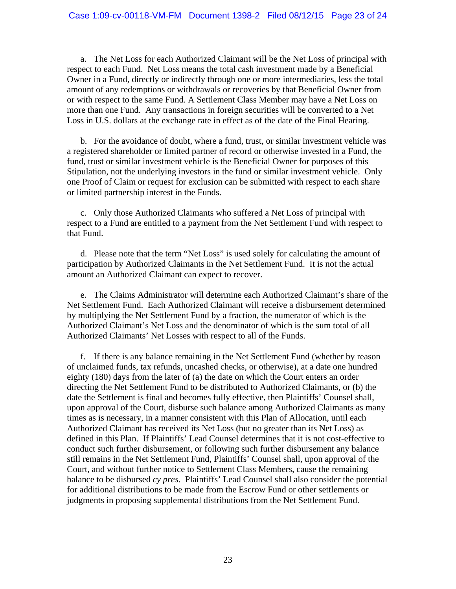a. The Net Loss for each Authorized Claimant will be the Net Loss of principal with respect to each Fund. Net Loss means the total cash investment made by a Beneficial Owner in a Fund, directly or indirectly through one or more intermediaries, less the total amount of any redemptions or withdrawals or recoveries by that Beneficial Owner from or with respect to the same Fund. A Settlement Class Member may have a Net Loss on more than one Fund. Any transactions in foreign securities will be converted to a Net Loss in U.S. dollars at the exchange rate in effect as of the date of the Final Hearing.

b. For the avoidance of doubt, where a fund, trust, or similar investment vehicle was a registered shareholder or limited partner of record or otherwise invested in a Fund, the fund, trust or similar investment vehicle is the Beneficial Owner for purposes of this Stipulation, not the underlying investors in the fund or similar investment vehicle. Only one Proof of Claim or request for exclusion can be submitted with respect to each share or limited partnership interest in the Funds.

c. Only those Authorized Claimants who suffered a Net Loss of principal with respect to a Fund are entitled to a payment from the Net Settlement Fund with respect to that Fund.

d. Please note that the term "Net Loss" is used solely for calculating the amount of participation by Authorized Claimants in the Net Settlement Fund. It is not the actual amount an Authorized Claimant can expect to recover.

e. The Claims Administrator will determine each Authorized Claimant's share of the Net Settlement Fund. Each Authorized Claimant will receive a disbursement determined by multiplying the Net Settlement Fund by a fraction, the numerator of which is the Authorized Claimant's Net Loss and the denominator of which is the sum total of all Authorized Claimants' Net Losses with respect to all of the Funds.

f. If there is any balance remaining in the Net Settlement Fund (whether by reason of unclaimed funds, tax refunds, uncashed checks, or otherwise), at a date one hundred eighty (180) days from the later of (a) the date on which the Court enters an order directing the Net Settlement Fund to be distributed to Authorized Claimants, or (b) the date the Settlement is final and becomes fully effective, then Plaintiffs' Counsel shall, upon approval of the Court, disburse such balance among Authorized Claimants as many times as is necessary, in a manner consistent with this Plan of Allocation, until each Authorized Claimant has received its Net Loss (but no greater than its Net Loss) as defined in this Plan. If Plaintiffs' Lead Counsel determines that it is not cost-effective to conduct such further disbursement, or following such further disbursement any balance still remains in the Net Settlement Fund, Plaintiffs' Counsel shall, upon approval of the Court, and without further notice to Settlement Class Members, cause the remaining balance to be disbursed *cy pres*. Plaintiffs' Lead Counsel shall also consider the potential for additional distributions to be made from the Escrow Fund or other settlements or judgments in proposing supplemental distributions from the Net Settlement Fund.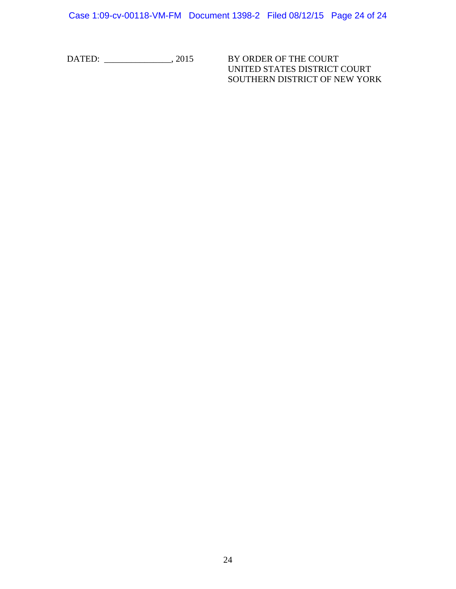Case 1:09-cv-00118-VM-FM Document 1398-2 Filed 08/12/15 Page 24 of 24

DATED: \_\_\_\_\_\_\_\_\_\_\_\_\_\_\_, 2015 BY ORDER OF THE COURT

UNITED STATES DISTRICT COURT SOUTHERN DISTRICT OF NEW YORK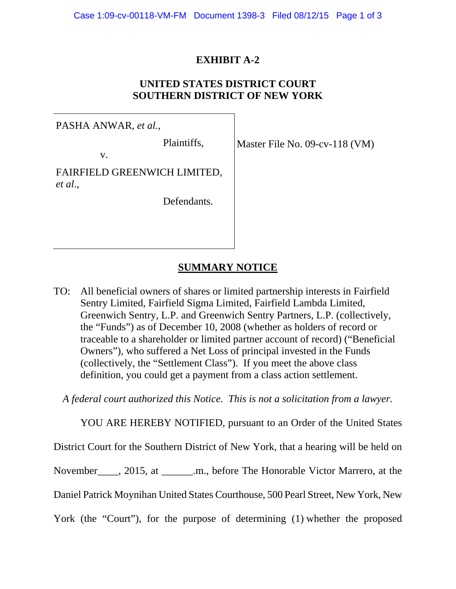# **EXHIBIT A-2**

# **UNITED STATES DISTRICT COURT SOUTHERN DISTRICT OF NEW YORK**

PASHA ANWAR, *et al.*, Plaintiffs, v. FAIRFIELD GREENWICH LIMITED, *et al*., Defendants.

Master File No. 09-cv-118 (VM)

# **SUMMARY NOTICE**

TO: All beneficial owners of shares or limited partnership interests in Fairfield Sentry Limited, Fairfield Sigma Limited, Fairfield Lambda Limited, Greenwich Sentry, L.P. and Greenwich Sentry Partners, L.P. (collectively, the "Funds") as of December 10, 2008 (whether as holders of record or traceable to a shareholder or limited partner account of record) ("Beneficial Owners"), who suffered a Net Loss of principal invested in the Funds (collectively, the "Settlement Class"). If you meet the above class definition, you could get a payment from a class action settlement.

*A federal court authorized this Notice. This is not a solicitation from a lawyer.* 

YOU ARE HEREBY NOTIFIED, pursuant to an Order of the United States

District Court for the Southern District of New York, that a hearing will be held on

November<sup>2015</sup>, at  $\ldots$  m., before The Honorable Victor Marrero, at the

Daniel Patrick Moynihan United States Courthouse, 500 Pearl Street, New York, New

York (the "Court"), for the purpose of determining (1) whether the proposed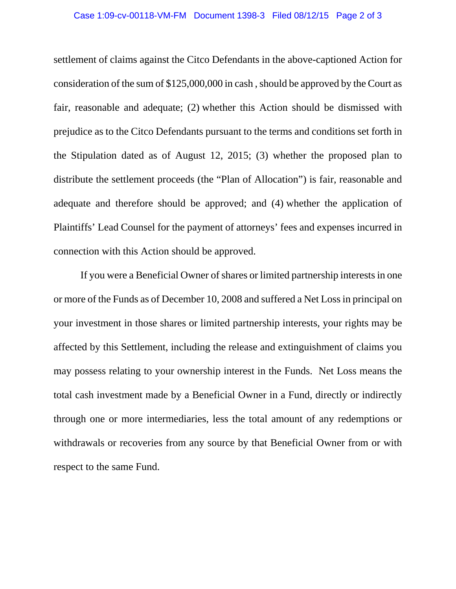settlement of claims against the Citco Defendants in the above-captioned Action for consideration of the sum of \$125,000,000 in cash , should be approved by the Court as fair, reasonable and adequate; (2) whether this Action should be dismissed with prejudice as to the Citco Defendants pursuant to the terms and conditions set forth in the Stipulation dated as of August 12, 2015; (3) whether the proposed plan to distribute the settlement proceeds (the "Plan of Allocation") is fair, reasonable and adequate and therefore should be approved; and (4) whether the application of Plaintiffs' Lead Counsel for the payment of attorneys' fees and expenses incurred in connection with this Action should be approved.

If you were a Beneficial Owner of shares or limited partnership interests in one or more of the Funds as of December 10, 2008 and suffered a Net Loss in principal on your investment in those shares or limited partnership interests, your rights may be affected by this Settlement, including the release and extinguishment of claims you may possess relating to your ownership interest in the Funds. Net Loss means the total cash investment made by a Beneficial Owner in a Fund, directly or indirectly through one or more intermediaries, less the total amount of any redemptions or withdrawals or recoveries from any source by that Beneficial Owner from or with respect to the same Fund.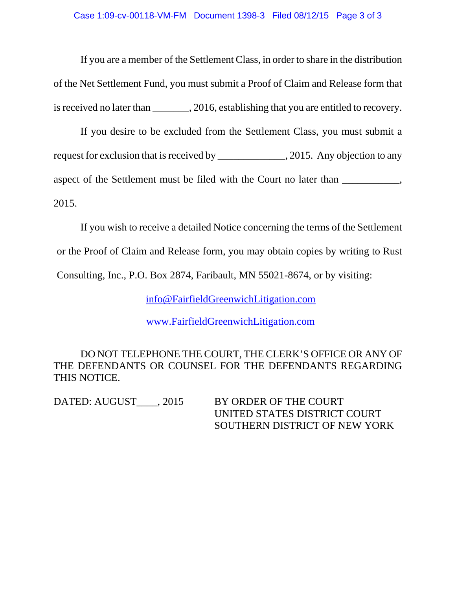If you are a member of the Settlement Class, in order to share in the distribution of the Net Settlement Fund, you must submit a Proof of Claim and Release form that is received no later than  $\qquad \qquad$ , 2016, establishing that you are entitled to recovery.

If you desire to be excluded from the Settlement Class, you must submit a request for exclusion that is received by \_\_\_\_\_\_\_\_\_\_\_\_\_, 2015. Any objection to any aspect of the Settlement must be filed with the Court no later than \_\_\_\_\_\_\_\_\_, 2015.

If you wish to receive a detailed Notice concerning the terms of the Settlement or the Proof of Claim and Release form, you may obtain copies by writing to Rust Consulting, Inc., P.O. Box 2874, Faribault, MN 55021-8674, or by visiting:

info@FairfieldGreenwichLitigation.com

www.FairfieldGreenwichLitigation.com

 DO NOT TELEPHONE THE COURT, THE CLERK'S OFFICE OR ANY OF THE DEFENDANTS OR COUNSEL FOR THE DEFENDANTS REGARDING THIS NOTICE.

DATED: AUGUST \_\_\_, 2015 BY ORDER OF THE COURT UNITED STATES DISTRICT COURT SOUTHERN DISTRICT OF NEW YORK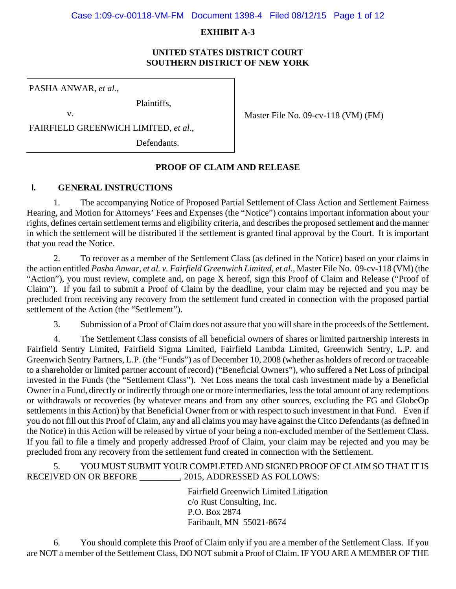#### Case 1:09-cv-00118-VM-FM Document 1398-4 Filed 08/12/15 Page 1 of 12

# **EXHIBIT A-3**

# **UNITED STATES DISTRICT COURT SOUTHERN DISTRICT OF NEW YORK**

PASHA ANWAR, *et al.*,

v.

Plaintiffs,

Master File No. 09-cv-118 (VM) (FM)

FAIRFIELD GREENWICH LIMITED, *et al*.,

Defendants.

# **PROOF OF CLAIM AND RELEASE**

# **I. GENERAL INSTRUCTIONS**

1. The accompanying Notice of Proposed Partial Settlement of Class Action and Settlement Fairness Hearing, and Motion for Attorneys' Fees and Expenses (the "Notice") contains important information about your rights, defines certain settlement terms and eligibility criteria, and describes the proposed settlement and the manner in which the settlement will be distributed if the settlement is granted final approval by the Court. It is important that you read the Notice.

2. To recover as a member of the Settlement Class (as defined in the Notice) based on your claims in the action entitled *Pasha Anwar, et al. v. Fairfield Greenwich Limited, et al.*, Master File No. 09-cv-118 (VM) (the "Action"), you must review, complete and, on page X hereof, sign this Proof of Claim and Release ("Proof of Claim"). If you fail to submit a Proof of Claim by the deadline, your claim may be rejected and you may be precluded from receiving any recovery from the settlement fund created in connection with the proposed partial settlement of the Action (the "Settlement").

3. Submission of a Proof of Claim does not assure that you will share in the proceeds of the Settlement.

4. The Settlement Class consists of all beneficial owners of shares or limited partnership interests in Fairfield Sentry Limited, Fairfield Sigma Limited, Fairfield Lambda Limited, Greenwich Sentry, L.P. and Greenwich Sentry Partners, L.P. (the "Funds") as of December 10, 2008 (whether as holders of record or traceable to a shareholder or limited partner account of record) ("Beneficial Owners"), who suffered a Net Loss of principal invested in the Funds (the "Settlement Class"). Net Loss means the total cash investment made by a Beneficial Owner in a Fund, directly or indirectly through one or more intermediaries, less the total amount of any redemptions or withdrawals or recoveries (by whatever means and from any other sources, excluding the FG and GlobeOp settlements in this Action) by that Beneficial Owner from or with respect to such investment in that Fund. Even if you do not fill out this Proof of Claim, any and all claims you may have against the Citco Defendants (as defined in the Notice) in this Action will be released by virtue of your being a non-excluded member of the Settlement Class. If you fail to file a timely and properly addressed Proof of Claim, your claim may be rejected and you may be precluded from any recovery from the settlement fund created in connection with the Settlement.

5. YOU MUST SUBMIT YOUR COMPLETED AND SIGNED PROOF OF CLAIM SO THAT IT IS RECEIVED ON OR BEFORE \_\_\_\_\_\_\_\_\_, 2015, ADDRESSED AS FOLLOWS:

> Fairfield Greenwich Limited Litigation c/o Rust Consulting, Inc. P.O. Box 2874 Faribault, MN 55021-8674

 6. You should complete this Proof of Claim only if you are a member of the Settlement Class. If you are NOT a member of the Settlement Class, DO NOT submit a Proof of Claim. IF YOU ARE A MEMBER OF THE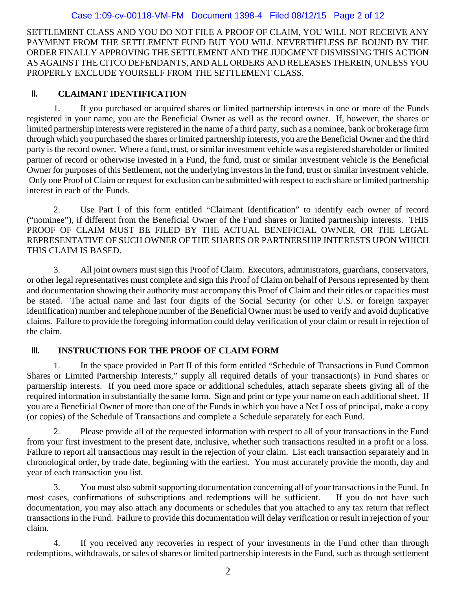# Case 1:09-cv-00118-VM-FM Document 1398-4 Filed 08/12/15 Page 2 of 12

SETTLEMENT CLASS AND YOU DO NOT FILE A PROOF OF CLAIM, YOU WILL NOT RECEIVE ANY PAYMENT FROM THE SETTLEMENT FUND BUT YOU WILL NEVERTHELESS BE BOUND BY THE ORDER FINALLY APPROVING THE SETTLEMENT AND THE JUDGMENT DISMISSING THIS ACTION AS AGAINST THE CITCO DEFENDANTS, AND ALL ORDERS AND RELEASES THEREIN, UNLESS YOU PROPERLY EXCLUDE YOURSELF FROM THE SETTLEMENT CLASS.

# **II. CLAIMANT IDENTIFICATION**

1. If you purchased or acquired shares or limited partnership interests in one or more of the Funds registered in your name, you are the Beneficial Owner as well as the record owner. If, however, the shares or limited partnership interests were registered in the name of a third party, such as a nominee, bank or brokerage firm through which you purchased the shares or limited partnership interests, you are the Beneficial Owner and the third party is the record owner. Where a fund, trust, or similar investment vehicle was a registered shareholder or limited partner of record or otherwise invested in a Fund, the fund, trust or similar investment vehicle is the Beneficial Owner for purposes of this Settlement, not the underlying investors in the fund, trust or similar investment vehicle. Only one Proof of Claim or request for exclusion can be submitted with respect to each share or limited partnership interest in each of the Funds.

2. Use Part I of this form entitled "Claimant Identification" to identify each owner of record ("nominee"), if different from the Beneficial Owner of the Fund shares or limited partnership interests. THIS PROOF OF CLAIM MUST BE FILED BY THE ACTUAL BENEFICIAL OWNER, OR THE LEGAL REPRESENTATIVE OF SUCH OWNER OF THE SHARES OR PARTNERSHIP INTERESTS UPON WHICH THIS CLAIM IS BASED.

3. All joint owners must sign this Proof of Claim. Executors, administrators, guardians, conservators, or other legal representatives must complete and sign this Proof of Claim on behalf of Persons represented by them and documentation showing their authority must accompany this Proof of Claim and their titles or capacities must be stated. The actual name and last four digits of the Social Security (or other U.S. or foreign taxpayer identification) number and telephone number of the Beneficial Owner must be used to verify and avoid duplicative claims. Failure to provide the foregoing information could delay verification of your claim or result in rejection of the claim.

# **III. INSTRUCTIONS FOR THE PROOF OF CLAIM FORM**

1. In the space provided in Part II of this form entitled "Schedule of Transactions in Fund Common Shares or Limited Partnership Interests," supply all required details of your transaction(s) in Fund shares or partnership interests. If you need more space or additional schedules, attach separate sheets giving all of the required information in substantially the same form. Sign and print or type your name on each additional sheet. If you are a Beneficial Owner of more than one of the Funds in which you have a Net Loss of principal, make a copy (or copies) of the Schedule of Transactions and complete a Schedule separately for each Fund.

2. Please provide all of the requested information with respect to all of your transactions in the Fund from your first investment to the present date, inclusive, whether such transactions resulted in a profit or a loss. Failure to report all transactions may result in the rejection of your claim. List each transaction separately and in chronological order, by trade date, beginning with the earliest. You must accurately provide the month, day and year of each transaction you list.

3. You must also submit supporting documentation concerning all of your transactions in the Fund. In most cases, confirmations of subscriptions and redemptions will be sufficient. If you do not have such documentation, you may also attach any documents or schedules that you attached to any tax return that reflect transactions in the Fund. Failure to provide this documentation will delay verification or result in rejection of your claim.

4. If you received any recoveries in respect of your investments in the Fund other than through redemptions, withdrawals, or sales of shares or limited partnership interests in the Fund, such as through settlement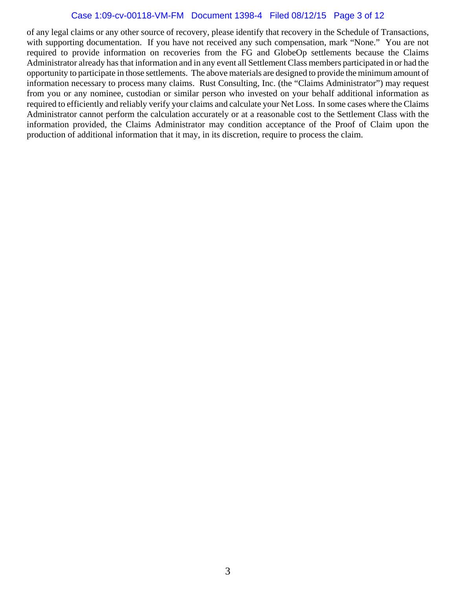# Case 1:09-cv-00118-VM-FM Document 1398-4 Filed 08/12/15 Page 3 of 12

of any legal claims or any other source of recovery, please identify that recovery in the Schedule of Transactions, with supporting documentation. If you have not received any such compensation, mark "None." You are not required to provide information on recoveries from the FG and GlobeOp settlements because the Claims Administrator already has that information and in any event all Settlement Class members participated in or had the opportunity to participate in those settlements. The above materials are designed to provide the minimum amount of information necessary to process many claims. Rust Consulting, Inc. (the "Claims Administrator") may request from you or any nominee, custodian or similar person who invested on your behalf additional information as required to efficiently and reliably verify your claims and calculate your Net Loss. In some cases where the Claims Administrator cannot perform the calculation accurately or at a reasonable cost to the Settlement Class with the information provided, the Claims Administrator may condition acceptance of the Proof of Claim upon the production of additional information that it may, in its discretion, require to process the claim.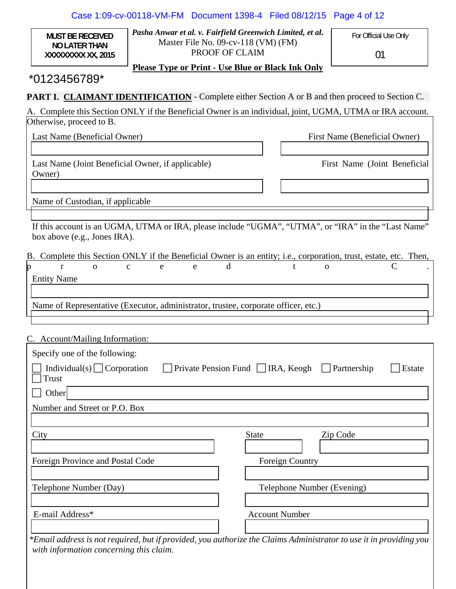|                                                                                                        |                        | Case 1:09-cv-00118-VM-FM Document 1398-4 Filed 08/12/15                                                            |                            | Page 4 of 12                                                                                                       |  |  |
|--------------------------------------------------------------------------------------------------------|------------------------|--------------------------------------------------------------------------------------------------------------------|----------------------------|--------------------------------------------------------------------------------------------------------------------|--|--|
| <b>MUST BE RECEIVED</b><br><b>NO LATER THAN</b><br>XXXXXXXX XX, 2015                                   |                        | Pasha Anwar et al. v. Fairfield Greenwich Limited, et al.<br>Master File No. 09-cv-118 (VM) (FM)<br>PROOF OF CLAIM |                            | For Official Use Only<br>01                                                                                        |  |  |
|                                                                                                        |                        | <b>Please Type or Print - Use Blue or Black Ink Only</b>                                                           |                            |                                                                                                                    |  |  |
|                                                                                                        | $*0123456789*$         |                                                                                                                    |                            |                                                                                                                    |  |  |
| <b>PART I. CLAIMANT IDENTIFICATION</b> - Complete either Section A or B and then proceed to Section C. |                        |                                                                                                                    |                            |                                                                                                                    |  |  |
| Otherwise, proceed to B.                                                                               |                        |                                                                                                                    |                            | A. Complete this Section ONLY if the Beneficial Owner is an individual, joint, UGMA, UTMA or IRA account.          |  |  |
| Last Name (Beneficial Owner)                                                                           |                        |                                                                                                                    |                            | First Name (Beneficial Owner)                                                                                      |  |  |
|                                                                                                        |                        |                                                                                                                    |                            |                                                                                                                    |  |  |
| Last Name (Joint Beneficial Owner, if applicable)                                                      |                        |                                                                                                                    |                            | First Name (Joint Beneficial                                                                                       |  |  |
| Owner)                                                                                                 |                        |                                                                                                                    |                            |                                                                                                                    |  |  |
| Name of Custodian, if applicable                                                                       |                        |                                                                                                                    |                            |                                                                                                                    |  |  |
|                                                                                                        |                        |                                                                                                                    |                            |                                                                                                                    |  |  |
|                                                                                                        |                        |                                                                                                                    |                            | If this account is an UGMA, UTMA or IRA, please include "UGMA", "UTMA", or "IRA" in the "Last Name"                |  |  |
| box above (e.g., Jones IRA).                                                                           |                        |                                                                                                                    |                            |                                                                                                                    |  |  |
|                                                                                                        |                        |                                                                                                                    |                            | B. Complete this Section ONLY if the Beneficial Owner is an entity; i.e., corporation, trust, estate, etc. Then,   |  |  |
| p<br>$\Omega$<br>r                                                                                     | $\mathbf{C}$<br>e<br>e | d                                                                                                                  | t<br>$\mathbf{O}$          |                                                                                                                    |  |  |
| <b>Entity Name</b>                                                                                     |                        |                                                                                                                    |                            |                                                                                                                    |  |  |
| Name of Representative (Executor, administrator, trustee, corporate officer, etc.)                     |                        |                                                                                                                    |                            |                                                                                                                    |  |  |
|                                                                                                        |                        |                                                                                                                    |                            |                                                                                                                    |  |  |
| C. Account/Mailing Information:                                                                        |                        |                                                                                                                    |                            |                                                                                                                    |  |  |
| Specify one of the following:                                                                          |                        |                                                                                                                    |                            |                                                                                                                    |  |  |
| Individual(s) $\Box$ Corporation                                                                       |                        | Private Pension Fund $\Box$ IRA, Keogh                                                                             |                            | Partnership<br>Estate                                                                                              |  |  |
| <b>Trust</b>                                                                                           |                        |                                                                                                                    |                            |                                                                                                                    |  |  |
| Other                                                                                                  |                        |                                                                                                                    |                            |                                                                                                                    |  |  |
| Number and Street or P.O. Box                                                                          |                        |                                                                                                                    |                            |                                                                                                                    |  |  |
|                                                                                                        |                        |                                                                                                                    |                            |                                                                                                                    |  |  |
| City                                                                                                   |                        | <b>State</b>                                                                                                       |                            | Zip Code                                                                                                           |  |  |
| Foreign Province and Postal Code                                                                       |                        |                                                                                                                    | <b>Foreign Country</b>     |                                                                                                                    |  |  |
|                                                                                                        |                        |                                                                                                                    |                            |                                                                                                                    |  |  |
| Telephone Number (Day)                                                                                 |                        |                                                                                                                    | Telephone Number (Evening) |                                                                                                                    |  |  |
|                                                                                                        |                        |                                                                                                                    |                            |                                                                                                                    |  |  |
| E-mail Address*                                                                                        |                        |                                                                                                                    | <b>Account Number</b>      |                                                                                                                    |  |  |
|                                                                                                        |                        |                                                                                                                    |                            |                                                                                                                    |  |  |
|                                                                                                        |                        |                                                                                                                    |                            | *Email address is not required, but if provided, you authorize the Claims Administrator to use it in providing you |  |  |

*with information concerning this claim.*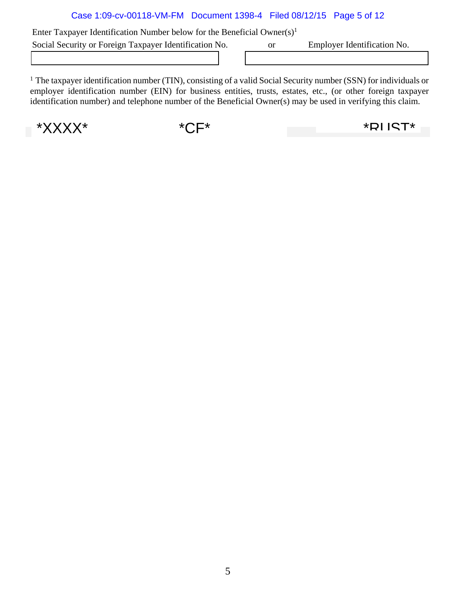# Case 1:09-cv-00118-VM-FM Document 1398-4 Filed 08/12/15 Page 5 of 12

Enter Taxpayer Identification Number below for the Beneficial Owner(s)<sup>1</sup> Social Security or Foreign Taxpayer Identification No.  $\qquad \qquad$  or Employer Identification No.

<sup>1</sup> The taxpayer identification number (TIN), consisting of a valid Social Security number (SSN) for individuals or employer identification number (EIN) for business entities, trusts, estates, etc., (or other foreign taxpayer identification number) and telephone number of the Beneficial Owner(s) may be used in verifying this claim.

\*XXXX\* \*CF\* \*RUST\*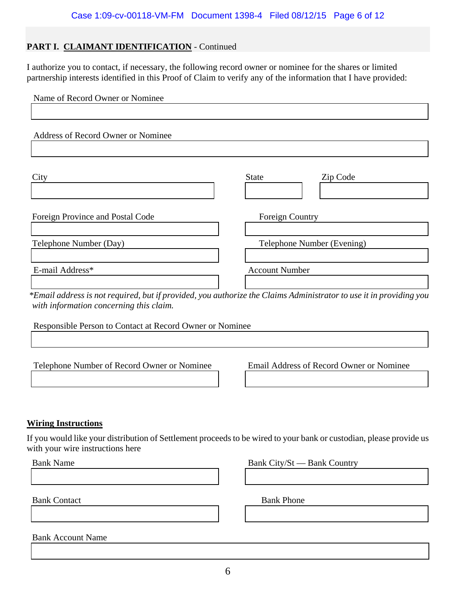# PART I. CLAIMANT IDENTIFICATION - Continued

I authorize you to contact, if necessary, the following record owner or nominee for the shares or limited partnership interests identified in this Proof of Claim to verify any of the information that I have provided:

| Name of Record Owner or Nominee    |                                                                                                                       |
|------------------------------------|-----------------------------------------------------------------------------------------------------------------------|
|                                    |                                                                                                                       |
| Address of Record Owner or Nominee |                                                                                                                       |
|                                    |                                                                                                                       |
| City                               | Zip Code<br><b>State</b>                                                                                              |
|                                    |                                                                                                                       |
| Foreign Province and Postal Code   | Foreign Country                                                                                                       |
|                                    |                                                                                                                       |
| Telephone Number (Day)             | Telephone Number (Evening)                                                                                            |
|                                    |                                                                                                                       |
| E-mail Address*                    | <b>Account Number</b>                                                                                                 |
|                                    |                                                                                                                       |
|                                    | $*$ Fmail address is not required, but if provided, you authorize the Claims Administrator to use it in providing you |

 *\*Email address is not required, but if provided, you authorize the Claims Administrator to use it in providing you with information concerning this claim.*

Responsible Person to Contact at Record Owner or Nominee

Telephone Number of Record Owner or Nominee Email Address of Record Owner or Nominee

# **Wiring Instructions**

If you would like your distribution of Settlement proceeds to be wired to your bank or custodian, please provide us with your wire instructions here

Bank Name Bank City/St — Bank Country

Bank Contact Bank Phone

Bank Account Name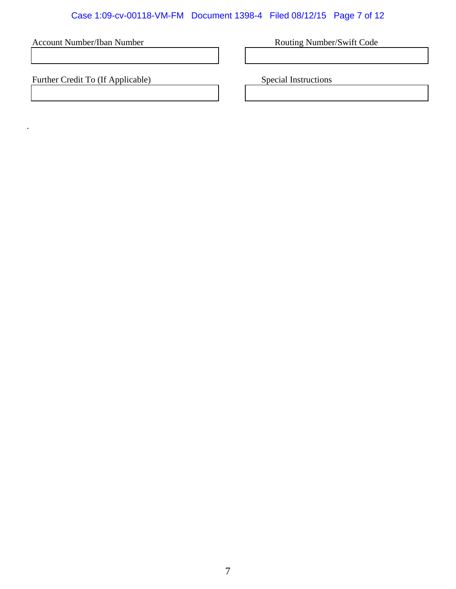# Case 1:09-cv-00118-VM-FM Document 1398-4 Filed 08/12/15 Page 7 of 12

Account Number/Iban Number **Routing Number/Swift Code** 

Further Credit To (If Applicable) Special Instructions

.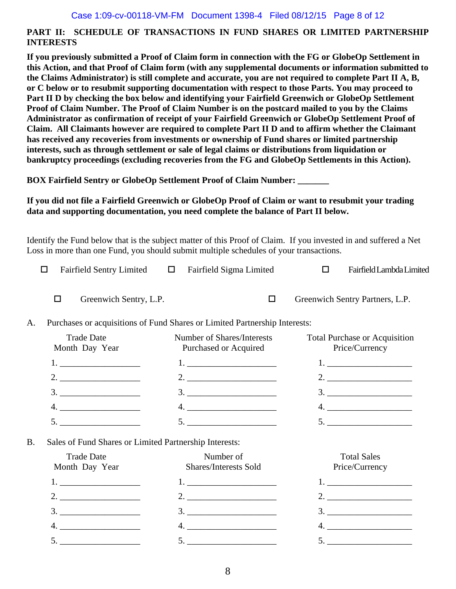# **PART II: SCHEDULE OF TRANSACTIONS IN FUND SHARES OR LIMITED PARTNERSHIP INTERESTS**

**If you previously submitted a Proof of Claim form in connection with the FG or GlobeOp Settlement in this Action, and that Proof of Claim form (with any supplemental documents or information submitted to the Claims Administrator) is still complete and accurate, you are not required to complete Part II A, B, or C below or to resubmit supporting documentation with respect to those Parts. You may proceed to Part II D by checking the box below and identifying your Fairfield Greenwich or GlobeOp Settlement Proof of Claim Number. The Proof of Claim Number is on the postcard mailed to you by the Claims Administrator as confirmation of receipt of your Fairfield Greenwich or GlobeOp Settlement Proof of Claim. All Claimants however are required to complete Part II D and to affirm whether the Claimant has received any recoveries from investments or ownership of Fund shares or limited partnership interests, such as through settlement or sale of legal claims or distributions from liquidation or bankruptcy proceedings (excluding recoveries from the FG and GlobeOp Settlements in this Action).** 

**BOX Fairfield Sentry or GlobeOp Settlement Proof of Claim Number: \_\_\_\_\_\_\_** 

# **If you did not file a Fairfield Greenwich or GlobeOp Proof of Claim or want to resubmit your trading data and supporting documentation, you need complete the balance of Part II below.**

Identify the Fund below that is the subject matter of this Proof of Claim. If you invested in and suffered a Net Loss in more than one Fund, you should submit multiple schedules of your transactions.

|    | <b>Fairfield Sentry Limited</b><br>H                                       | Fairfield Sigma Limited<br>$\Box$                                                                                            | Fairfield Lambda Limited<br>п                          |  |  |  |
|----|----------------------------------------------------------------------------|------------------------------------------------------------------------------------------------------------------------------|--------------------------------------------------------|--|--|--|
|    | $\Box$<br>Greenwich Sentry, L.P.                                           | □                                                                                                                            | Greenwich Sentry Partners, L.P.                        |  |  |  |
| A. | Purchases or acquisitions of Fund Shares or Limited Partnership Interests: |                                                                                                                              |                                                        |  |  |  |
|    | <b>Trade Date</b><br>Month Day Year                                        | Number of Shares/Interests<br>Purchased or Acquired                                                                          | <b>Total Purchase or Acquisition</b><br>Price/Currency |  |  |  |
|    |                                                                            |                                                                                                                              |                                                        |  |  |  |
|    | 2.                                                                         |                                                                                                                              |                                                        |  |  |  |
|    | $\begin{array}{c}\n3. \ \ \ \phantom{3}\n \end{array}$                     | $\begin{array}{c}\n3. \ \ \ \end{array}$                                                                                     | $\begin{array}{c}\n3. \ \ \phantom{3}\n\end{array}$    |  |  |  |
|    |                                                                            |                                                                                                                              |                                                        |  |  |  |
|    | $5. \underline{\hspace{2cm}}$                                              | $5. \underline{\hspace{2cm}}$                                                                                                | $5. \underline{\hspace{2cm}}$                          |  |  |  |
| B. | Sales of Fund Shares or Limited Partnership Interests:                     |                                                                                                                              |                                                        |  |  |  |
|    | <b>Trade Date</b><br>Month Day Year                                        | Number of<br><b>Shares/Interests Sold</b>                                                                                    | <b>Total Sales</b><br>Price/Currency                   |  |  |  |
|    |                                                                            |                                                                                                                              |                                                        |  |  |  |
|    |                                                                            |                                                                                                                              | $2. \underline{\hspace{2cm}}$                          |  |  |  |
|    | $\frac{3}{2}$                                                              | $\begin{array}{c}\n3.\n\end{array}$                                                                                          | $\begin{array}{c}\n3.\n\end{array}$                    |  |  |  |
|    |                                                                            | $\begin{tabular}{c} 4. \end{tabular}$                                                                                        |                                                        |  |  |  |
|    | $5. \underline{\hspace{1.5cm}}$                                            | $\begin{tabular}{c} 5. & \begin{tabular}{@{}c@{}} \textbf{---} & \textbf{---} & \textbf{---} \\ \end{tabular} \end{tabular}$ |                                                        |  |  |  |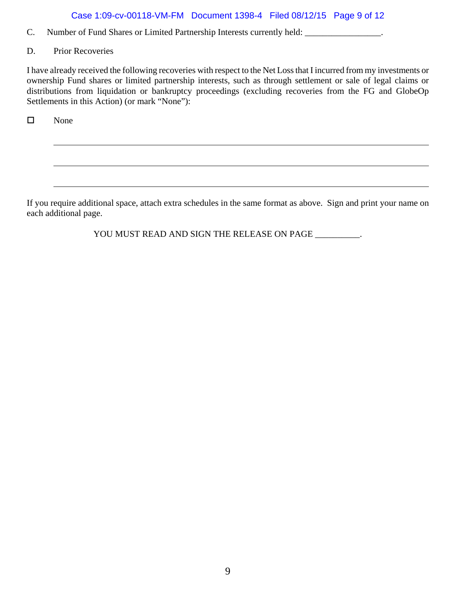# Case 1:09-cv-00118-VM-FM Document 1398-4 Filed 08/12/15 Page 9 of 12

- C. Number of Fund Shares or Limited Partnership Interests currently held: \_\_\_\_\_\_\_\_\_\_\_\_\_\_\_\_\_.
- D. Prior Recoveries

I have already received the following recoveries with respect to the Net Loss that I incurred from my investments or ownership Fund shares or limited partnership interests, such as through settlement or sale of legal claims or distributions from liquidation or bankruptcy proceedings (excluding recoveries from the FG and GlobeOp Settlements in this Action) (or mark "None"):

□ None

If you require additional space, attach extra schedules in the same format as above. Sign and print your name on each additional page.

YOU MUST READ AND SIGN THE RELEASE ON PAGE *\_\_\_\_\_\_\_\_\_\_*.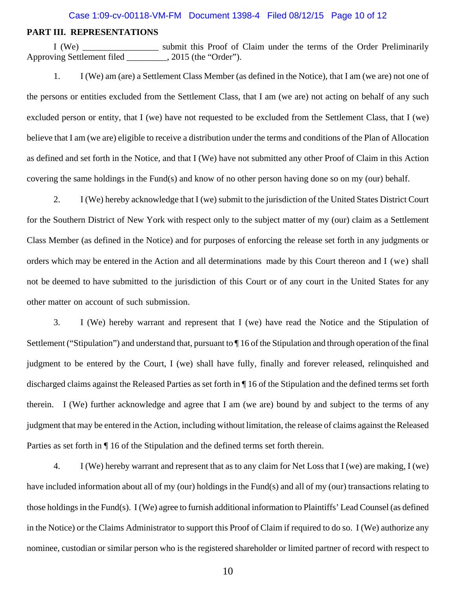#### Case 1:09-cv-00118-VM-FM Document 1398-4 Filed 08/12/15 Page 10 of 12

#### **PART III. REPRESENTATIONS**

 I (We) \_\_\_\_\_\_\_\_\_\_\_\_\_\_\_\_\_ submit this Proof of Claim under the terms of the Order Preliminarily Approving Settlement filed \_\_\_\_\_\_\_\_\_, 2015 (the "Order").

1. I (We) am (are) a Settlement Class Member (as defined in the Notice), that I am (we are) not one of the persons or entities excluded from the Settlement Class, that I am (we are) not acting on behalf of any such excluded person or entity, that I (we) have not requested to be excluded from the Settlement Class, that I (we) believe that I am (we are) eligible to receive a distribution under the terms and conditions of the Plan of Allocation as defined and set forth in the Notice, and that I (We) have not submitted any other Proof of Claim in this Action covering the same holdings in the Fund(s) and know of no other person having done so on my (our) behalf.

2. I (We) hereby acknowledge that I (we) submit to the jurisdiction of the United States District Court for the Southern District of New York with respect only to the subject matter of my (our) claim as a Settlement Class Member (as defined in the Notice) and for purposes of enforcing the release set forth in any judgments or orders which may be entered in the Action and all determinations made by this Court thereon and I (we) shall not be deemed to have submitted to the jurisdiction of this Court or of any court in the United States for any other matter on account of such submission.

3. I (We) hereby warrant and represent that I (we) have read the Notice and the Stipulation of Settlement ("Stipulation") and understand that, pursuant to  $\P$  16 of the Stipulation and through operation of the final judgment to be entered by the Court, I (we) shall have fully, finally and forever released, relinquished and discharged claims against the Released Parties as set forth in ¶ 16 of the Stipulation and the defined terms set forth therein. I (We) further acknowledge and agree that I am (we are) bound by and subject to the terms of any judgment that may be entered in the Action, including without limitation, the release of claims against the Released Parties as set forth in ¶ 16 of the Stipulation and the defined terms set forth therein.

4. I (We) hereby warrant and represent that as to any claim for Net Loss that I (we) are making, I (we) have included information about all of my (our) holdings in the Fund(s) and all of my (our) transactions relating to those holdings in the Fund(s). I (We) agree to furnish additional information to Plaintiffs' Lead Counsel (as defined in the Notice) or the Claims Administrator to support this Proof of Claim if required to do so. I (We) authorize any nominee, custodian or similar person who is the registered shareholder or limited partner of record with respect to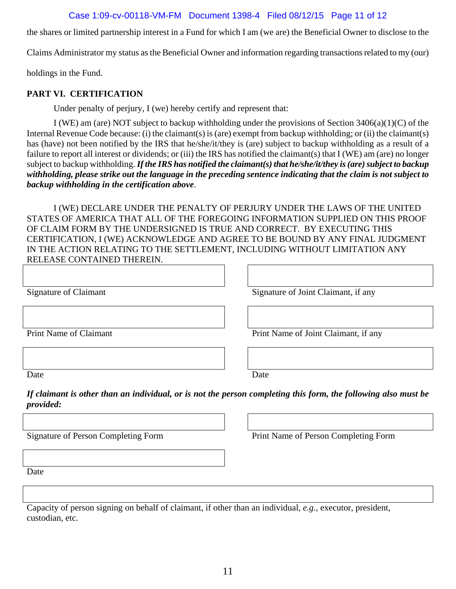# Case 1:09-cv-00118-VM-FM Document 1398-4 Filed 08/12/15 Page 11 of 12

the shares or limited partnership interest in a Fund for which I am (we are) the Beneficial Owner to disclose to the

Claims Administrator my status as the Beneficial Owner and information regarding transactions related to my (our)

holdings in the Fund.

# **PART VI. CERTIFICATION**

Under penalty of perjury, I (we) hereby certify and represent that:

I (WE) am (are) NOT subject to backup withholding under the provisions of Section 3406(a)(1)(C) of the Internal Revenue Code because: (i) the claimant(s) is (are) exempt from backup withholding; or (ii) the claimant(s) has (have) not been notified by the IRS that he/she/it/they is (are) subject to backup withholding as a result of a failure to report all interest or dividends; or (iii) the IRS has notified the claimant(s) that I (WE) am (are) no longer subject to backup withholding. *If the IRS has notified the claimant(s) that he/she/it/they is (are) subject to backup withholding, please strike out the language in the preceding sentence indicating that the claim is not subject to backup withholding in the certification above*.

I (WE) DECLARE UNDER THE PENALTY OF PERJURY UNDER THE LAWS OF THE UNITED STATES OF AMERICA THAT ALL OF THE FOREGOING INFORMATION SUPPLIED ON THIS PROOF OF CLAIM FORM BY THE UNDERSIGNED IS TRUE AND CORRECT. BY EXECUTING THIS CERTIFICATION, I (WE) ACKNOWLEDGE AND AGREE TO BE BOUND BY ANY FINAL JUDGMENT IN THE ACTION RELATING TO THE SETTLEMENT, INCLUDING WITHOUT LIMITATION ANY RELEASE CONTAINED THEREIN.

Signature of Claimant Signature of Joint Claimant, if any

Print Name of Claimant Print Name of Joint Claimant, if any

Date Date Date

*If claimant is other than an individual, or is not the person completing this form, the following also must be provided:*

Signature of Person Completing Form Print Name of Person Completing Form

Date

Capacity of person signing on behalf of claimant, if other than an individual, *e.g.*, executor, president, custodian, etc.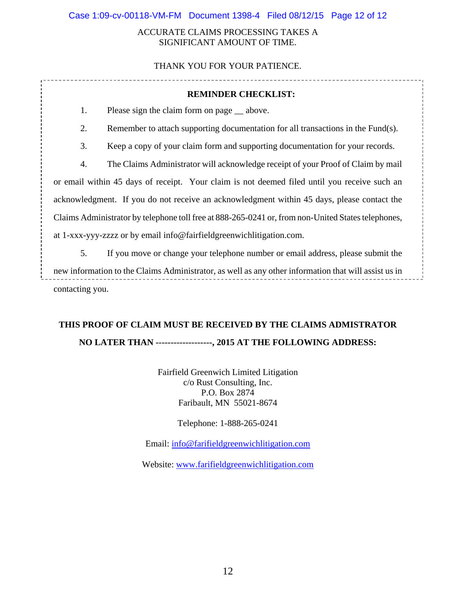### ACCURATE CLAIMS PROCESSING TAKES A SIGNIFICANT AMOUNT OF TIME.

# THANK YOU FOR YOUR PATIENCE.

| <b>REMINDER CHECKLIST:</b>                                                                           |                                                                                  |  |  |  |
|------------------------------------------------------------------------------------------------------|----------------------------------------------------------------------------------|--|--|--|
| 1.                                                                                                   | Please sign the claim form on page __ above.                                     |  |  |  |
| 2.                                                                                                   | Remember to attach supporting documentation for all transactions in the Fund(s). |  |  |  |
| 3.                                                                                                   | Keep a copy of your claim form and supporting documentation for your records.    |  |  |  |
| 4.                                                                                                   | The Claims Administrator will acknowledge receipt of your Proof of Claim by mail |  |  |  |
| or email within 45 days of receipt. Your claim is not deemed filed until you receive such an         |                                                                                  |  |  |  |
| acknowledgment. If you do not receive an acknowledgment within 45 days, please contact the           |                                                                                  |  |  |  |
| Claims Administrator by telephone toll free at 888-265-0241 or, from non-United States telephones,   |                                                                                  |  |  |  |
| at 1-xxx-yyy-zzzz or by email info@fairfieldgreenwichlitigation.com.                                 |                                                                                  |  |  |  |
| 5.                                                                                                   | If you move or change your telephone number or email address, please submit the  |  |  |  |
| new information to the Claims Administrator, as well as any other information that will assist us in |                                                                                  |  |  |  |

contacting you.

# **THIS PROOF OF CLAIM MUST BE RECEIVED BY THE CLAIMS ADMISTRATOR NO LATER THAN -------------------, 2015 AT THE FOLLOWING ADDRESS:**

Fairfield Greenwich Limited Litigation c/o Rust Consulting, Inc. P.O. Box 2874 Faribault, MN 55021-8674

Telephone: 1-888-265-0241

Email: info@farifieldgreenwichlitigation.com

Website: www.farifieldgreenwichlitigation.com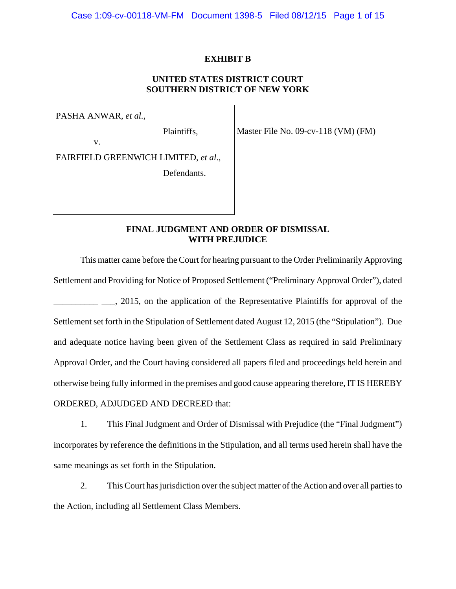#### **EXHIBIT B**

## **UNITED STATES DISTRICT COURT SOUTHERN DISTRICT OF NEW YORK**

PASHA ANWAR, *et al.*,

Plaintiffs,

v.

FAIRFIELD GREENWICH LIMITED, *et al*.,

Defendants.

Master File No. 09-cv-118 (VM) (FM)

# **FINAL JUDGMENT AND ORDER OF DISMISSAL WITH PREJUDICE**

This matter came before the Court for hearing pursuant to the Order Preliminarily Approving Settlement and Providing for Notice of Proposed Settlement ("Preliminary Approval Order"), dated 2015, on the application of the Representative Plaintiffs for approval of the Settlement set forth in the Stipulation of Settlement dated August 12, 2015 (the "Stipulation"). Due and adequate notice having been given of the Settlement Class as required in said Preliminary Approval Order, and the Court having considered all papers filed and proceedings held herein and otherwise being fully informed in the premises and good cause appearing therefore, IT IS HEREBY ORDERED, ADJUDGED AND DECREED that:

1. This Final Judgment and Order of Dismissal with Prejudice (the "Final Judgment") incorporates by reference the definitions in the Stipulation, and all terms used herein shall have the same meanings as set forth in the Stipulation.

2. This Court has jurisdiction over the subject matter of the Action and over all parties to the Action, including all Settlement Class Members.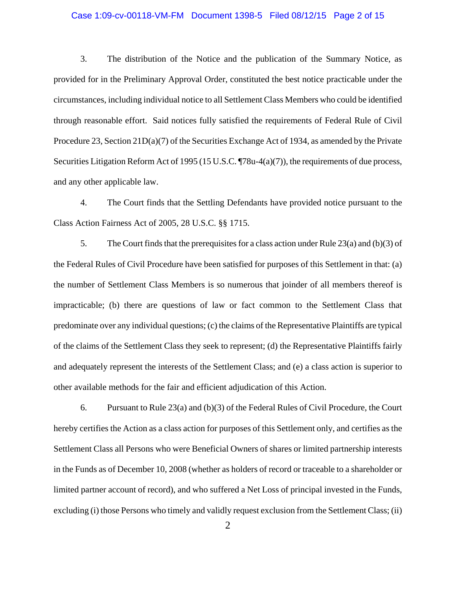#### Case 1:09-cv-00118-VM-FM Document 1398-5 Filed 08/12/15 Page 2 of 15

3. The distribution of the Notice and the publication of the Summary Notice, as provided for in the Preliminary Approval Order, constituted the best notice practicable under the circumstances, including individual notice to all Settlement Class Members who could be identified through reasonable effort. Said notices fully satisfied the requirements of Federal Rule of Civil Procedure 23, Section 21D(a)(7) of the Securities Exchange Act of 1934, as amended by the Private Securities Litigation Reform Act of 1995 (15 U.S.C. ¶78u-4(a)(7)), the requirements of due process, and any other applicable law.

4. The Court finds that the Settling Defendants have provided notice pursuant to the Class Action Fairness Act of 2005, 28 U.S.C. §§ 1715.

5. The Court finds that the prerequisites for a class action under Rule 23(a) and (b)(3) of the Federal Rules of Civil Procedure have been satisfied for purposes of this Settlement in that: (a) the number of Settlement Class Members is so numerous that joinder of all members thereof is impracticable; (b) there are questions of law or fact common to the Settlement Class that predominate over any individual questions; (c) the claims of the Representative Plaintiffs are typical of the claims of the Settlement Class they seek to represent; (d) the Representative Plaintiffs fairly and adequately represent the interests of the Settlement Class; and (e) a class action is superior to other available methods for the fair and efficient adjudication of this Action.

6. Pursuant to Rule 23(a) and (b)(3) of the Federal Rules of Civil Procedure, the Court hereby certifies the Action as a class action for purposes of this Settlement only, and certifies as the Settlement Class all Persons who were Beneficial Owners of shares or limited partnership interests in the Funds as of December 10, 2008 (whether as holders of record or traceable to a shareholder or limited partner account of record), and who suffered a Net Loss of principal invested in the Funds, excluding (i) those Persons who timely and validly request exclusion from the Settlement Class; (ii)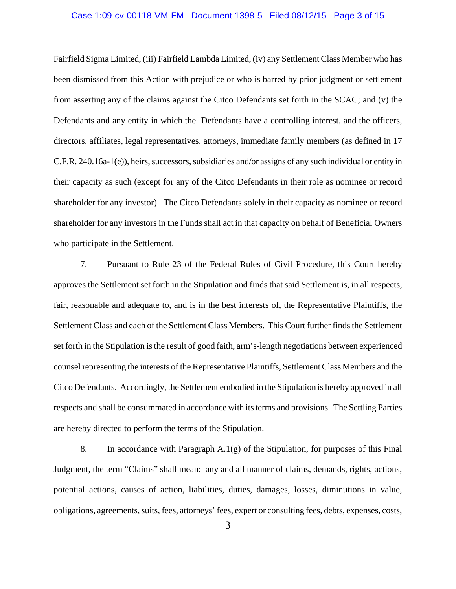#### Case 1:09-cv-00118-VM-FM Document 1398-5 Filed 08/12/15 Page 3 of 15

Fairfield Sigma Limited, (iii) Fairfield Lambda Limited, (iv) any Settlement Class Member who has been dismissed from this Action with prejudice or who is barred by prior judgment or settlement from asserting any of the claims against the Citco Defendants set forth in the SCAC; and (v) the Defendants and any entity in which the Defendants have a controlling interest, and the officers, directors, affiliates, legal representatives, attorneys, immediate family members (as defined in 17 C.F.R. 240.16a-1(e)), heirs, successors, subsidiaries and/or assigns of any such individual or entity in their capacity as such (except for any of the Citco Defendants in their role as nominee or record shareholder for any investor). The Citco Defendants solely in their capacity as nominee or record shareholder for any investors in the Funds shall act in that capacity on behalf of Beneficial Owners who participate in the Settlement.

7. Pursuant to Rule 23 of the Federal Rules of Civil Procedure, this Court hereby approves the Settlement set forth in the Stipulation and finds that said Settlement is, in all respects, fair, reasonable and adequate to, and is in the best interests of, the Representative Plaintiffs, the Settlement Class and each of the Settlement Class Members. This Court further finds the Settlement set forth in the Stipulation is the result of good faith, arm's-length negotiations between experienced counsel representing the interests of the Representative Plaintiffs, Settlement Class Members and the Citco Defendants. Accordingly, the Settlement embodied in the Stipulation is hereby approved in all respects and shall be consummated in accordance with its terms and provisions. The Settling Parties are hereby directed to perform the terms of the Stipulation.

8. In accordance with Paragraph A.1(g) of the Stipulation, for purposes of this Final Judgment, the term "Claims" shall mean: any and all manner of claims, demands, rights, actions, potential actions, causes of action, liabilities, duties, damages, losses, diminutions in value, obligations, agreements, suits, fees, attorneys' fees, expert or consulting fees, debts, expenses, costs,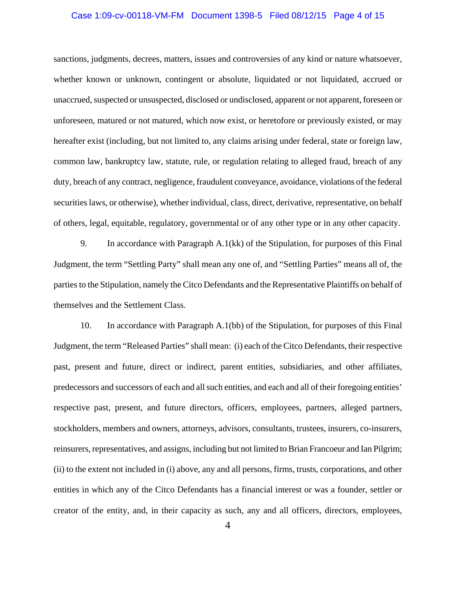#### Case 1:09-cv-00118-VM-FM Document 1398-5 Filed 08/12/15 Page 4 of 15

sanctions, judgments, decrees, matters, issues and controversies of any kind or nature whatsoever, whether known or unknown, contingent or absolute, liquidated or not liquidated, accrued or unaccrued, suspected or unsuspected, disclosed or undisclosed, apparent or not apparent, foreseen or unforeseen, matured or not matured, which now exist, or heretofore or previously existed, or may hereafter exist (including, but not limited to, any claims arising under federal, state or foreign law, common law, bankruptcy law, statute, rule, or regulation relating to alleged fraud, breach of any duty, breach of any contract, negligence, fraudulent conveyance, avoidance, violations of the federal securities laws, or otherwise), whether individual, class, direct, derivative, representative, on behalf of others, legal, equitable, regulatory, governmental or of any other type or in any other capacity.

9. In accordance with Paragraph A.1(kk) of the Stipulation, for purposes of this Final Judgment, the term "Settling Party" shall mean any one of, and "Settling Parties" means all of, the parties to the Stipulation, namely the Citco Defendants and the Representative Plaintiffs on behalf of themselves and the Settlement Class.

10. In accordance with Paragraph A.1(bb) of the Stipulation, for purposes of this Final Judgment, the term "Released Parties" shall mean: (i) each of the Citco Defendants, their respective past, present and future, direct or indirect, parent entities, subsidiaries, and other affiliates, predecessors and successors of each and all such entities, and each and all of their foregoing entities' respective past, present, and future directors, officers, employees, partners, alleged partners, stockholders, members and owners, attorneys, advisors, consultants, trustees, insurers, co-insurers, reinsurers, representatives, and assigns, including but not limited to Brian Francoeur and Ian Pilgrim; (ii) to the extent not included in (i) above, any and all persons, firms, trusts, corporations, and other entities in which any of the Citco Defendants has a financial interest or was a founder, settler or creator of the entity, and, in their capacity as such, any and all officers, directors, employees,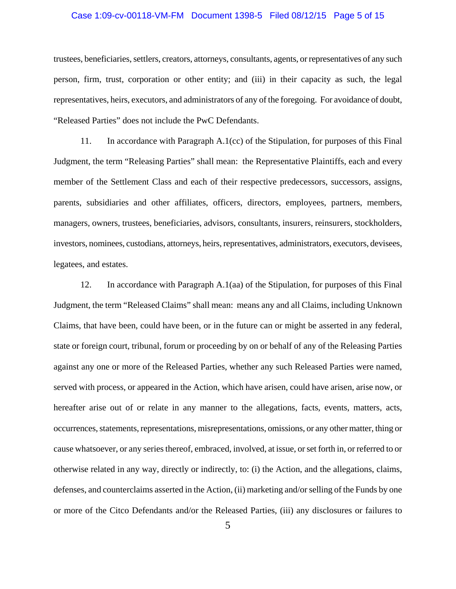#### Case 1:09-cv-00118-VM-FM Document 1398-5 Filed 08/12/15 Page 5 of 15

trustees, beneficiaries, settlers, creators, attorneys, consultants, agents, or representatives of any such person, firm, trust, corporation or other entity; and (iii) in their capacity as such, the legal representatives, heirs, executors, and administrators of any of the foregoing. For avoidance of doubt, "Released Parties" does not include the PwC Defendants.

11. In accordance with Paragraph A.1(cc) of the Stipulation, for purposes of this Final Judgment, the term "Releasing Parties" shall mean: the Representative Plaintiffs, each and every member of the Settlement Class and each of their respective predecessors, successors, assigns, parents, subsidiaries and other affiliates, officers, directors, employees, partners, members, managers, owners, trustees, beneficiaries, advisors, consultants, insurers, reinsurers, stockholders, investors, nominees, custodians, attorneys, heirs, representatives, administrators, executors, devisees, legatees, and estates.

12. In accordance with Paragraph A.1(aa) of the Stipulation, for purposes of this Final Judgment, the term "Released Claims" shall mean: means any and all Claims, including Unknown Claims, that have been, could have been, or in the future can or might be asserted in any federal, state or foreign court, tribunal, forum or proceeding by on or behalf of any of the Releasing Parties against any one or more of the Released Parties, whether any such Released Parties were named, served with process, or appeared in the Action, which have arisen, could have arisen, arise now, or hereafter arise out of or relate in any manner to the allegations, facts, events, matters, acts, occurrences, statements, representations, misrepresentations, omissions, or any other matter, thing or cause whatsoever, or any series thereof, embraced, involved, at issue, or set forth in, or referred to or otherwise related in any way, directly or indirectly, to: (i) the Action, and the allegations, claims, defenses, and counterclaims asserted in the Action, (ii) marketing and/or selling of the Funds by one or more of the Citco Defendants and/or the Released Parties, (iii) any disclosures or failures to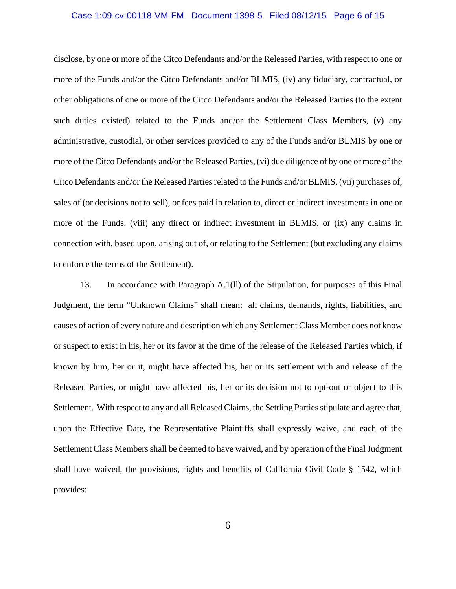#### Case 1:09-cv-00118-VM-FM Document 1398-5 Filed 08/12/15 Page 6 of 15

disclose, by one or more of the Citco Defendants and/or the Released Parties, with respect to one or more of the Funds and/or the Citco Defendants and/or BLMIS, (iv) any fiduciary, contractual, or other obligations of one or more of the Citco Defendants and/or the Released Parties (to the extent such duties existed) related to the Funds and/or the Settlement Class Members, (v) any administrative, custodial, or other services provided to any of the Funds and/or BLMIS by one or more of the Citco Defendants and/or the Released Parties, (vi) due diligence of by one or more of the Citco Defendants and/or the Released Parties related to the Funds and/or BLMIS, (vii) purchases of, sales of (or decisions not to sell), or fees paid in relation to, direct or indirect investments in one or more of the Funds, (viii) any direct or indirect investment in BLMIS, or (ix) any claims in connection with, based upon, arising out of, or relating to the Settlement (but excluding any claims to enforce the terms of the Settlement).

13. In accordance with Paragraph A.1(ll) of the Stipulation, for purposes of this Final Judgment, the term "Unknown Claims" shall mean: all claims, demands, rights, liabilities, and causes of action of every nature and description which any Settlement Class Member does not know or suspect to exist in his, her or its favor at the time of the release of the Released Parties which, if known by him, her or it, might have affected his, her or its settlement with and release of the Released Parties, or might have affected his, her or its decision not to opt-out or object to this Settlement. With respect to any and all Released Claims, the Settling Parties stipulate and agree that, upon the Effective Date, the Representative Plaintiffs shall expressly waive, and each of the Settlement Class Members shall be deemed to have waived, and by operation of the Final Judgment shall have waived, the provisions, rights and benefits of California Civil Code § 1542, which provides: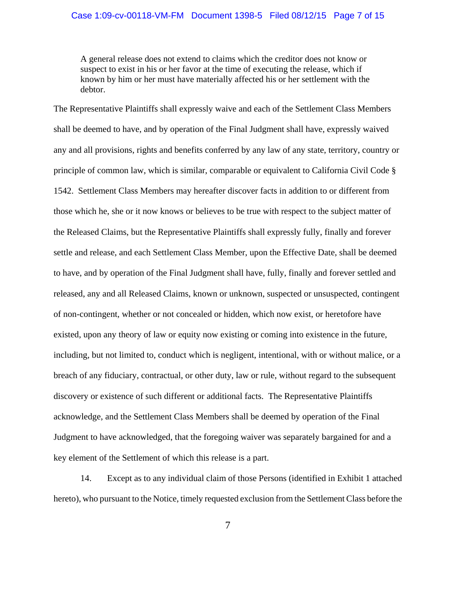#### Case 1:09-cv-00118-VM-FM Document 1398-5 Filed 08/12/15 Page 7 of 15

A general release does not extend to claims which the creditor does not know or suspect to exist in his or her favor at the time of executing the release, which if known by him or her must have materially affected his or her settlement with the debtor.

The Representative Plaintiffs shall expressly waive and each of the Settlement Class Members shall be deemed to have, and by operation of the Final Judgment shall have, expressly waived any and all provisions, rights and benefits conferred by any law of any state, territory, country or principle of common law, which is similar, comparable or equivalent to California Civil Code § 1542. Settlement Class Members may hereafter discover facts in addition to or different from those which he, she or it now knows or believes to be true with respect to the subject matter of the Released Claims, but the Representative Plaintiffs shall expressly fully, finally and forever settle and release, and each Settlement Class Member, upon the Effective Date, shall be deemed to have, and by operation of the Final Judgment shall have, fully, finally and forever settled and released, any and all Released Claims, known or unknown, suspected or unsuspected, contingent of non-contingent, whether or not concealed or hidden, which now exist, or heretofore have existed, upon any theory of law or equity now existing or coming into existence in the future, including, but not limited to, conduct which is negligent, intentional, with or without malice, or a breach of any fiduciary, contractual, or other duty, law or rule, without regard to the subsequent discovery or existence of such different or additional facts. The Representative Plaintiffs acknowledge, and the Settlement Class Members shall be deemed by operation of the Final Judgment to have acknowledged, that the foregoing waiver was separately bargained for and a key element of the Settlement of which this release is a part.

14. Except as to any individual claim of those Persons (identified in Exhibit 1 attached hereto), who pursuant to the Notice, timely requested exclusion from the Settlement Class before the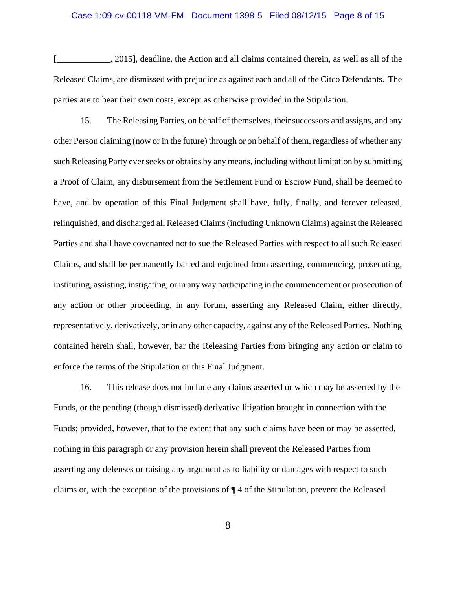#### Case 1:09-cv-00118-VM-FM Document 1398-5 Filed 08/12/15 Page 8 of 15

[10,2015], deadline, the Action and all claims contained therein, as well as all of the Released Claims, are dismissed with prejudice as against each and all of the Citco Defendants. The parties are to bear their own costs, except as otherwise provided in the Stipulation.

15. The Releasing Parties, on behalf of themselves, their successors and assigns, and any other Person claiming (now or in the future) through or on behalf of them, regardless of whether any such Releasing Party ever seeks or obtains by any means, including without limitation by submitting a Proof of Claim, any disbursement from the Settlement Fund or Escrow Fund, shall be deemed to have, and by operation of this Final Judgment shall have, fully, finally, and forever released, relinquished, and discharged all Released Claims (including Unknown Claims) against the Released Parties and shall have covenanted not to sue the Released Parties with respect to all such Released Claims, and shall be permanently barred and enjoined from asserting, commencing, prosecuting, instituting, assisting, instigating, or in any way participating in the commencement or prosecution of any action or other proceeding, in any forum, asserting any Released Claim, either directly, representatively, derivatively, or in any other capacity, against any of the Released Parties. Nothing contained herein shall, however, bar the Releasing Parties from bringing any action or claim to enforce the terms of the Stipulation or this Final Judgment.

16. This release does not include any claims asserted or which may be asserted by the Funds, or the pending (though dismissed) derivative litigation brought in connection with the Funds; provided, however, that to the extent that any such claims have been or may be asserted, nothing in this paragraph or any provision herein shall prevent the Released Parties from asserting any defenses or raising any argument as to liability or damages with respect to such claims or, with the exception of the provisions of ¶ 4 of the Stipulation, prevent the Released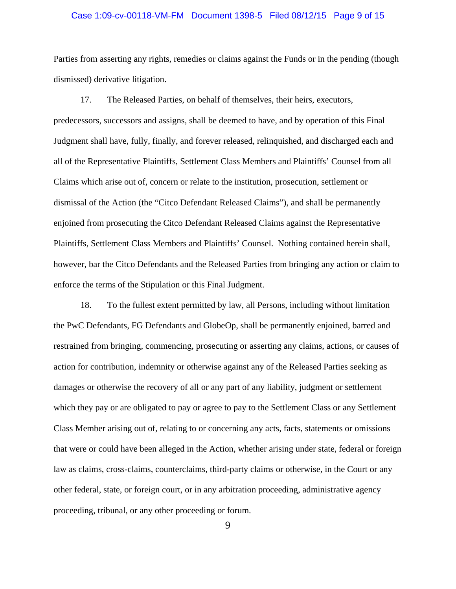#### Case 1:09-cv-00118-VM-FM Document 1398-5 Filed 08/12/15 Page 9 of 15

Parties from asserting any rights, remedies or claims against the Funds or in the pending (though dismissed) derivative litigation.

17. The Released Parties, on behalf of themselves, their heirs, executors, predecessors, successors and assigns, shall be deemed to have, and by operation of this Final Judgment shall have, fully, finally, and forever released, relinquished, and discharged each and all of the Representative Plaintiffs, Settlement Class Members and Plaintiffs' Counsel from all Claims which arise out of, concern or relate to the institution, prosecution, settlement or dismissal of the Action (the "Citco Defendant Released Claims"), and shall be permanently enjoined from prosecuting the Citco Defendant Released Claims against the Representative Plaintiffs, Settlement Class Members and Plaintiffs' Counsel. Nothing contained herein shall, however, bar the Citco Defendants and the Released Parties from bringing any action or claim to enforce the terms of the Stipulation or this Final Judgment.

18. To the fullest extent permitted by law, all Persons, including without limitation the PwC Defendants, FG Defendants and GlobeOp, shall be permanently enjoined, barred and restrained from bringing, commencing, prosecuting or asserting any claims, actions, or causes of action for contribution, indemnity or otherwise against any of the Released Parties seeking as damages or otherwise the recovery of all or any part of any liability, judgment or settlement which they pay or are obligated to pay or agree to pay to the Settlement Class or any Settlement Class Member arising out of, relating to or concerning any acts, facts, statements or omissions that were or could have been alleged in the Action, whether arising under state, federal or foreign law as claims, cross-claims, counterclaims, third-party claims or otherwise, in the Court or any other federal, state, or foreign court, or in any arbitration proceeding, administrative agency proceeding, tribunal, or any other proceeding or forum.

9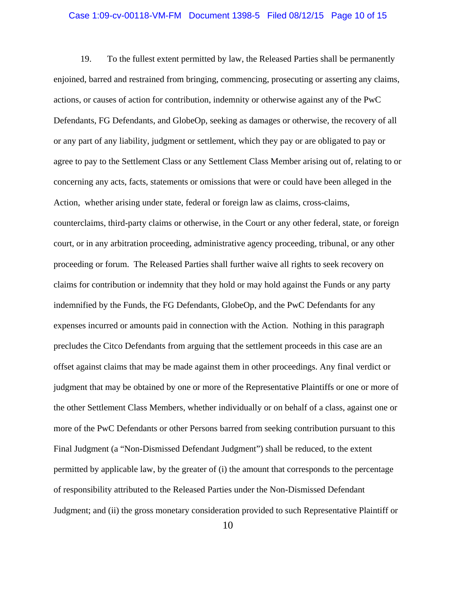#### Case 1:09-cv-00118-VM-FM Document 1398-5 Filed 08/12/15 Page 10 of 15

19. To the fullest extent permitted by law, the Released Parties shall be permanently enjoined, barred and restrained from bringing, commencing, prosecuting or asserting any claims, actions, or causes of action for contribution, indemnity or otherwise against any of the PwC Defendants, FG Defendants, and GlobeOp, seeking as damages or otherwise, the recovery of all or any part of any liability, judgment or settlement, which they pay or are obligated to pay or agree to pay to the Settlement Class or any Settlement Class Member arising out of, relating to or concerning any acts, facts, statements or omissions that were or could have been alleged in the Action, whether arising under state, federal or foreign law as claims, cross-claims, counterclaims, third-party claims or otherwise, in the Court or any other federal, state, or foreign court, or in any arbitration proceeding, administrative agency proceeding, tribunal, or any other proceeding or forum. The Released Parties shall further waive all rights to seek recovery on claims for contribution or indemnity that they hold or may hold against the Funds or any party indemnified by the Funds, the FG Defendants, GlobeOp, and the PwC Defendants for any expenses incurred or amounts paid in connection with the Action. Nothing in this paragraph precludes the Citco Defendants from arguing that the settlement proceeds in this case are an offset against claims that may be made against them in other proceedings. Any final verdict or judgment that may be obtained by one or more of the Representative Plaintiffs or one or more of the other Settlement Class Members, whether individually or on behalf of a class, against one or more of the PwC Defendants or other Persons barred from seeking contribution pursuant to this Final Judgment (a "Non-Dismissed Defendant Judgment") shall be reduced, to the extent permitted by applicable law, by the greater of (i) the amount that corresponds to the percentage of responsibility attributed to the Released Parties under the Non-Dismissed Defendant Judgment; and (ii) the gross monetary consideration provided to such Representative Plaintiff or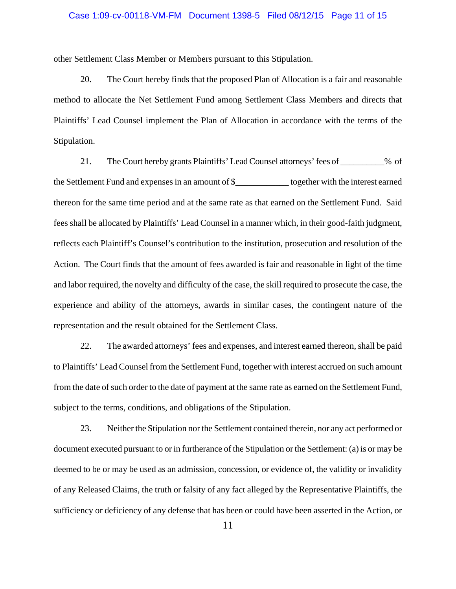#### Case 1:09-cv-00118-VM-FM Document 1398-5 Filed 08/12/15 Page 11 of 15

other Settlement Class Member or Members pursuant to this Stipulation.

20. The Court hereby finds that the proposed Plan of Allocation is a fair and reasonable method to allocate the Net Settlement Fund among Settlement Class Members and directs that Plaintiffs' Lead Counsel implement the Plan of Allocation in accordance with the terms of the Stipulation.

21. The Court hereby grants Plaintiffs' Lead Counsel attorneys' fees of \_\_\_\_\_\_\_\_\_\_% of the Settlement Fund and expenses in an amount of \$\_\_\_\_\_\_\_\_\_\_\_\_ together with the interest earned thereon for the same time period and at the same rate as that earned on the Settlement Fund. Said fees shall be allocated by Plaintiffs' Lead Counsel in a manner which, in their good-faith judgment, reflects each Plaintiff's Counsel's contribution to the institution, prosecution and resolution of the Action. The Court finds that the amount of fees awarded is fair and reasonable in light of the time and labor required, the novelty and difficulty of the case, the skill required to prosecute the case, the experience and ability of the attorneys, awards in similar cases, the contingent nature of the representation and the result obtained for the Settlement Class.

22. The awarded attorneys' fees and expenses, and interest earned thereon, shall be paid to Plaintiffs' Lead Counsel from the Settlement Fund, together with interest accrued on such amount from the date of such order to the date of payment at the same rate as earned on the Settlement Fund, subject to the terms, conditions, and obligations of the Stipulation.

23. Neither the Stipulation nor the Settlement contained therein, nor any act performed or document executed pursuant to or in furtherance of the Stipulation or the Settlement: (a) is or may be deemed to be or may be used as an admission, concession, or evidence of, the validity or invalidity of any Released Claims, the truth or falsity of any fact alleged by the Representative Plaintiffs, the sufficiency or deficiency of any defense that has been or could have been asserted in the Action, or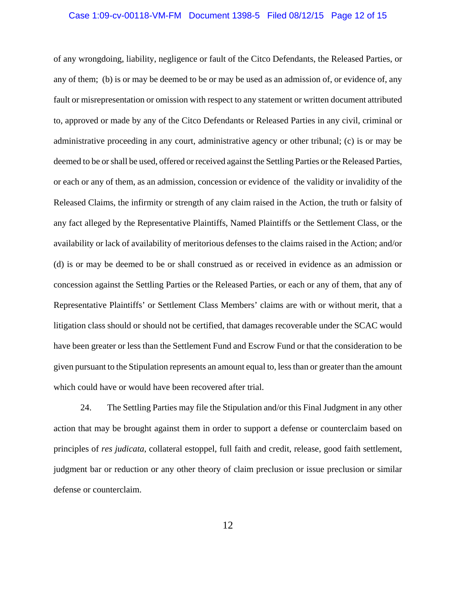#### Case 1:09-cv-00118-VM-FM Document 1398-5 Filed 08/12/15 Page 12 of 15

of any wrongdoing, liability, negligence or fault of the Citco Defendants, the Released Parties, or any of them; (b) is or may be deemed to be or may be used as an admission of, or evidence of, any fault or misrepresentation or omission with respect to any statement or written document attributed to, approved or made by any of the Citco Defendants or Released Parties in any civil, criminal or administrative proceeding in any court, administrative agency or other tribunal; (c) is or may be deemed to be or shall be used, offered or received against the Settling Parties or the Released Parties, or each or any of them, as an admission, concession or evidence of the validity or invalidity of the Released Claims, the infirmity or strength of any claim raised in the Action, the truth or falsity of any fact alleged by the Representative Plaintiffs, Named Plaintiffs or the Settlement Class, or the availability or lack of availability of meritorious defenses to the claims raised in the Action; and/or (d) is or may be deemed to be or shall construed as or received in evidence as an admission or concession against the Settling Parties or the Released Parties, or each or any of them, that any of Representative Plaintiffs' or Settlement Class Members' claims are with or without merit, that a litigation class should or should not be certified, that damages recoverable under the SCAC would have been greater or less than the Settlement Fund and Escrow Fund or that the consideration to be given pursuant to the Stipulation represents an amount equal to, less than or greater than the amount which could have or would have been recovered after trial.

24. The Settling Parties may file the Stipulation and/or this Final Judgment in any other action that may be brought against them in order to support a defense or counterclaim based on principles of *res judicata*, collateral estoppel, full faith and credit, release, good faith settlement, judgment bar or reduction or any other theory of claim preclusion or issue preclusion or similar defense or counterclaim.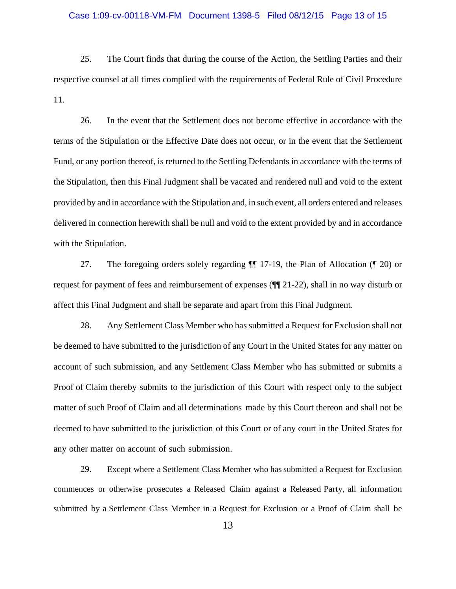#### Case 1:09-cv-00118-VM-FM Document 1398-5 Filed 08/12/15 Page 13 of 15

25. The Court finds that during the course of the Action, the Settling Parties and their respective counsel at all times complied with the requirements of Federal Rule of Civil Procedure 11.

26. In the event that the Settlement does not become effective in accordance with the terms of the Stipulation or the Effective Date does not occur, or in the event that the Settlement Fund, or any portion thereof, is returned to the Settling Defendants in accordance with the terms of the Stipulation, then this Final Judgment shall be vacated and rendered null and void to the extent provided by and in accordance with the Stipulation and, in such event, all orders entered and releases delivered in connection herewith shall be null and void to the extent provided by and in accordance with the Stipulation.

27. The foregoing orders solely regarding ¶¶ 17-19, the Plan of Allocation (¶ 20) or request for payment of fees and reimbursement of expenses (¶¶ 21-22), shall in no way disturb or affect this Final Judgment and shall be separate and apart from this Final Judgment.

28. Any Settlement Class Member who has submitted a Request for Exclusion shall not be deemed to have submitted to the jurisdiction of any Court in the United States for any matter on account of such submission, and any Settlement Class Member who has submitted or submits a Proof of Claim thereby submits to the jurisdiction of this Court with respect only to the subject matter of such Proof of Claim and all determinations made by this Court thereon and shall not be deemed to have submitted to the jurisdiction of this Court or of any court in the United States for any other matter on account of such submission.

29. Except where a Settlement Class Member who has submitted a Request for Exclusion commences or otherwise prosecutes a Released Claim against a Released Party, all information submitted by a Settlement Class Member in a Request for Exclusion or a Proof of Claim shall be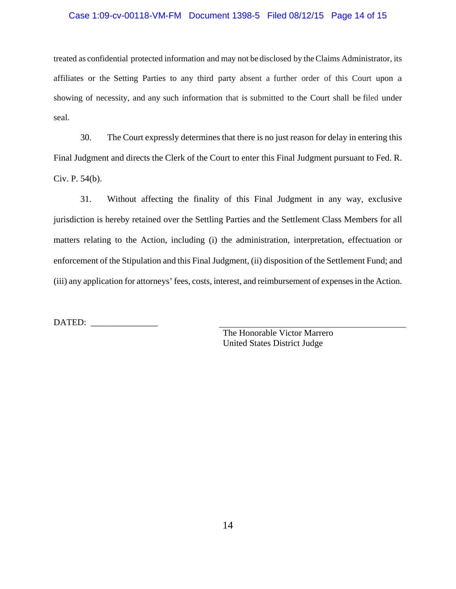#### Case 1:09-cv-00118-VM-FM Document 1398-5 Filed 08/12/15 Page 14 of 15

treated as confidential protected information and may not be disclosed by the Claims Administrator, its affiliates or the Setting Parties to any third party absent a further order of this Court upon a showing of necessity, and any such information that is submitted to the Court shall be filed under seal.

30. The Court expressly determines that there is no just reason for delay in entering this Final Judgment and directs the Clerk of the Court to enter this Final Judgment pursuant to Fed. R. Civ. P. 54(b).

31. Without affecting the finality of this Final Judgment in any way, exclusive jurisdiction is hereby retained over the Settling Parties and the Settlement Class Members for all matters relating to the Action, including (i) the administration, interpretation, effectuation or enforcement of the Stipulation and this Final Judgment, (ii) disposition of the Settlement Fund; and (iii) any application for attorneys' fees, costs, interest, and reimbursement of expenses in the Action.

DATED: \_\_\_\_\_\_\_\_\_\_\_\_\_\_\_

 The Honorable Victor Marrero United States District Judge